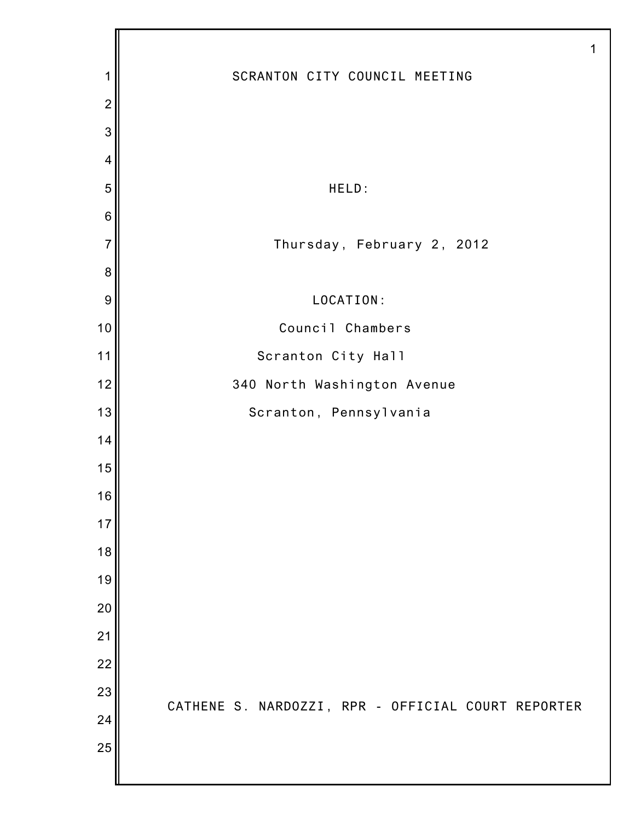|                |                                                    | 1 |
|----------------|----------------------------------------------------|---|
| 1              | SCRANTON CITY COUNCIL MEETING                      |   |
| $\overline{2}$ |                                                    |   |
| 3              |                                                    |   |
| $\overline{4}$ |                                                    |   |
| 5              | HELD:                                              |   |
| $\,6$          |                                                    |   |
| $\overline{7}$ | Thursday, February 2, 2012                         |   |
| $\bf 8$        |                                                    |   |
| 9              | LOCATION:                                          |   |
| 10             | Council Chambers                                   |   |
| 11             | Scranton City Hall                                 |   |
| 12             | 340 North Washington Avenue                        |   |
| 13             | Scranton, Pennsylvania                             |   |
| 14             |                                                    |   |
| 15             |                                                    |   |
| 16             |                                                    |   |
| 17             |                                                    |   |
| 18             |                                                    |   |
| 19             |                                                    |   |
| 20             |                                                    |   |
| 21             |                                                    |   |
| 22             |                                                    |   |
| 23             | CATHENE S. NARDOZZI, RPR - OFFICIAL COURT REPORTER |   |
| 24             |                                                    |   |
| 25             |                                                    |   |
|                |                                                    |   |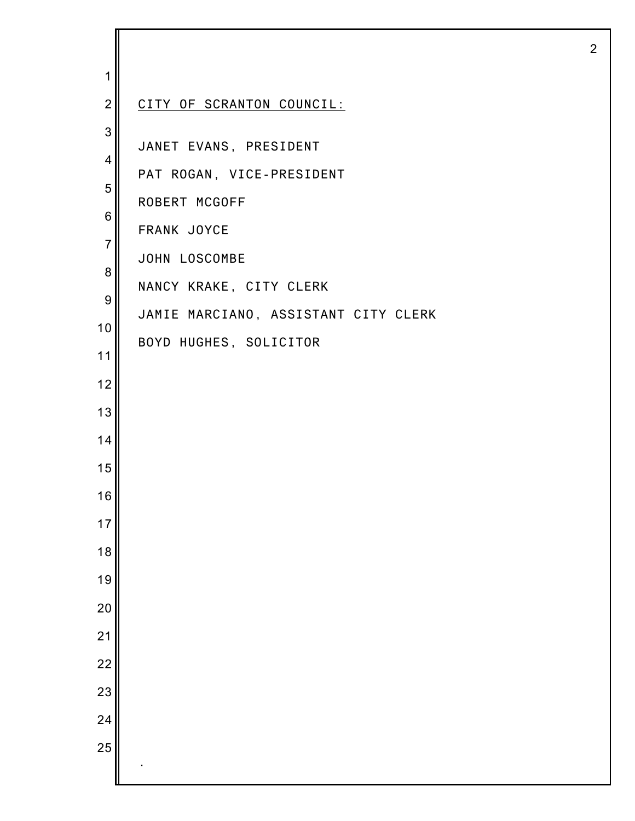| $\mathbf 1$              |                                      |
|--------------------------|--------------------------------------|
| $\overline{2}$           | CITY OF SCRANTON COUNCIL:            |
| 3                        |                                      |
| $\overline{\mathcal{A}}$ | JANET EVANS, PRESIDENT               |
| 5                        | PAT ROGAN, VICE-PRESIDENT            |
| $\,6$                    | ROBERT MCGOFF                        |
| $\overline{7}$           | FRANK JOYCE                          |
| 8                        | JOHN LOSCOMBE                        |
| $\boldsymbol{9}$         | NANCY KRAKE, CITY CLERK              |
| 10                       | JAMIE MARCIANO, ASSISTANT CITY CLERK |
| 11                       | BOYD HUGHES, SOLICITOR               |
| 12                       |                                      |
| 13                       |                                      |
| 14                       |                                      |
| 15                       |                                      |
| 16                       |                                      |
| 17                       |                                      |
|                          |                                      |
| 18                       |                                      |
| 19                       |                                      |
| 20                       |                                      |
| 21                       |                                      |
| 22                       |                                      |
| 23                       |                                      |
| 24                       |                                      |
| 25                       |                                      |
|                          |                                      |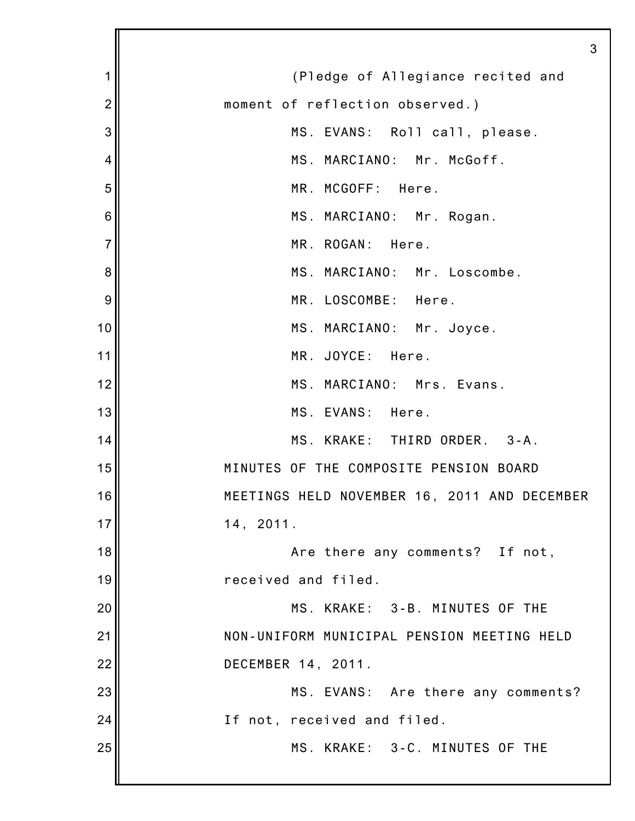1 2 3 4 5 6 7 8 9 10 11 12 13 14 15 16 17 18 19 20 21 22 23 24 25 3 (Pledge of Allegiance recited and moment of reflection observed.) MS. EVANS: Roll call, please. MS. MARCIANO: Mr. McGoff. MR. MCGOFF: Here. MS. MARCIANO: Mr. Rogan. MR. ROGAN: Here. MS. MARCIANO: Mr. Loscombe. MR. LOSCOMBE: Here. MS. MARCIANO: Mr. Joyce. MR. JOYCE: Here. MS. MARCIANO: Mrs. Evans. MS. EVANS: Here. MS. KRAKE: THIRD ORDER. 3-A. MINUTES OF THE COMPOSITE PENSION BOARD MEETINGS HELD NOVEMBER 16, 2011 AND DECEMBER 14, 2011. Are there any comments? If not, received and filed. MS. KRAKE: 3-B. MINUTES OF THE NON-UNIFORM MUNICIPAL PENSION MEETING HELD DECEMBER 14, 2011. MS. EVANS: Are there any comments? If not, received and filed. MS. KRAKE: 3-C. MINUTES OF THE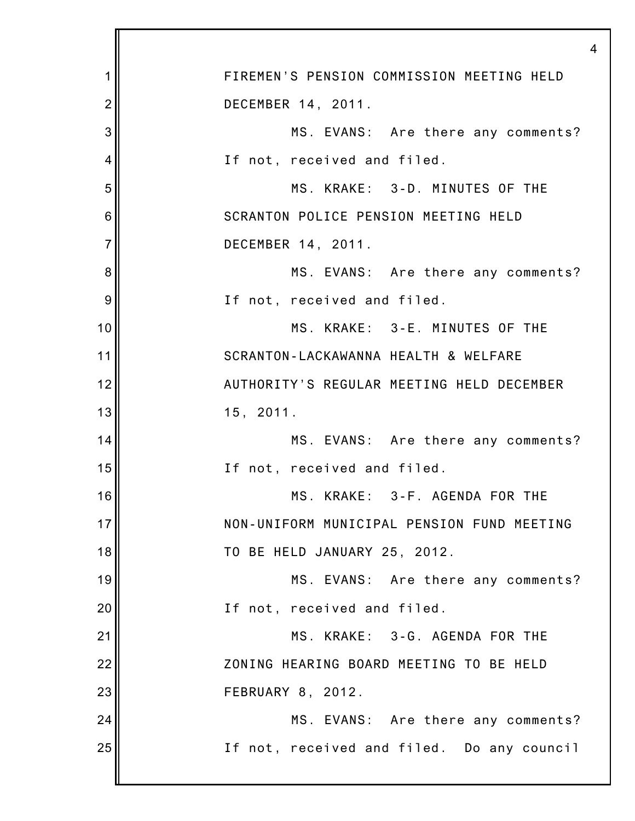| 1              | FIREMEN'S PENSION COMMISSION MEETING HELD  |
|----------------|--------------------------------------------|
| $\overline{2}$ | DECEMBER 14, 2011.                         |
| 3              | MS. EVANS: Are there any comments?         |
| 4              | If not, received and filed.                |
| 5              | MS. KRAKE: 3-D. MINUTES OF THE             |
| 6              | SCRANTON POLICE PENSION MEETING HELD       |
| $\overline{7}$ | DECEMBER 14, 2011.                         |
| $\bf 8$        | MS. EVANS: Are there any comments?         |
| 9              | If not, received and filed.                |
| 10             | MS. KRAKE: 3-E. MINUTES OF THE             |
| 11             | SCRANTON-LACKAWANNA HEALTH & WELFARE       |
| 12             | AUTHORITY'S REGULAR MEETING HELD DECEMBER  |
| 13             | 15, 2011.                                  |
| 14             | MS. EVANS: Are there any comments?         |
| 15             | If not, received and filed.                |
| 16             | MS. KRAKE: 3-F. AGENDA FOR THE             |
| 17             | NON-UNIFORM MUNICIPAL PENSION FUND MEETING |
| 18             | TO BE HELD JANUARY 25, 2012.               |
| 19             | MS. EVANS: Are there any comments?         |
| 20             | If not, received and filed.                |
| 21             | MS. KRAKE: 3-G. AGENDA FOR THE             |
| 22             | ZONING HEARING BOARD MEETING TO BE HELD    |
| 23             | FEBRUARY 8, 2012.                          |
| 24             | MS. EVANS: Are there any comments?         |
| 25             | If not, received and filed. Do any council |
|                |                                            |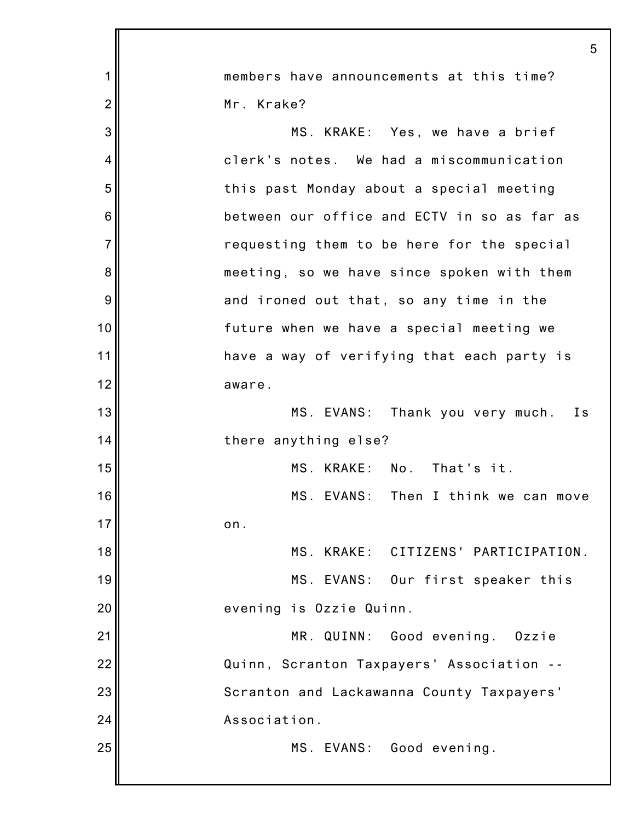|                | 5                                           |
|----------------|---------------------------------------------|
| 1              | members have announcements at this time?    |
| $\overline{2}$ | Mr. Krake?                                  |
| 3              | MS. KRAKE: Yes, we have a brief             |
| 4              | clerk's notes. We had a miscommunication    |
| 5              | this past Monday about a special meeting    |
| 6              | between our office and ECTV in so as far as |
| $\overline{7}$ | requesting them to be here for the special  |
| 8              | meeting, so we have since spoken with them  |
| 9              | and ironed out that, so any time in the     |
| 10             | future when we have a special meeting we    |
| 11             | have a way of verifying that each party is  |
| 12             | aware.                                      |
| 13             | MS. EVANS: Thank you very much.<br>I s      |
| 14             | there anything else?                        |
| 15             | MS. KRAKE: No.<br>That's it.                |
| 16             | MS. EVANS:<br>Then I think we can move      |
| 17             | on.                                         |
| 18             | MS. KRAKE: CITIZENS' PARTICIPATION.         |
| 19             | MS. EVANS: Our first speaker this           |
| 20             | evening is Ozzie Quinn.                     |
| 21             | MR. QUINN:<br>Good evening.<br>Ozzie        |
| 22             | Quinn, Scranton Taxpayers' Association --   |
| 23             | Scranton and Lackawanna County Taxpayers'   |
| 24             | Association.                                |
| 25             | Good evening.<br>MS. EVANS:                 |
|                |                                             |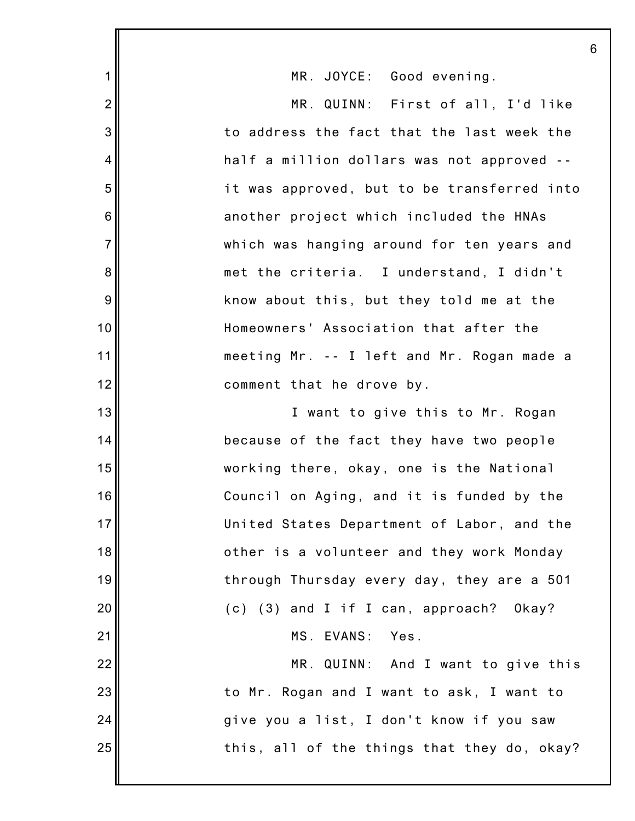| 1              | MR. JOYCE: Good evening.                    |
|----------------|---------------------------------------------|
| $\overline{2}$ | MR. QUINN: First of all, I'd like           |
| 3              | to address the fact that the last week the  |
| 4              | half a million dollars was not approved --  |
| 5              | it was approved, but to be transferred into |
| 6              | another project which included the HNAs     |
| $\overline{7}$ | which was hanging around for ten years and  |
| 8              | met the criteria. I understand, I didn't    |
| 9              | know about this, but they told me at the    |
| 10             | Homeowners' Association that after the      |
| 11             | meeting Mr. -- I left and Mr. Rogan made a  |
| 12             | comment that he drove by.                   |
| 13             | I want to give this to Mr. Rogan            |
| 14             | because of the fact they have two people    |
| 15             | working there, okay, one is the National    |
| 16             | Council on Aging, and it is funded by the   |
| 17             | United States Department of Labor, and the  |
| 18             | other is a volunteer and they work Monday   |
| 19             | through Thursday every day, they are a 501  |
| 20             | (c) (3) and I if I can, approach? Okay?     |
| 21             | MS. EVANS: Yes.                             |
| 22             | MR. QUINN: And I want to give this          |
| 23             | to Mr. Rogan and I want to ask, I want to   |
| 24             | give you a list, I don't know if you saw    |
| 25             | this, all of the things that they do, okay? |
|                |                                             |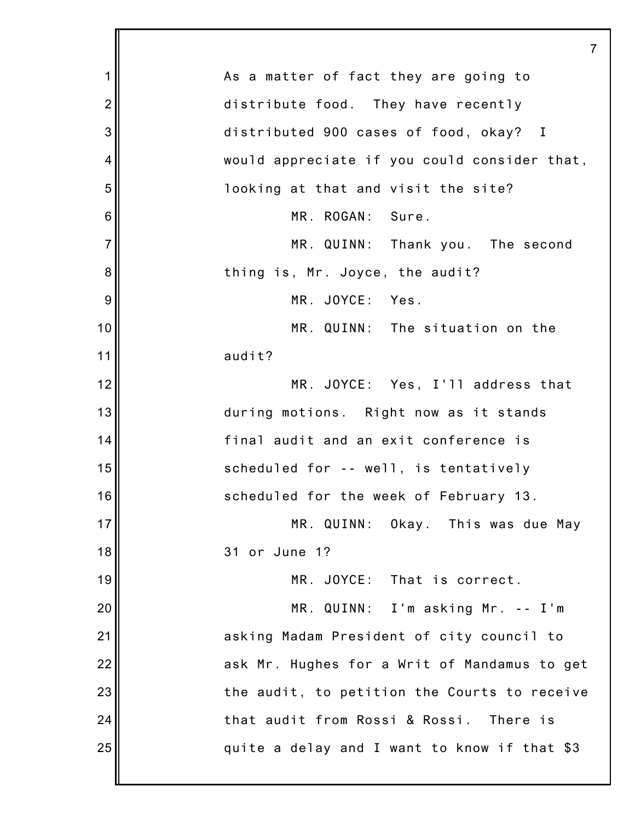|                | 7                                            |
|----------------|----------------------------------------------|
| 1              | As a matter of fact they are going to        |
| $\overline{2}$ | distribute food. They have recently          |
| 3              | distributed 900 cases of food, okay? I       |
| 4              | would appreciate if you could consider that, |
| 5              | looking at that and visit the site?          |
| 6              | MR. ROGAN: Sure.                             |
| $\overline{7}$ | MR. QUINN: Thank you. The second             |
| 8              | thing is, Mr. Joyce, the audit?              |
| 9              | MR. JOYCE: Yes.                              |
| 10             | MR. QUINN: The situation on the              |
| 11             | audit?                                       |
| 12             | MR. JOYCE: Yes, I'll address that            |
| 13             | during motions. Right now as it stands       |
| 14             | final audit and an exit conference is        |
| 15             | scheduled for -- well, is tentatively        |
| 16             | scheduled for the week of February 13.       |
| 17             | MR. QUINN: Okay. This was due May            |
| 18             | 31 or June 1?                                |
| 19             | MR. JOYCE: That is correct.                  |
| 20             | MR. QUINN: I'm asking Mr. -- I'm             |
| 21             | asking Madam President of city council to    |
| 22             | ask Mr. Hughes for a Writ of Mandamus to get |
| 23             | the audit, to petition the Courts to receive |
| 24             | that audit from Rossi & Rossi. There is      |
| 25             | quite a delay and I want to know if that \$3 |
|                |                                              |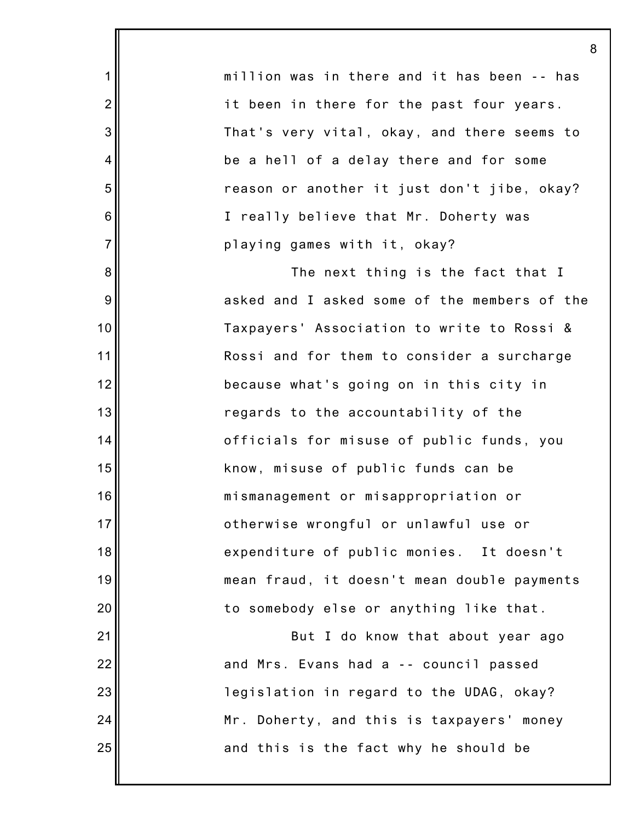million was in there and it has been -- has it been in there for the past four years. That's very vital, okay, and there seems to be a hell of a delay there and for some reason or another it just don't jibe, okay? I really believe that Mr. Doherty was playing games with it, okay?

1

2

3

4

5

6

7

8

9

10

11

12

13

14

15

16

17

18

19

20

21

22

23

24

25

The next thing is the fact that I asked and I asked some of the members of the Taxpayers' Association to write to Rossi & Rossi and for them to consider a surcharge because what's going on in this city in regards to the accountability of the officials for misuse of public funds, you know, misuse of public funds can be mismanagement or misappropriation or otherwise wrongful or unlawful use or expenditure of public monies. It doesn't mean fraud, it doesn't mean double payments to somebody else or anything like that.

But I do know that about year ago and Mrs. Evans had a -- council passed legislation in regard to the UDAG, okay? Mr. Doherty, and this is taxpayers' money and this is the fact why he should be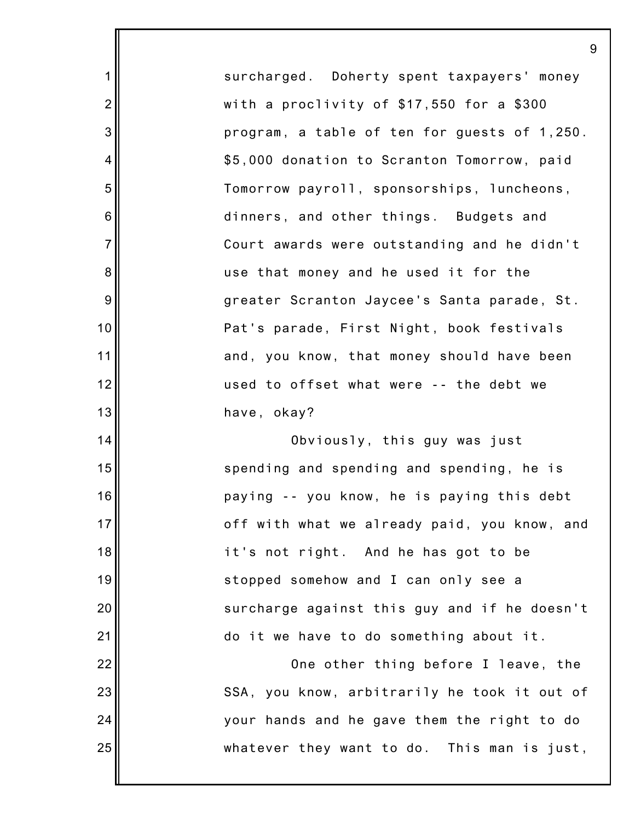surcharged. Doherty spent taxpayers' money with a proclivity of \$17,550 for a \$300 program, a table of ten for guests of 1,250. \$5,000 donation to Scranton Tomorrow, paid Tomorrow payroll, sponsorships, luncheons, dinners, and other things. Budgets and Court awards were outstanding and he didn't use that money and he used it for the greater Scranton Jaycee's Santa parade, St. Pat's parade, First Night, book festivals and, you know, that money should have been used to offset what were -- the debt we have, okay?

1

2

3

4

5

6

7

8

9

10

11

12

13

14

15

16

17

18

19

20

21

22

23

24

25

Obviously, this guy was just spending and spending and spending, he is paying -- you know, he is paying this debt off with what we already paid, you know, and it's not right. And he has got to be stopped somehow and I can only see a surcharge against this guy and if he doesn't do it we have to do something about it.

One other thing before I leave, the SSA, you know, arbitrarily he took it out of your hands and he gave them the right to do whatever they want to do. This man is just,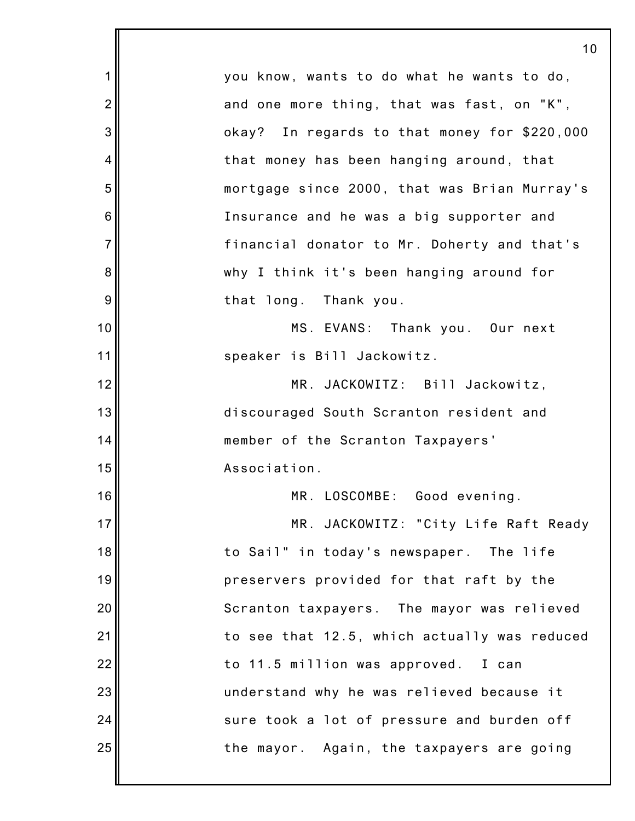|                | 10                                           |
|----------------|----------------------------------------------|
| 1              | you know, wants to do what he wants to do,   |
| $\overline{2}$ | and one more thing, that was fast, on "K",   |
| 3              | okay? In regards to that money for \$220,000 |
| 4              | that money has been hanging around, that     |
| 5              | mortgage since 2000, that was Brian Murray's |
| 6              | Insurance and he was a big supporter and     |
| $\overline{7}$ | financial donator to Mr. Doherty and that's  |
| 8              | why I think it's been hanging around for     |
| 9              | that long. Thank you.                        |
| 10             | MS. EVANS: Thank you. Our next               |
| 11             | speaker is Bill Jackowitz.                   |
| 12             | MR. JACKOWITZ: Bill Jackowitz,               |
| 13             | discouraged South Scranton resident and      |
| 14             | member of the Scranton Taxpayers'            |
| 15             | Association.                                 |
| 16             | MR. LOSCOMBE: Good evening.                  |
| 17             | MR. JACKOWITZ: "City Life Raft Ready         |
| 18             | to Sail" in today's newspaper. The life      |
| 19             | preservers provided for that raft by the     |
| 20             | Scranton taxpayers. The mayor was relieved   |
| 21             | to see that 12.5, which actually was reduced |
| 22             | to 11.5 million was approved. I can          |
| 23             | understand why he was relieved because it    |
| 24             | sure took a lot of pressure and burden off   |
| 25             | the mayor. Again, the taxpayers are going    |
|                |                                              |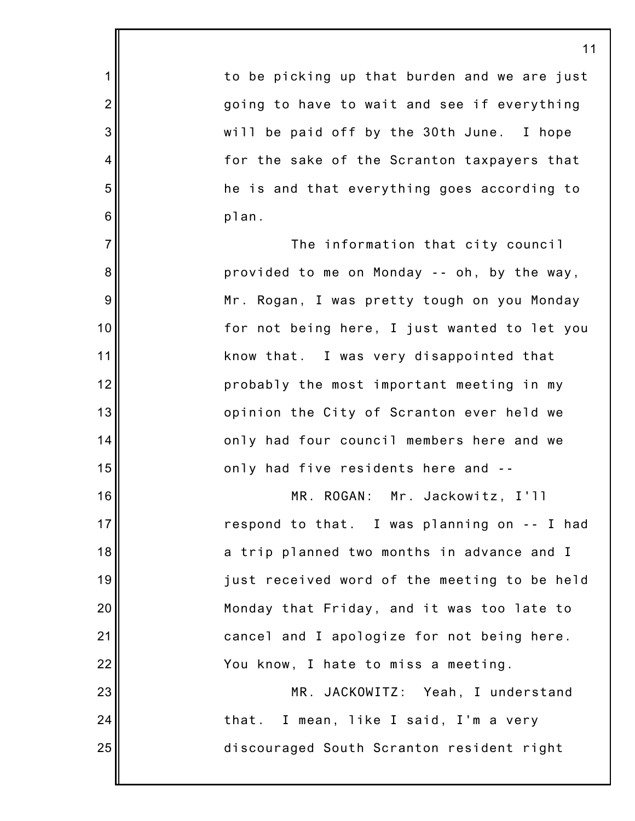to be picking up that burden and we are just going to have to wait and see if everything will be paid off by the 30th June. I hope for the sake of the Scranton taxpayers that he is and that everything goes according to plan.

1

2

3

4

5

6

7

8

9

10

11

12

13

14

15

16

17

18

19

20

21

22

23

24

25

The information that city council provided to me on Monday -- oh, by the way, Mr. Rogan, I was pretty tough on you Monday for not being here, I just wanted to let you know that. I was very disappointed that probably the most important meeting in my opinion the City of Scranton ever held we only had four council members here and we only had five residents here and --

MR. ROGAN: Mr. Jackowitz, I'll respond to that. I was planning on -- I had a trip planned two months in advance and I just received word of the meeting to be held Monday that Friday, and it was too late to cancel and I apologize for not being here. You know, I hate to miss a meeting.

MR. JACKOWITZ: Yeah, I understand that. I mean, like I said, I'm a very discouraged South Scranton resident right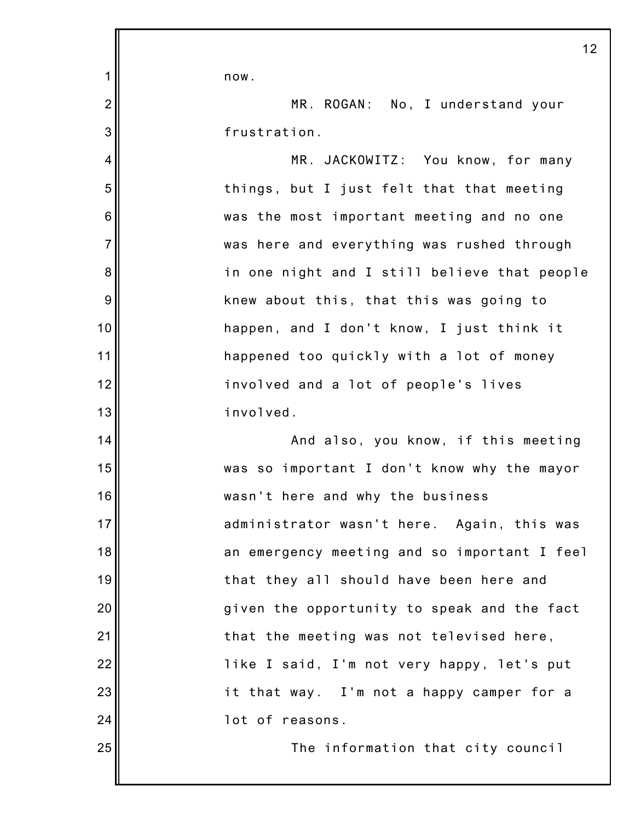now.

1

2

3

4

5

6

7

8

9

10

11

12

13

14

15

16

17

18

19

20

21

22

23

24

25

MR. ROGAN: No, I understand your frustration.

MR. JACKOWITZ: You know, for many things, but I just felt that that meeting was the most important meeting and no one was here and everything was rushed through in one night and I still believe that people knew about this, that this was going to happen, and I don't know, I just think it happened too quickly with a lot of money involved and a lot of people's lives involved.

And also, you know, if this meeting was so important I don't know why the mayor wasn't here and why the business administrator wasn't here. Again, this was an emergency meeting and so important I feel that they all should have been here and given the opportunity to speak and the fact that the meeting was not televised here, like I said, I'm not very happy, let's put it that way. I'm not a happy camper for a lot of reasons.

The information that city council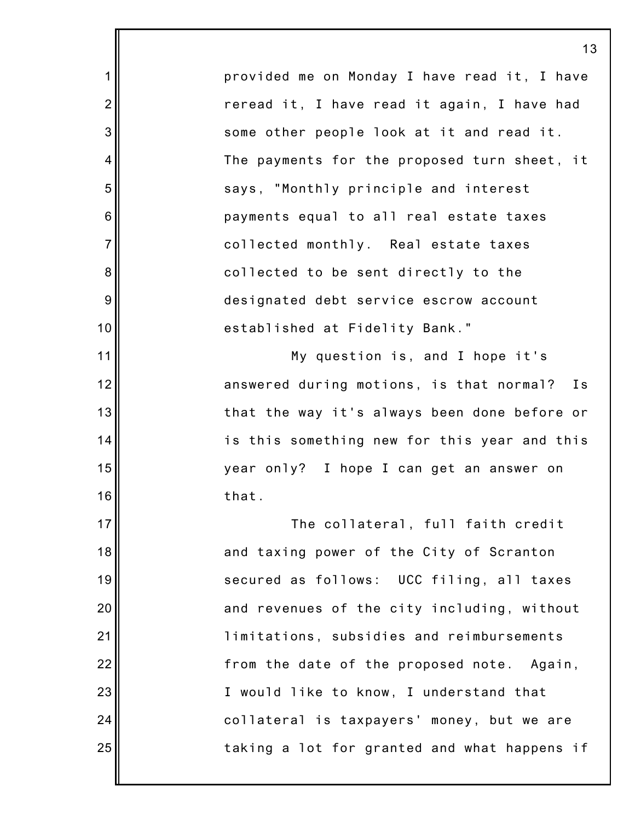provided me on Monday I have read it, I have reread it, I have read it again, I have had some other people look at it and read it. The payments for the proposed turn sheet, it says, "Monthly principle and interest payments equal to all real estate taxes collected monthly. Real estate taxes collected to be sent directly to the designated debt service escrow account established at Fidelity Bank."

1

2

3

4

5

6

7

8

9

10

11

12

13

14

15

16

17

18

19

20

21

22

23

24

25

My question is, and I hope it's answered during motions, is that normal? Is that the way it's always been done before or is this something new for this year and this year only? I hope I can get an answer on that.

The collateral, full faith credit and taxing power of the City of Scranton secured as follows: UCC filing, all taxes and revenues of the city including, without limitations, subsidies and reimbursements from the date of the proposed note. Again, I would like to know, I understand that collateral is taxpayers' money, but we are taking a lot for granted and what happens if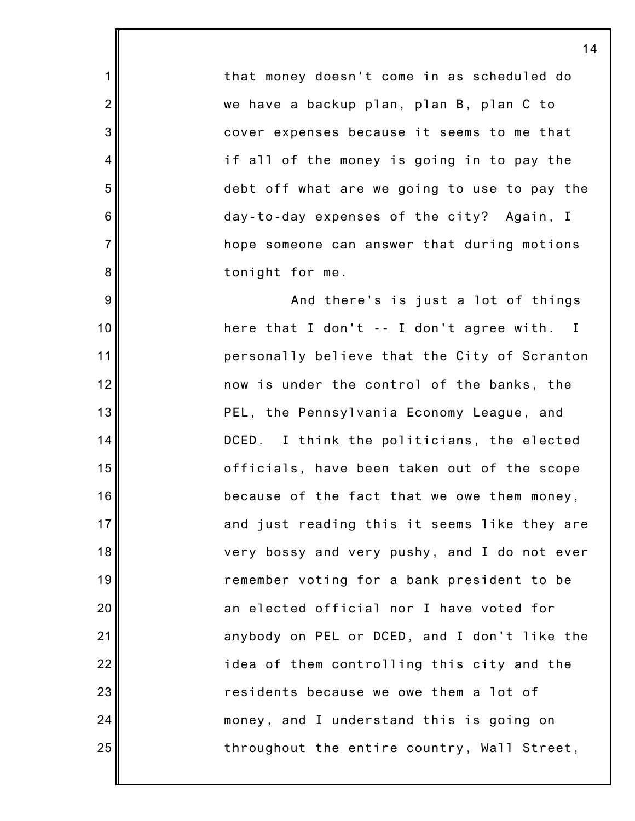that money doesn't come in as scheduled do we have a backup plan, plan B, plan C to cover expenses because it seems to me that if all of the money is going in to pay the debt off what are we going to use to pay the day-to-day expenses of the city? Again, I hope someone can answer that during motions tonight for me.

1

2

3

4

5

6

7

8

9

10

11

12

13

14

15

16

17

18

19

20

21

22

23

24

25

And there's is just a lot of things here that I don't -- I don't agree with. I personally believe that the City of Scranton now is under the control of the banks, the PEL, the Pennsylvania Economy League, and DCED. I think the politicians, the elected officials, have been taken out of the scope because of the fact that we owe them money, and just reading this it seems like they are very bossy and very pushy, and I do not ever remember voting for a bank president to be an elected official nor I have voted for anybody on PEL or DCED, and I don't like the idea of them controlling this city and the residents because we owe them a lot of money, and I understand this is going on throughout the entire country, Wall Street,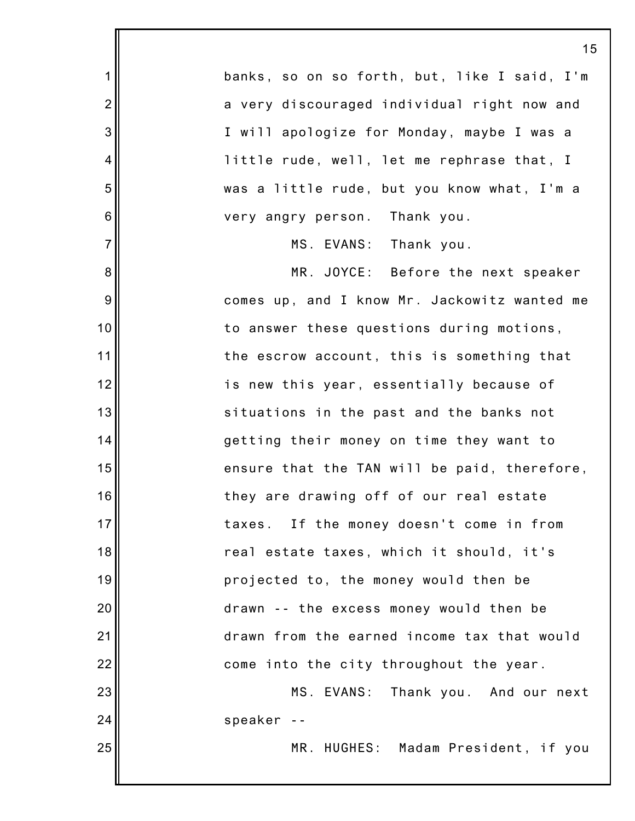|                 | 1 <sup>1</sup>                               |
|-----------------|----------------------------------------------|
| 1               | banks, so on so forth, but, like I said, I'm |
| $\overline{2}$  | a very discouraged individual right now and  |
| 3               | I will apologize for Monday, maybe I was a   |
| 4               | little rude, well, let me rephrase that, I   |
| 5               | was a little rude, but you know what, I'm a  |
| $6\phantom{1}6$ | very angry person. Thank you.                |
| $\overline{7}$  | MS. EVANS: Thank you.                        |
| 8               | MR. JOYCE: Before the next speaker           |
| 9               | comes up, and I know Mr. Jackowitz wanted me |
| 10              | to answer these questions during motions,    |
| 11              | the escrow account, this is something that   |
| 12              | is new this year, essentially because of     |
| 13              | situations in the past and the banks not     |
| 14              | getting their money on time they want to     |
| 15              | ensure that the TAN will be paid, therefore, |
| 16              | they are drawing off of our real estate      |
| 17              | taxes. If the money doesn't come in from     |
| 18              | real estate taxes, which it should, it's     |
| 19              | projected to, the money would then be        |
| 20              | drawn -- the excess money would then be      |
| 21              | drawn from the earned income tax that would  |
| 22              | come into the city throughout the year.      |
| 23              | MS. EVANS: Thank you. And our next           |
| 24              | speaker --                                   |
| 25              | MR. HUGHES: Madam President, if you          |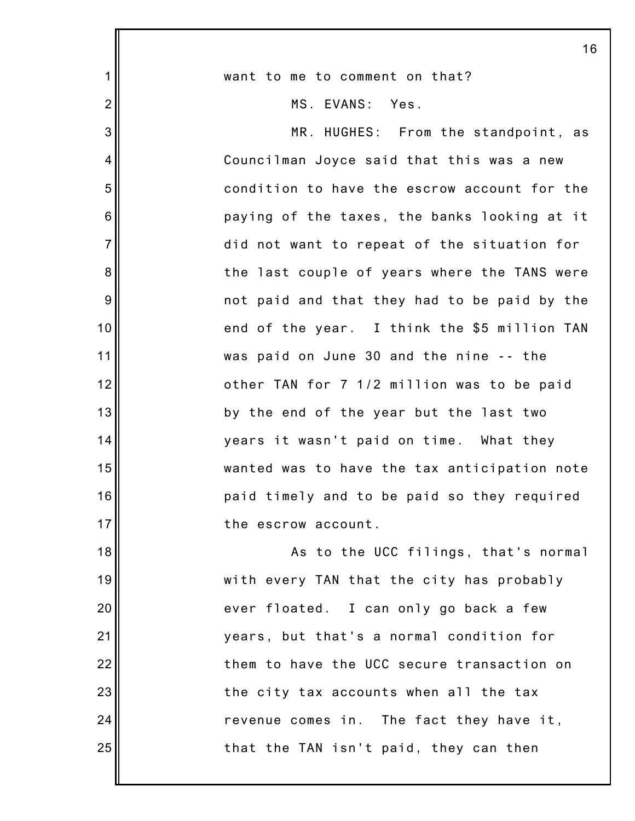|                | 16                                           |
|----------------|----------------------------------------------|
| $\mathbf 1$    | want to me to comment on that?               |
| $\overline{2}$ | MS. EVANS: Yes.                              |
| 3              | MR. HUGHES: From the standpoint, as          |
| 4              | Councilman Joyce said that this was a new    |
| 5              | condition to have the escrow account for the |
| 6              | paying of the taxes, the banks looking at it |
| $\overline{7}$ | did not want to repeat of the situation for  |
| 8              | the last couple of years where the TANS were |
| 9              | not paid and that they had to be paid by the |
| 10             | end of the year. I think the \$5 million TAN |
| 11             | was paid on June 30 and the nine -- the      |
| 12             | other TAN for 7 1/2 million was to be paid   |
| 13             | by the end of the year but the last two      |
| 14             | years it wasn't paid on time. What they      |
| 15             | wanted was to have the tax anticipation note |
| 16             | paid timely and to be paid so they required  |
| 17             | the escrow account.                          |
| 18             | As to the UCC filings, that's normal         |
| 19             | with every TAN that the city has probably    |
| 20             | ever floated. I can only go back a few       |
| 21             | years, but that's a normal condition for     |
| 22             | them to have the UCC secure transaction on   |
| 23             | the city tax accounts when all the tax       |
| 24             | revenue comes in. The fact they have it,     |
| 25             | that the TAN isn't paid, they can then       |
|                |                                              |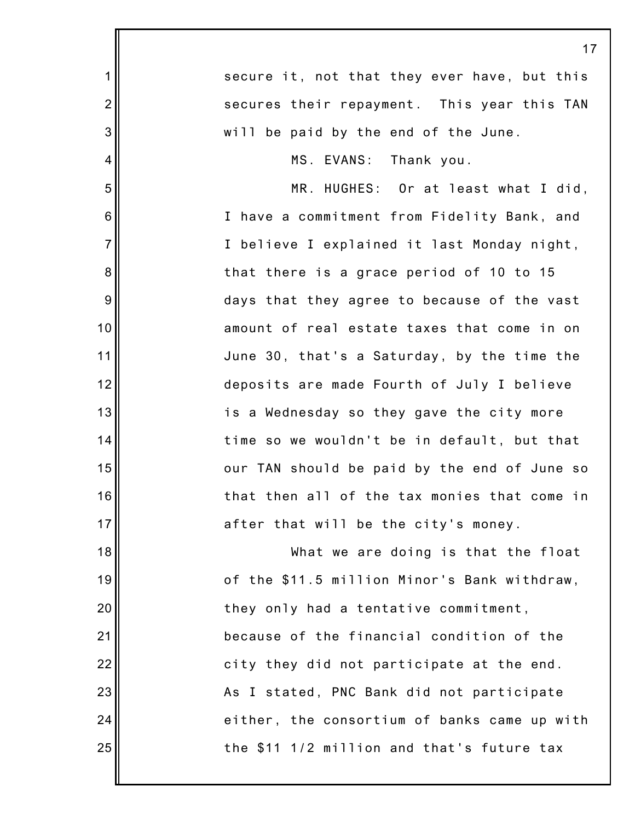|                | 17                                           |
|----------------|----------------------------------------------|
| $\mathbf 1$    | secure it, not that they ever have, but this |
| $\overline{2}$ | secures their repayment. This year this TAN  |
| 3              | will be paid by the end of the June.         |
| $\overline{4}$ | MS. EVANS: Thank you.                        |
| 5              | MR. HUGHES: Or at least what I did,          |
| $\,6$          | I have a commitment from Fidelity Bank, and  |
| $\overline{7}$ | I believe I explained it last Monday night,  |
| 8              | that there is a grace period of 10 to 15     |
| $9\,$          | days that they agree to because of the vast  |
| 10             | amount of real estate taxes that come in on  |
| 11             | June 30, that's a Saturday, by the time the  |
| 12             | deposits are made Fourth of July I believe   |
| 13             | is a Wednesday so they gave the city more    |
| 14             | time so we wouldn't be in default, but that  |
| 15             | our TAN should be paid by the end of June so |
| 16             | that then all of the tax monies that come in |
| 17             | after that will be the city's money.         |
| 18             | What we are doing is that the float          |
| 19             | of the \$11.5 million Minor's Bank withdraw, |
| 20             | they only had a tentative commitment,        |
| 21             | because of the financial condition of the    |
| 22             | city they did not participate at the end.    |
| 23             | As I stated, PNC Bank did not participate    |
| 24             | either, the consortium of banks came up with |
| 25             | the \$11 1/2 million and that's future tax   |
|                |                                              |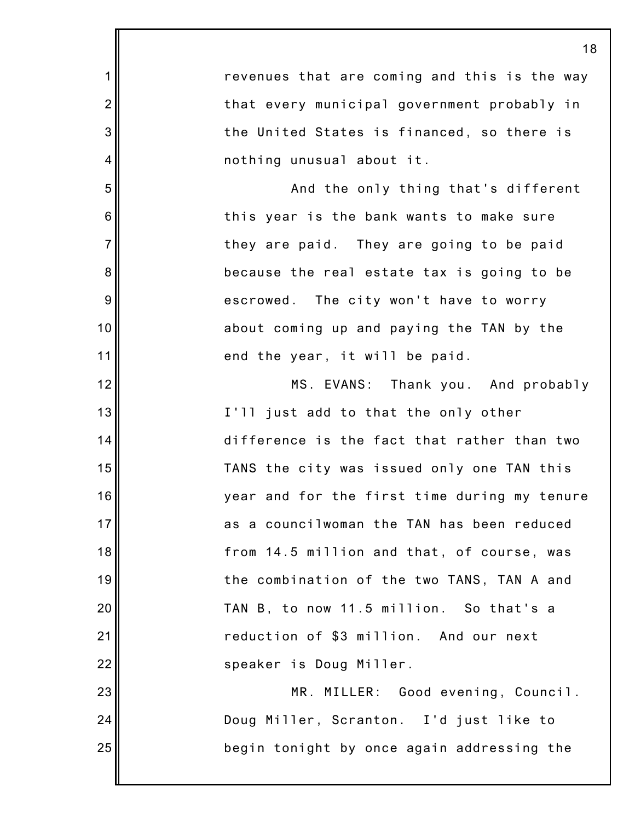1 2 3 4 5 6 7 8 9 10 11 12 13 14 15 16 17 18 19 20 21 22 23 24 25 revenues that are coming and this is the way that every municipal government probably in the United States is financed, so there is nothing unusual about it. And the only thing that's different this year is the bank wants to make sure they are paid. They are going to be paid because the real estate tax is going to be escrowed. The city won't have to worry about coming up and paying the TAN by the end the year, it will be paid. MS. EVANS: Thank you. And probably I'll just add to that the only other difference is the fact that rather than two TANS the city was issued only one TAN this year and for the first time during my tenure as a councilwoman the TAN has been reduced from 14.5 million and that, of course, was the combination of the two TANS, TAN A and TAN B, to now 11.5 million. So that's a reduction of \$3 million. And our next speaker is Doug Miller. MR. MILLER: Good evening, Council. Doug Miller, Scranton. I'd just like to begin tonight by once again addressing the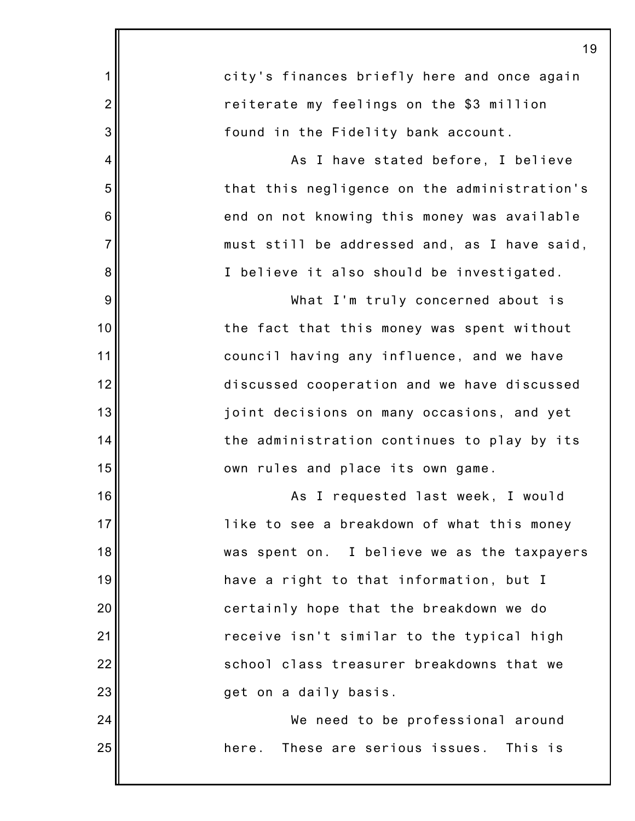|                | 19                                           |
|----------------|----------------------------------------------|
| 1              | city's finances briefly here and once again  |
| $\overline{2}$ | reiterate my feelings on the \$3 million     |
| 3              | found in the Fidelity bank account.          |
| 4              | As I have stated before, I believe           |
| 5              | that this negligence on the administration's |
| 6              | end on not knowing this money was available  |
| $\overline{7}$ | must still be addressed and, as I have said, |
| 8              | I believe it also should be investigated.    |
| 9              | What I'm truly concerned about is            |
| 10             | the fact that this money was spent without   |
| 11             | council having any influence, and we have    |
| 12             | discussed cooperation and we have discussed  |
| 13             | joint decisions on many occasions, and yet   |
| 14             | the administration continues to play by its  |
| 15             | own rules and place its own game.            |
| 16             | As I requested last week, I would            |
| 17             | like to see a breakdown of what this money   |
| 18             | was spent on. I believe we as the taxpayers  |
| 19             | have a right to that information, but I      |
| 20             | certainly hope that the breakdown we do      |
| 21             | receive isn't similar to the typical high    |
| 22             | school class treasurer breakdowns that we    |
| 23             | get on a daily basis.                        |
| 24             | We need to be professional around            |
| 25             | These are serious issues. This is<br>here.   |
|                |                                              |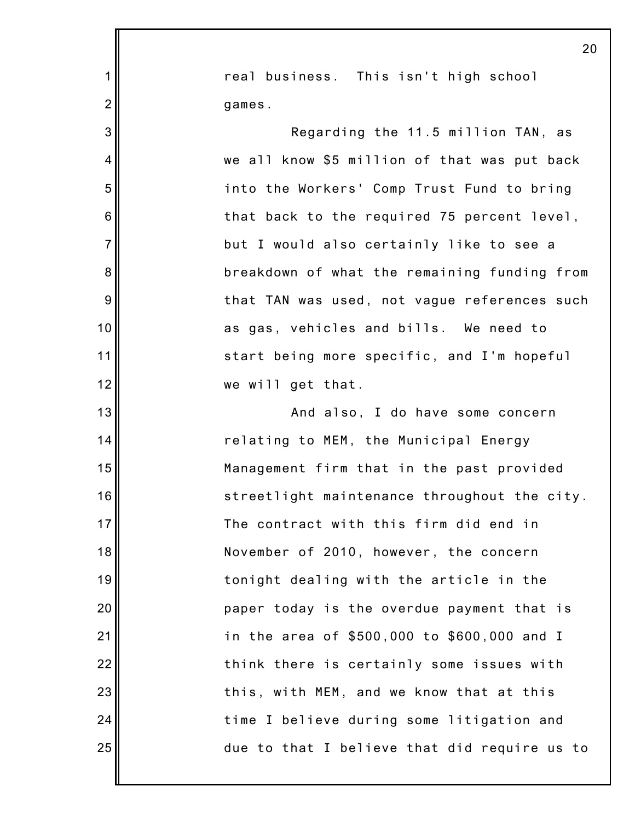|                | 20                                           |
|----------------|----------------------------------------------|
| $\mathbf 1$    | real business. This isn't high school        |
| $\overline{2}$ | games.                                       |
| 3              | Regarding the 11.5 million TAN, as           |
| 4              | we all know \$5 million of that was put back |
| 5              | into the Workers' Comp Trust Fund to bring   |
| 6              | that back to the required 75 percent level,  |
| $\overline{7}$ | but I would also certainly like to see a     |
| 8              | breakdown of what the remaining funding from |
| 9              | that TAN was used, not vague references such |
| 10             | as gas, vehicles and bills. We need to       |
| 11             | start being more specific, and I'm hopeful   |
| 12             | we will get that.                            |
| 13             | And also, I do have some concern             |
| 14             | relating to MEM, the Municipal Energy        |
| 15             | Management firm that in the past provided    |
| 16             | streetlight maintenance throughout the city. |
| 17             | The contract with this firm did end in       |
| 18             | November of 2010, however, the concern       |
| 19             | tonight dealing with the article in the      |
| 20             | paper today is the overdue payment that is   |
| 21             | in the area of \$500,000 to \$600,000 and I  |
| 22             | think there is certainly some issues with    |
| 23             | this, with MEM, and we know that at this     |
| 24             | time I believe during some litigation and    |
| 25             | due to that I believe that did require us to |
|                |                                              |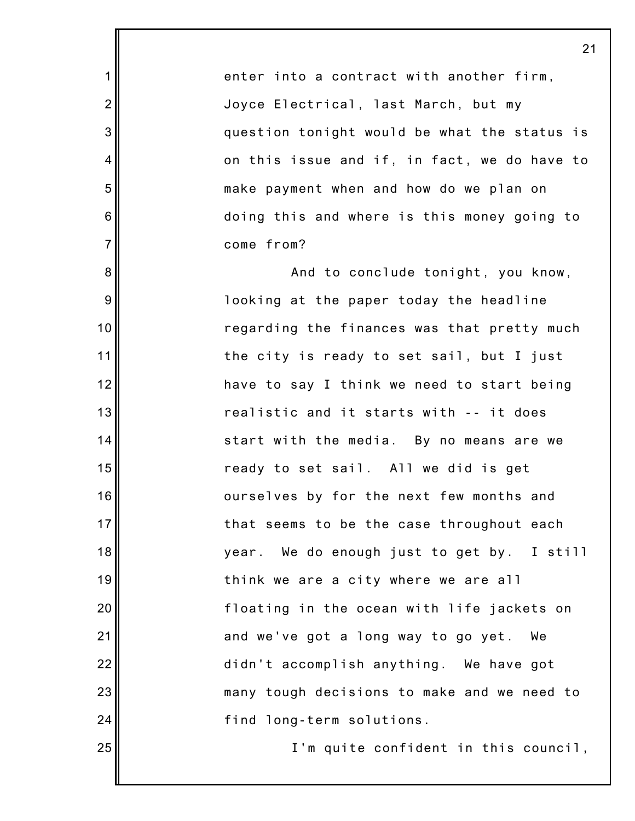enter into a contract with another firm, Joyce Electrical, last March, but my question tonight would be what the status is on this issue and if, in fact, we do have to make payment when and how do we plan on doing this and where is this money going to come from?

1

2

3

4

5

6

7

8

9

10

11

12

13

14

15

16

17

18

19

20

21

22

23

24

25

And to conclude tonight, you know, looking at the paper today the headline regarding the finances was that pretty much the city is ready to set sail, but I just have to say I think we need to start being realistic and it starts with -- it does start with the media. By no means are we ready to set sail. All we did is get ourselves by for the next few months and that seems to be the case throughout each year. We do enough just to get by. I still think we are a city where we are all floating in the ocean with life jackets on and we've got a long way to go yet. We didn't accomplish anything. We have got many tough decisions to make and we need to find long-term solutions.

I'm quite confident in this council,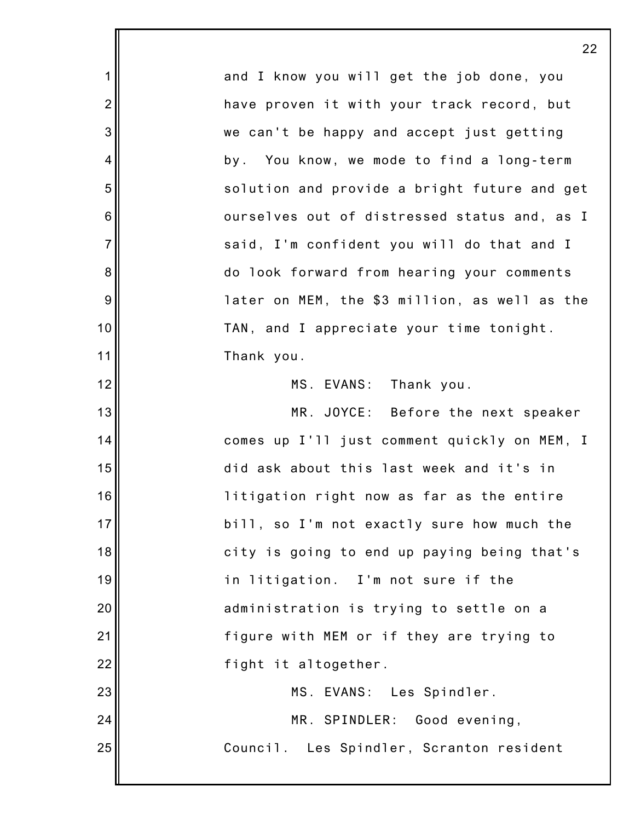|                | 22                                            |
|----------------|-----------------------------------------------|
| 1              | and I know you will get the job done, you     |
| $\overline{2}$ | have proven it with your track record, but    |
| 3              | we can't be happy and accept just getting     |
| 4              | by. You know, we mode to find a long-term     |
| 5              | solution and provide a bright future and get  |
| 6              | ourselves out of distressed status and, as I  |
| $\overline{7}$ | said, I'm confident you will do that and I    |
| 8              | do look forward from hearing your comments    |
| 9              | later on MEM, the \$3 million, as well as the |
| 10             | TAN, and I appreciate your time tonight.      |
| 11             | Thank you.                                    |
| 12             | MS. EVANS: Thank you.                         |
| 13             | MR. JOYCE: Before the next speaker            |
| 14             | comes up I'll just comment quickly on MEM, I  |
| 15             | did ask about this last week and it's in      |
| 16             | litigation right now as far as the entire     |
| 17             | bill, so I'm not exactly sure how much the    |
| 18             | city is going to end up paying being that's   |
| 19             | in litigation. I'm not sure if the            |
| 20             | administration is trying to settle on a       |
| 21             | figure with MEM or if they are trying to      |
| 22             | fight it altogether.                          |
| 23             | MS. EVANS: Les Spindler.                      |
| 24             | MR. SPINDLER:<br>Good evening,                |
| 25             | Council. Les Spindler, Scranton resident      |
|                |                                               |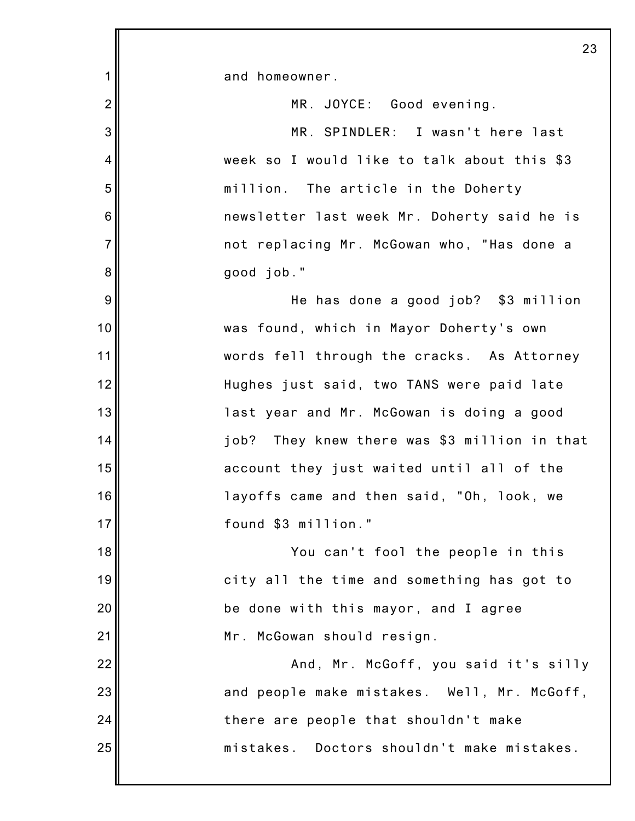1 2 3 4 5 6 7 8 9 10 11 12 13 14 15 16 17 18 19 20 21 22 23 24 25 23 and homeowner. MR. JOYCE: Good evening. MR. SPINDLER: I wasn't here last week so I would like to talk about this \$3 million. The article in the Doherty newsletter last week Mr. Doherty said he is not replacing Mr. McGowan who, "Has done a good job." He has done a good job? \$3 million was found, which in Mayor Doherty's own words fell through the cracks. As Attorney Hughes just said, two TANS were paid late last year and Mr. McGowan is doing a good job? They knew there was \$3 million in that account they just waited until all of the layoffs came and then said, "Oh, look, we found \$3 million." You can't fool the people in this city all the time and something has got to be done with this mayor, and I agree Mr. McGowan should resign. And, Mr. McGoff, you said it's silly and people make mistakes. Well, Mr. McGoff, there are people that shouldn't make mistakes. Doctors shouldn't make mistakes.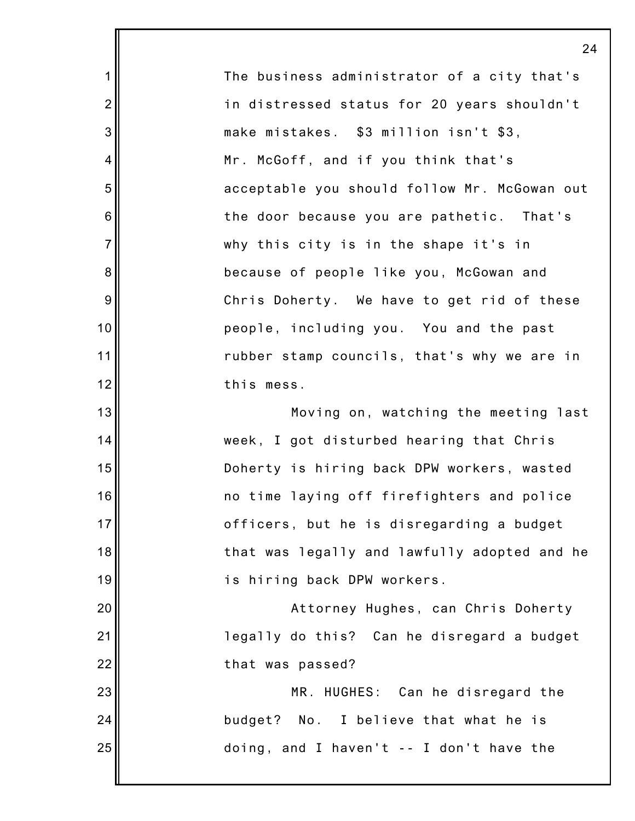1 2 3 4 5 6 7 8 9 10 11 12 13 14 15 16 17 18 19 20 21 22 23 24 25 24 The business administrator of a city that's in distressed status for 20 years shouldn't make mistakes. \$3 million isn't \$3, Mr. McGoff, and if you think that's acceptable you should follow Mr. McGowan out the door because you are pathetic. That's why this city is in the shape it's in because of people like you, McGowan and Chris Doherty. We have to get rid of these people, including you. You and the past rubber stamp councils, that's why we are in this mess. Moving on, watching the meeting last week, I got disturbed hearing that Chris Doherty is hiring back DPW workers, wasted no time laying off firefighters and police officers, but he is disregarding a budget that was legally and lawfully adopted and he is hiring back DPW workers. Attorney Hughes, can Chris Doherty legally do this? Can he disregard a budget that was passed? MR. HUGHES: Can he disregard the budget? No. I believe that what he is doing, and I haven't -- I don't have the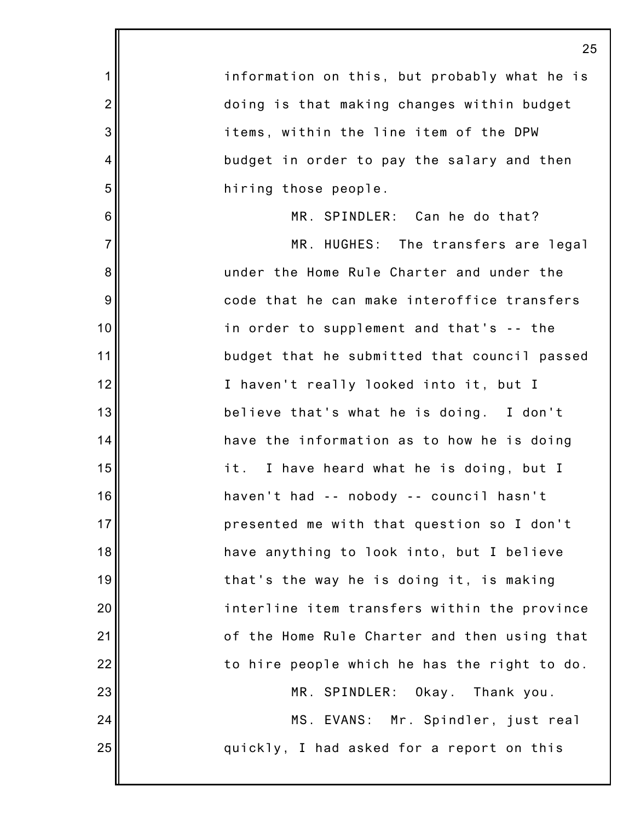|                | 25                                           |
|----------------|----------------------------------------------|
| 1              | information on this, but probably what he is |
| $\overline{2}$ | doing is that making changes within budget   |
| 3              | items, within the line item of the DPW       |
| 4              | budget in order to pay the salary and then   |
| 5              | hiring those people.                         |
| 6              | MR. SPINDLER: Can he do that?                |
| $\overline{7}$ | MR. HUGHES: The transfers are legal          |
| 8              | under the Home Rule Charter and under the    |
| 9              | code that he can make interoffice transfers  |
| 10             | in order to supplement and that's -- the     |
| 11             | budget that he submitted that council passed |
| 12             | I haven't really looked into it, but I       |
| 13             | believe that's what he is doing. I don't     |
| 14             | have the information as to how he is doing   |
| 15             | it.<br>I have heard what he is doing, but I  |
| 16             | haven't had -- nobody -- council hasn't      |
| 17             | presented me with that question so I don't   |
| 18             | have anything to look into, but I believe    |
| 19             | that's the way he is doing it, is making     |
| 20             | interline item transfers within the province |
| 21             | of the Home Rule Charter and then using that |
| 22             | to hire people which he has the right to do. |
| 23             | MR. SPINDLER: Okay. Thank you.               |
| 24             | MS. EVANS: Mr. Spindler, just real           |
| 25             | quickly, I had asked for a report on this    |
|                |                                              |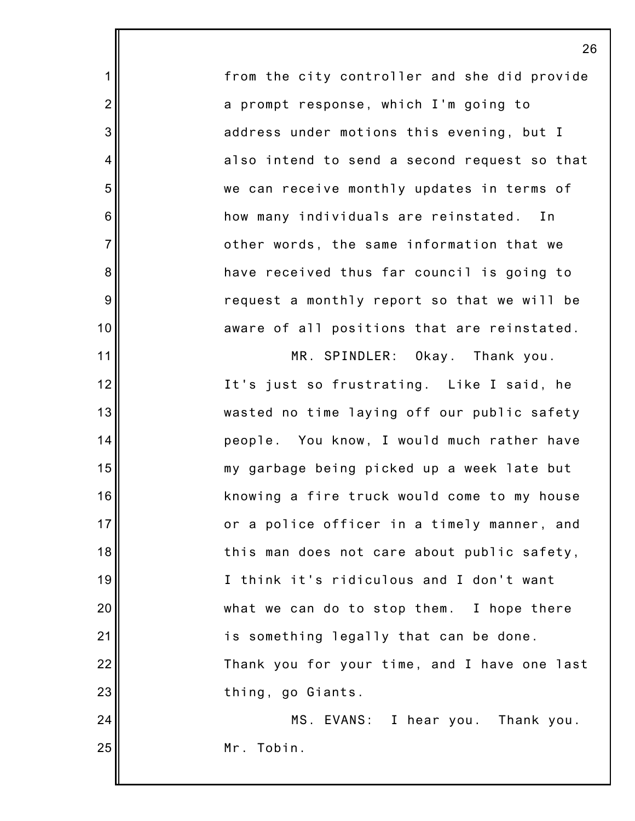from the city controller and she did provide a prompt response, which I'm going to address under motions this evening, but I also intend to send a second request so that we can receive monthly updates in terms of how many individuals are reinstated. In other words, the same information that we have received thus far council is going to request a monthly report so that we will be aware of all positions that are reinstated.

1

2

3

4

5

6

7

8

9

10

11

12

13

14

15

16

17

18

19

20

21

22

23

MR. SPINDLER: Okay. Thank you. It's just so frustrating. Like I said, he wasted no time laying off our public safety people. You know, I would much rather have my garbage being picked up a week late but knowing a fire truck would come to my house or a police officer in a timely manner, and this man does not care about public safety, I think it's ridiculous and I don't want what we can do to stop them. I hope there is something legally that can be done. Thank you for your time, and I have one last thing, go Giants.

24 25 MS. EVANS: I hear you. Thank you. Mr. Tobin.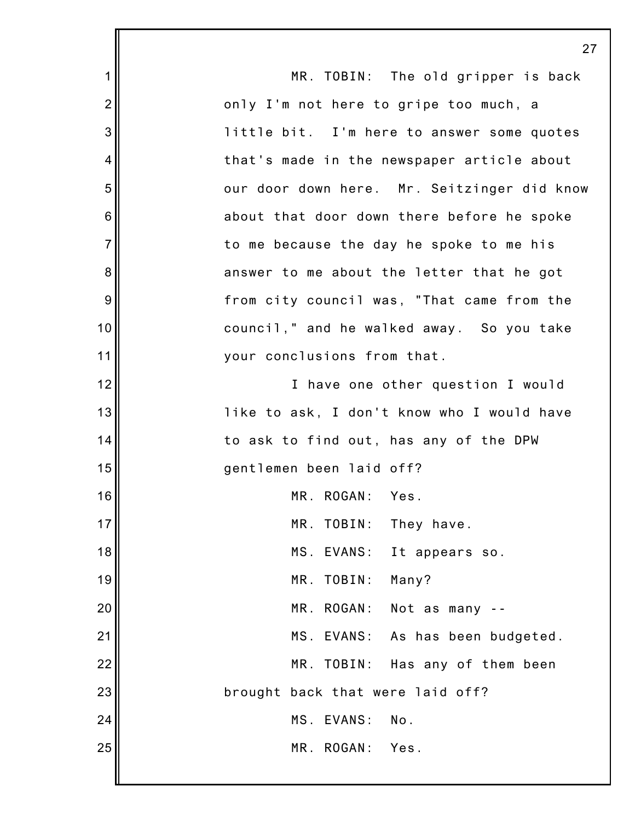|                | 27                                          |
|----------------|---------------------------------------------|
| 1              | MR. TOBIN: The old gripper is back          |
| $\overline{2}$ | only I'm not here to gripe too much, a      |
| 3              | little bit. I'm here to answer some quotes  |
| 4              | that's made in the newspaper article about  |
| 5              | our door down here. Mr. Seitzinger did know |
| 6              | about that door down there before he spoke  |
| $\overline{7}$ | to me because the day he spoke to me his    |
| 8              | answer to me about the letter that he got   |
| 9              | from city council was, "That came from the  |
| 10             | council," and he walked away. So you take   |
| 11             | your conclusions from that.                 |
| 12             | I have one other question I would           |
| 13             | like to ask, I don't know who I would have  |
| 14             | to ask to find out, has any of the DPW      |
| 15             | gentlemen been laid off?                    |
| 16             | MR. ROGAN:<br>Yes.                          |
| 17             | MR. TOBIN:<br>They have.                    |
| 18             | MS EVANS:<br>It appears so.                 |
| 19             | Many?<br>MR. TOBIN:                         |
| 20             | MR. ROGAN:<br>Not as many --                |
| 21             | MS. EVANS: As has been budgeted.            |
| 22             | MR. TOBIN:<br>Has any of them been          |
| 23             | brought back that were laid off?            |
| 24             | MS. EVANS:<br>No.                           |
| 25             | MR. ROGAN: Yes.                             |
|                |                                             |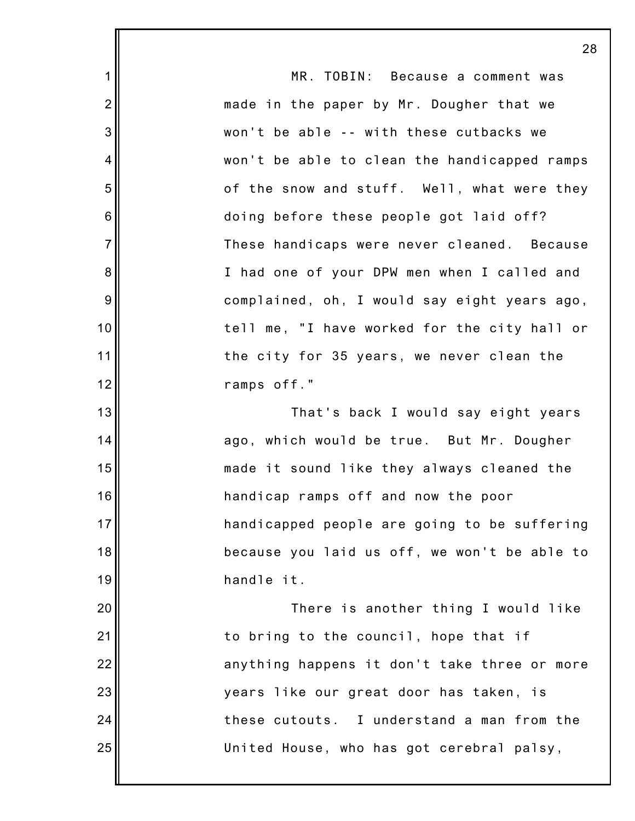1 2 3 4 5 6 7 8 9 10 11 12 13 14 15 16 17 18 19 20 21 22 23 24 25 28 MR. TOBIN: Because a comment was made in the paper by Mr. Dougher that we won't be able -- with these cutbacks we won't be able to clean the handicapped ramps of the snow and stuff. Well, what were they doing before these people got laid off? These handicaps were never cleaned. Because I had one of your DPW men when I called and complained, oh, I would say eight years ago, tell me, "I have worked for the city hall or the city for 35 years, we never clean the ramps off." That's back I would say eight years ago, which would be true. But Mr. Dougher made it sound like they always cleaned the handicap ramps off and now the poor handicapped people are going to be suffering because you laid us off, we won't be able to handle it. There is another thing I would like to bring to the council, hope that if anything happens it don't take three or more years like our great door has taken, is these cutouts. I understand a man from the United House, who has got cerebral palsy,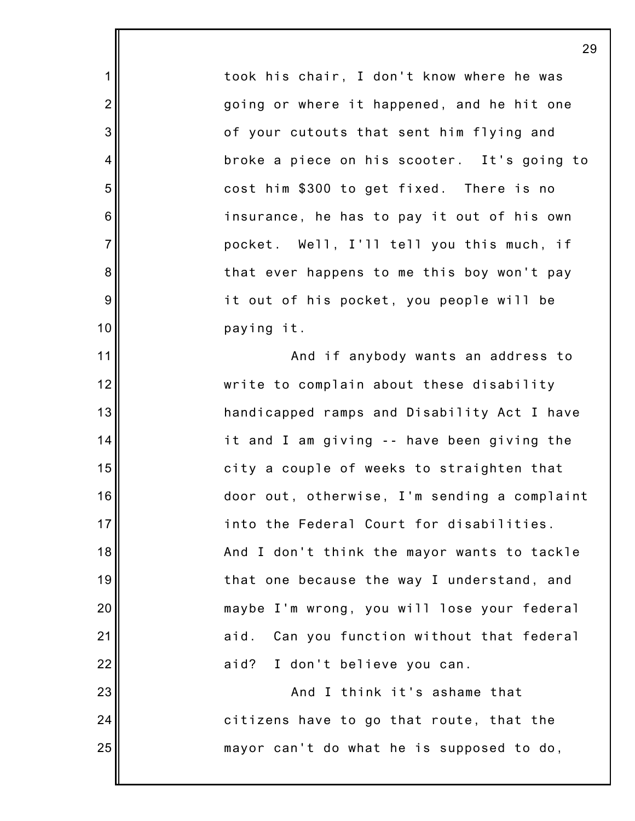took his chair, I don't know where he was going or where it happened, and he hit one of your cutouts that sent him flying and broke a piece on his scooter. It's going to cost him \$300 to get fixed. There is no insurance, he has to pay it out of his own pocket. Well, I'll tell you this much, if that ever happens to me this boy won't pay it out of his pocket, you people will be paying it.

1

2

3

4

5

6

7

8

9

10

11

12

13

14

15

16

17

18

19

20

21

22

23

24

25

And if anybody wants an address to write to complain about these disability handicapped ramps and Disability Act I have it and I am giving -- have been giving the city a couple of weeks to straighten that door out, otherwise, I'm sending a complaint into the Federal Court for disabilities. And I don't think the mayor wants to tackle that one because the way I understand, and maybe I'm wrong, you will lose your federal aid. Can you function without that federal aid? I don't believe you can.

And I think it's ashame that citizens have to go that route, that the mayor can't do what he is supposed to do,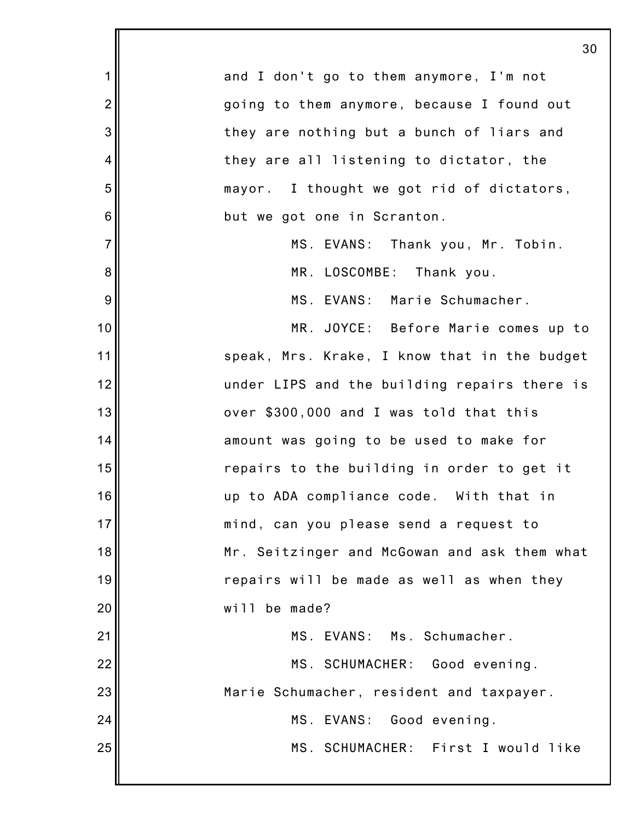|                | 30                                           |
|----------------|----------------------------------------------|
| $\mathbf 1$    | and I don't go to them anymore, I'm not      |
| $\overline{2}$ | going to them anymore, because I found out   |
| 3              | they are nothing but a bunch of liars and    |
| 4              | they are all listening to dictator, the      |
| 5              | mayor. I thought we got rid of dictators,    |
| 6              | but we got one in Scranton.                  |
| $\overline{7}$ | MS. EVANS: Thank you, Mr. Tobin.             |
| 8              | MR. LOSCOMBE: Thank you.                     |
| 9              | MS. EVANS: Marie Schumacher.                 |
| 10             | MR. JOYCE: Before Marie comes up to          |
| 11             | speak, Mrs. Krake, I know that in the budget |
| 12             | under LIPS and the building repairs there is |
| 13             | over \$300,000 and I was told that this      |
| 14             | amount was going to be used to make for      |
| 15             | repairs to the building in order to get it   |
| 16             | up to ADA compliance code. With that in      |
| 17             | mind, can you please send a request to       |
| 18             | Mr. Seitzinger and McGowan and ask them what |
| 19             | repairs will be made as well as when they    |
| 20             | will be made?                                |
| 21             | MS. EVANS: Ms. Schumacher.                   |
| 22             | MS. SCHUMACHER: Good evening.                |
| 23             | Marie Schumacher, resident and taxpayer.     |
| 24             | MS. EVANS:<br>Good evening.                  |
| 25             | MS. SCHUMACHER: First I would like           |
|                |                                              |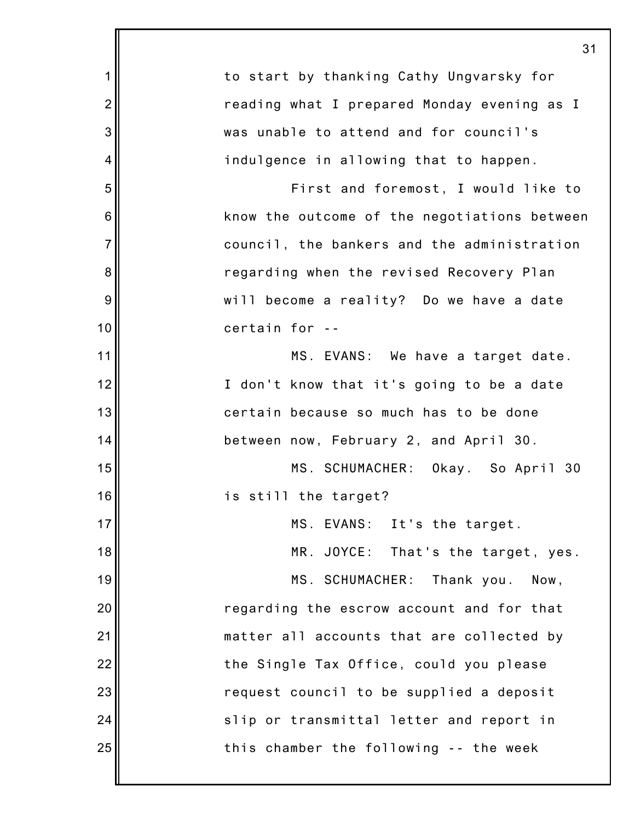|                | 31                                           |
|----------------|----------------------------------------------|
| 1              | to start by thanking Cathy Ungvarsky for     |
| $\overline{2}$ | reading what I prepared Monday evening as I  |
| 3              | was unable to attend and for council's       |
| 4              | indulgence in allowing that to happen.       |
| 5              | First and foremost, I would like to          |
| 6              | know the outcome of the negotiations between |
| $\overline{7}$ | council, the bankers and the administration  |
| 8              | regarding when the revised Recovery Plan     |
| 9              | will become a reality? Do we have a date     |
| 10             | certain for --                               |
| 11             | MS. EVANS: We have a target date.            |
| 12             | I don't know that it's going to be a date    |
| 13             | certain because so much has to be done       |
| 14             | between now, February 2, and April 30.       |
| 15             | MS. SCHUMACHER: Okay. So April 30            |
| 16             | is still the target?                         |
| 17             | MS. EVANS: It's the target.                  |
| 18             | MR. JOYCE: That's the target, yes.           |
| 19             | MS. SCHUMACHER:<br>Thank you.<br>Now,        |
| 20             | regarding the escrow account and for that    |
| 21             | matter all accounts that are collected by    |
| 22             | the Single Tax Office, could you please      |
| 23             | request council to be supplied a deposit     |
| 24             | slip or transmittal letter and report in     |
| 25             | this chamber the following -- the week       |
|                |                                              |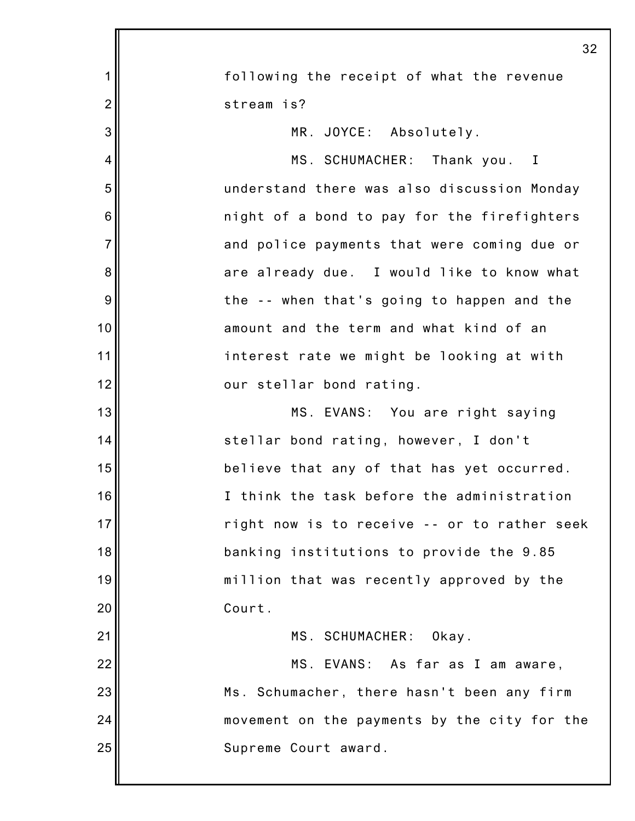|                | 32                                           |
|----------------|----------------------------------------------|
| 1              | following the receipt of what the revenue    |
| $\overline{2}$ | stream is?                                   |
| 3              | MR. JOYCE: Absolutely.                       |
| 4              | MS. SCHUMACHER: Thank you. I                 |
| 5              | understand there was also discussion Monday  |
| 6              | night of a bond to pay for the firefighters  |
| $\overline{7}$ | and police payments that were coming due or  |
| 8              | are already due. I would like to know what   |
| 9              | the -- when that's going to happen and the   |
| 10             | amount and the term and what kind of an      |
| 11             | interest rate we might be looking at with    |
| 12             | our stellar bond rating.                     |
| 13             | MS. EVANS: You are right saying              |
| 14             | stellar bond rating, however, I don't        |
| 15             | believe that any of that has yet occurred.   |
| 16             | I think the task before the administration   |
| 17             | right now is to receive -- or to rather seek |
| 18             | banking institutions to provide the 9.85     |
| 19             | million that was recently approved by the    |
| 20             | Court.                                       |
| 21             | MS. SCHUMACHER: Okay.                        |
| 22             | MS. EVANS: As far as I am aware,             |
| 23             | Ms. Schumacher, there hasn't been any firm   |
| 24             | movement on the payments by the city for the |
| 25             | Supreme Court award.                         |
|                |                                              |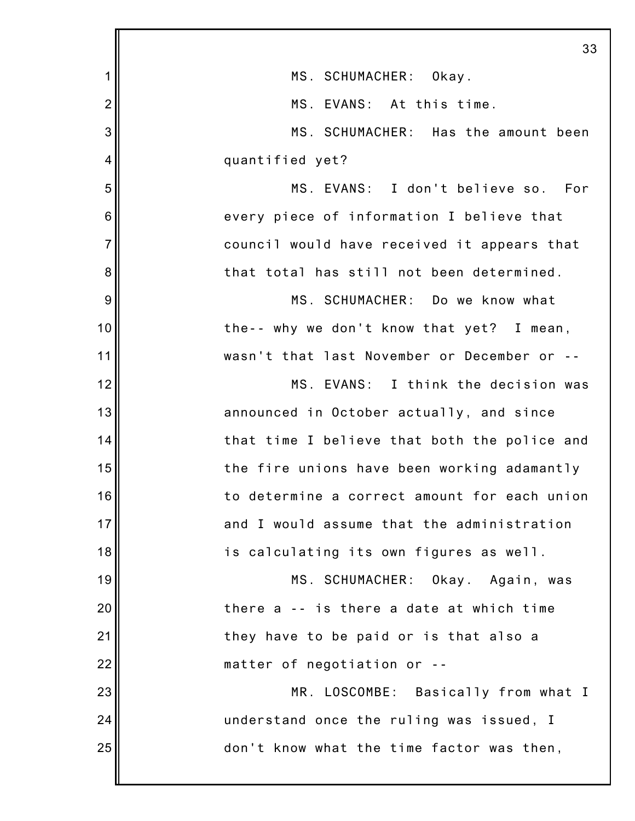|                | 33                                           |
|----------------|----------------------------------------------|
| 1              | MS. SCHUMACHER: Okay.                        |
| $\overline{2}$ | MS. EVANS: At this time.                     |
| 3              | MS. SCHUMACHER: Has the amount been          |
| 4              | quantified yet?                              |
| 5              | MS. EVANS: I don't believe so. For           |
| 6              | every piece of information I believe that    |
| $\overline{7}$ | council would have received it appears that  |
| 8              | that total has still not been determined.    |
| 9              | MS. SCHUMACHER: Do we know what              |
| 10             | the-- why we don't know that yet? I mean,    |
| 11             | wasn't that last November or December or --  |
| 12             | MS. EVANS: I think the decision was          |
| 13             | announced in October actually, and since     |
| 14             | that time I believe that both the police and |
| 15             | the fire unions have been working adamantly  |
| 16             | to determine a correct amount for each union |
| 17             | and I would assume that the administration   |
| 18             | is calculating its own figures as well.      |
| 19             | MS. SCHUMACHER: Okay. Again, was             |
| 20             | there a -- is there a date at which time     |
| 21             | they have to be paid or is that also a       |
| 22             | matter of negotiation or --                  |
| 23             | MR. LOSCOMBE: Basically from what I          |
| 24             | understand once the ruling was issued, I     |
| 25             | don't know what the time factor was then,    |
|                |                                              |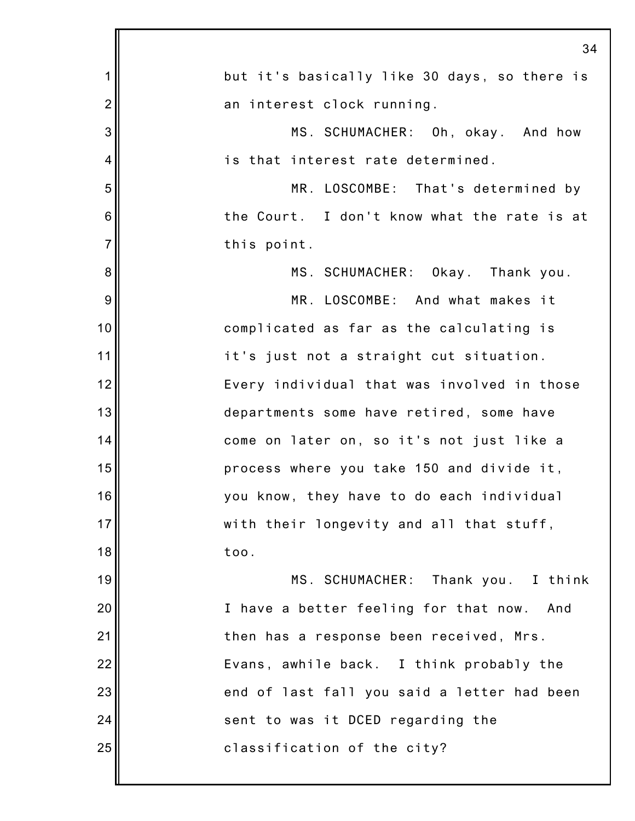|                | 34                                           |
|----------------|----------------------------------------------|
| 1              | but it's basically like 30 days, so there is |
| $\overline{2}$ | an interest clock running.                   |
| 3              | MS. SCHUMACHER: Oh, okay. And how            |
| 4              | is that interest rate determined.            |
| 5              | MR. LOSCOMBE: That's determined by           |
| 6              | the Court. I don't know what the rate is at  |
| $\overline{7}$ | this point.                                  |
| 8              | MS. SCHUMACHER: Okay. Thank you.             |
| 9              | MR. LOSCOMBE: And what makes it              |
| 10             | complicated as far as the calculating is     |
| 11             | it's just not a straight cut situation.      |
| 12             | Every individual that was involved in those  |
| 13             | departments some have retired, some have     |
| 14             | come on later on, so it's not just like a    |
| 15             | process where you take 150 and divide it,    |
| 16             | you know, they have to do each individual    |
| 17             | with their longevity and all that stuff,     |
| 18             | too.                                         |
| 19             | MS. SCHUMACHER: Thank you. I think           |
| 20             | I have a better feeling for that now. And    |
| 21             | then has a response been received, Mrs.      |
| 22             | Evans, awhile back. I think probably the     |
| 23             | end of last fall you said a letter had been  |
| 24             | sent to was it DCED regarding the            |
| 25             | classification of the city?                  |
|                |                                              |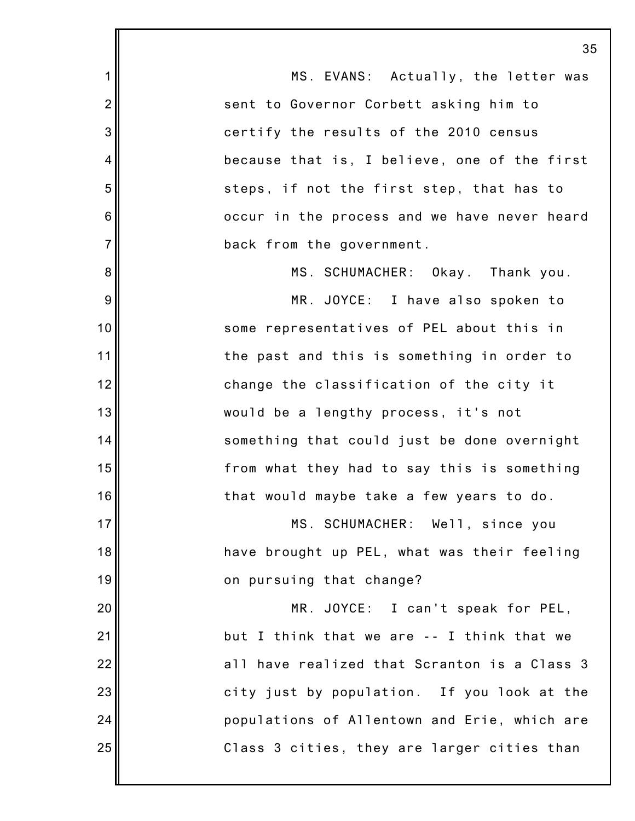1 2 3 4 5 6 7 8 9 10 11 12 13 14 15 16 17 18 19 20 21 22 23 24 25 35 MS. EVANS: Actually, the letter was sent to Governor Corbett asking him to certify the results of the 2010 census because that is, I believe, one of the first steps, if not the first step, that has to occur in the process and we have never heard back from the government. MS. SCHUMACHER: Okay. Thank you. MR. JOYCE: I have also spoken to some representatives of PEL about this in the past and this is something in order to change the classification of the city it would be a lengthy process, it's not something that could just be done overnight from what they had to say this is something that would maybe take a few years to do. MS. SCHUMACHER: Well, since you have brought up PEL, what was their feeling on pursuing that change? MR. JOYCE: I can't speak for PEL, but I think that we are -- I think that we all have realized that Scranton is a Class 3 city just by population. If you look at the populations of Allentown and Erie, which are Class 3 cities, they are larger cities than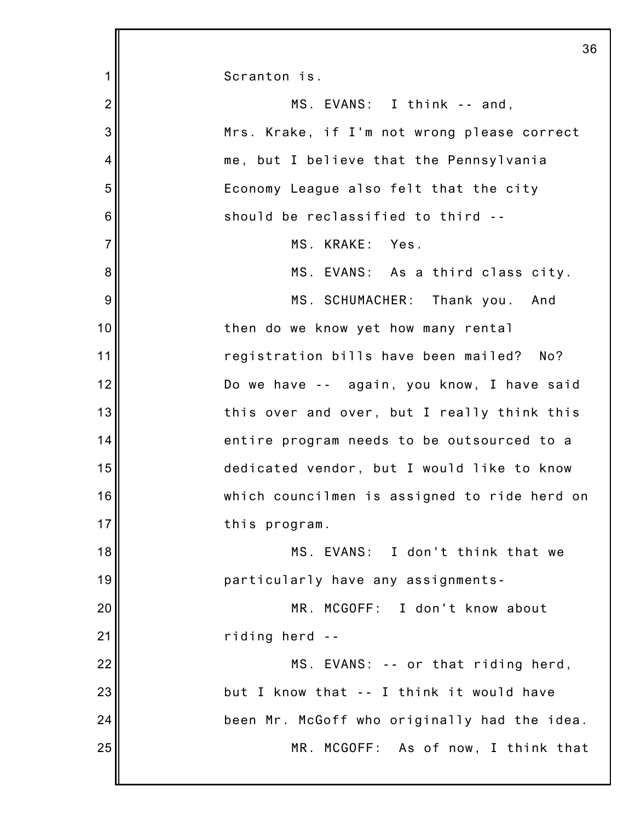|                | 36                                           |
|----------------|----------------------------------------------|
| 1              | Scranton is.                                 |
| $\overline{2}$ | MS. EVANS: I think -- and,                   |
| 3              | Mrs. Krake, if I'm not wrong please correct  |
| 4              | me, but I believe that the Pennsylvania      |
| 5              | Economy League also felt that the city       |
| 6              | should be reclassified to third --           |
| $\overline{7}$ | MS. KRAKE: Yes.                              |
| 8              | MS. EVANS: As a third class city.            |
| 9              | MS. SCHUMACHER: Thank you.<br>And            |
| 10             | then do we know yet how many rental          |
| 11             | registration bills have been mailed? No?     |
| 12             | Do we have -- again, you know, I have said   |
| 13             | this over and over, but I really think this  |
| 14             | entire program needs to be outsourced to a   |
| 15             | dedicated vendor, but I would like to know   |
| 16             | which councilmen is assigned to ride herd on |
| 17             | this program.                                |
| 18             | MS. EVANS: I don't think that we             |
| 19             | particularly have any assignments-           |
| 20             | MR. MCGOFF: I don't know about               |
| 21             | riding herd --                               |
| 22             | MS. EVANS: -- or that riding herd,           |
| 23             | but I know that -- I think it would have     |
| 24             | been Mr. McGoff who originally had the idea. |
| 25             | MR. MCGOFF: As of now, I think that          |
|                |                                              |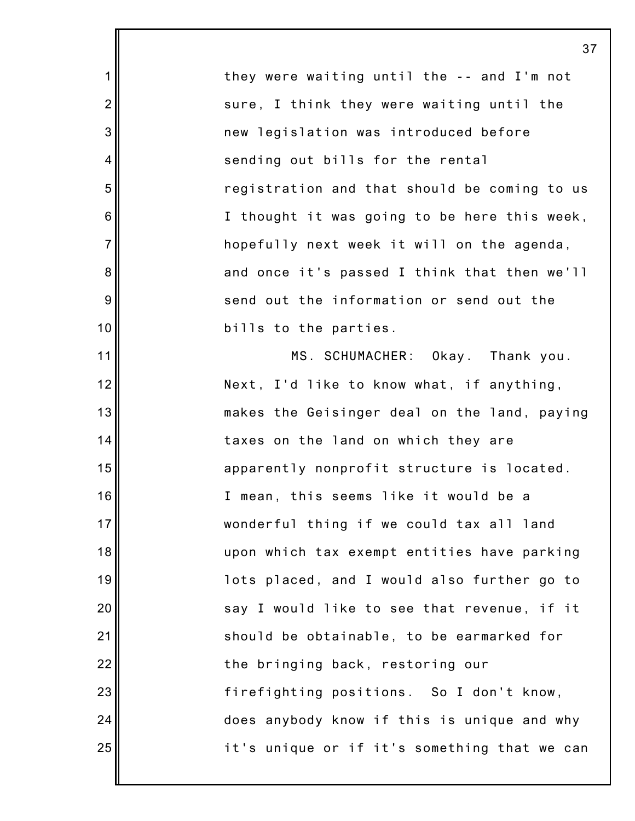|                  | 3 <sup>1</sup>                               |
|------------------|----------------------------------------------|
| 1                | they were waiting until the -- and I'm not   |
| $\overline{c}$   | sure, I think they were waiting until the    |
| 3                | new legislation was introduced before        |
| 4                | sending out bills for the rental             |
| 5                | registration and that should be coming to us |
| $6\phantom{1}6$  | I thought it was going to be here this week, |
| $\overline{7}$   | hopefully next week it will on the agenda,   |
| 8                | and once it's passed I think that then we'll |
| $\boldsymbol{9}$ | send out the information or send out the     |
| 10               | bills to the parties.                        |
| 11               | MS. SCHUMACHER: Okay. Thank you.             |
| 12               | Next, I'd like to know what, if anything,    |
| 13               | makes the Geisinger deal on the land, paying |
| 14               | taxes on the land on which they are          |
| 15               | apparently nonprofit structure is located.   |
| 16               | I mean, this seems like it would be a        |
| 17               | wonderful thing if we could tax all land     |
| 18               | upon which tax exempt entities have parking  |
| 19               | lots placed, and I would also further go to  |
| 20               | say I would like to see that revenue, if it  |
| 21               | should be obtainable, to be earmarked for    |
| 22               | the bringing back, restoring our             |
| 23               | firefighting positions. So I don't know,     |
| 24               | does anybody know if this is unique and why  |
| 25               | it's unique or if it's something that we can |
|                  |                                              |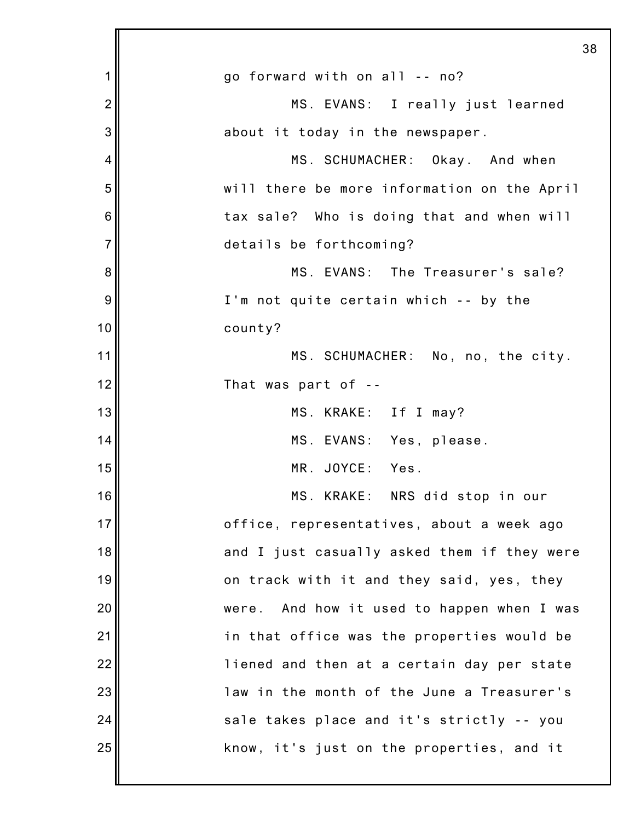|                | 38                                            |
|----------------|-----------------------------------------------|
| 1              | go forward with on all -- no?                 |
| $\overline{c}$ | MS. EVANS: I really just learned              |
| 3              | about it today in the newspaper.              |
| 4              | MS. SCHUMACHER: Okay. And when                |
| 5              | will there be more information on the April   |
| 6              | tax sale? Who is doing that and when will     |
| $\overline{7}$ | details be forthcoming?                       |
| 8              | MS. EVANS: The Treasurer's sale?              |
| 9              | I'm not quite certain which -- by the         |
| 10             | county?                                       |
| 11             | MS. SCHUMACHER: No, no, the city.             |
| 12             | That was part of --                           |
| 13             | MS. KRAKE: If I may?                          |
| 14             | MS. EVANS: Yes, please.                       |
| 15             | MR. JOYCE: Yes.                               |
| 16             | MS. KRAKE: NRS did stop in our                |
| 17             | office, representatives, about a week ago     |
| 18             | and I just casually asked them if they were   |
| 19             | on track with it and they said, yes, they     |
| 20             | And how it used to happen when I was<br>were. |
| 21             | in that office was the properties would be    |
| 22             | liened and then at a certain day per state    |
| 23             | law in the month of the June a Treasurer's    |
| 24             | sale takes place and it's strictly -- you     |
| 25             | know, it's just on the properties, and it     |
|                |                                               |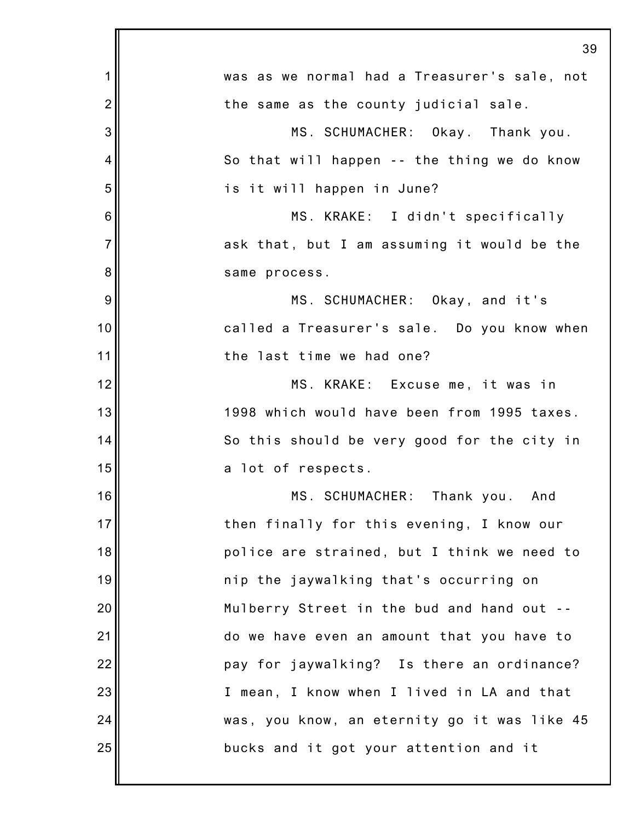|                | 39                                           |
|----------------|----------------------------------------------|
| 1              | was as we normal had a Treasurer's sale, not |
| $\overline{2}$ | the same as the county judicial sale.        |
| 3              | MS. SCHUMACHER: Okay. Thank you.             |
| 4              | So that will happen -- the thing we do know  |
| 5              | is it will happen in June?                   |
| 6              | MS. KRAKE: I didn't specifically             |
| $\overline{7}$ | ask that, but I am assuming it would be the  |
| 8              | same process.                                |
| 9              | MS. SCHUMACHER: Okay, and it's               |
| 10             | called a Treasurer's sale. Do you know when  |
| 11             | the last time we had one?                    |
| 12             | MS. KRAKE: Excuse me, it was in              |
| 13             | 1998 which would have been from 1995 taxes.  |
| 14             | So this should be very good for the city in  |
| 15             | a lot of respects.                           |
| 16             | MS. SCHUMACHER: Thank you. And               |
| 17             | then finally for this evening, I know our    |
| 18             | police are strained, but I think we need to  |
| 19             | nip the jaywalking that's occurring on       |
| 20             | Mulberry Street in the bud and hand out      |
| 21             | do we have even an amount that you have to   |
| 22             | pay for jaywalking? Is there an ordinance?   |
| 23             | I mean, I know when I lived in LA and that   |
| 24             | was, you know, an eternity go it was like 45 |
| 25             | bucks and it got your attention and it       |
|                |                                              |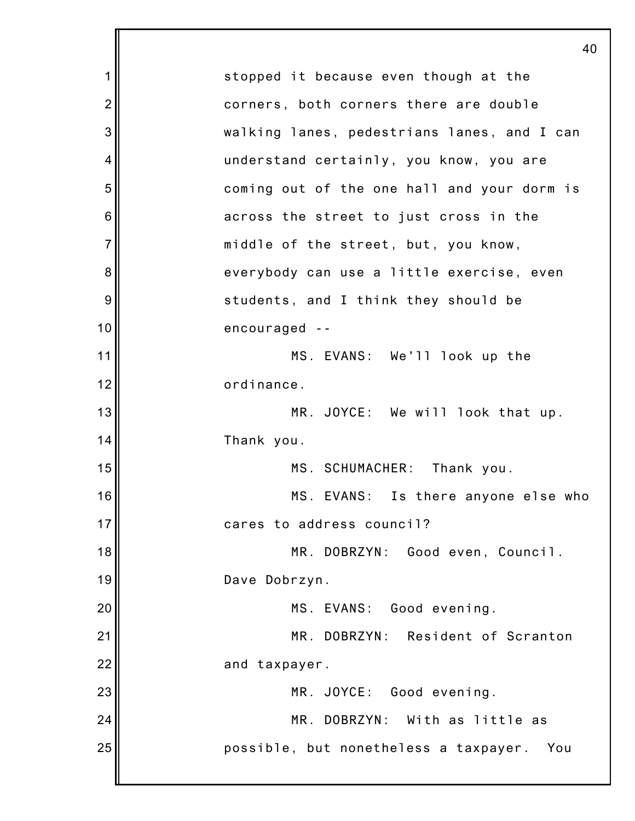1 2 3 4 5 6 7 8 9 10 11 12 13 14 15 16 17 18 19 20 21 22 23 24 25 40 stopped it because even though at the corners, both corners there are double walking lanes, pedestrians lanes, and I can understand certainly, you know, you are coming out of the one hall and your dorm is across the street to just cross in the middle of the street, but, you know, everybody can use a little exercise, even students, and I think they should be encouraged -- MS. EVANS: We'll look up the ordinance. MR. JOYCE: We will look that up. Thank you. MS. SCHUMACHER: Thank you. MS. EVANS: Is there anyone else who cares to address council? MR. DOBRZYN: Good even, Council. Dave Dobrzyn. MS. EVANS: Good evening. MR. DOBRZYN: Resident of Scranton and taxpayer. MR. JOYCE: Good evening. MR. DOBRZYN: With as little as possible, but nonetheless a taxpayer. You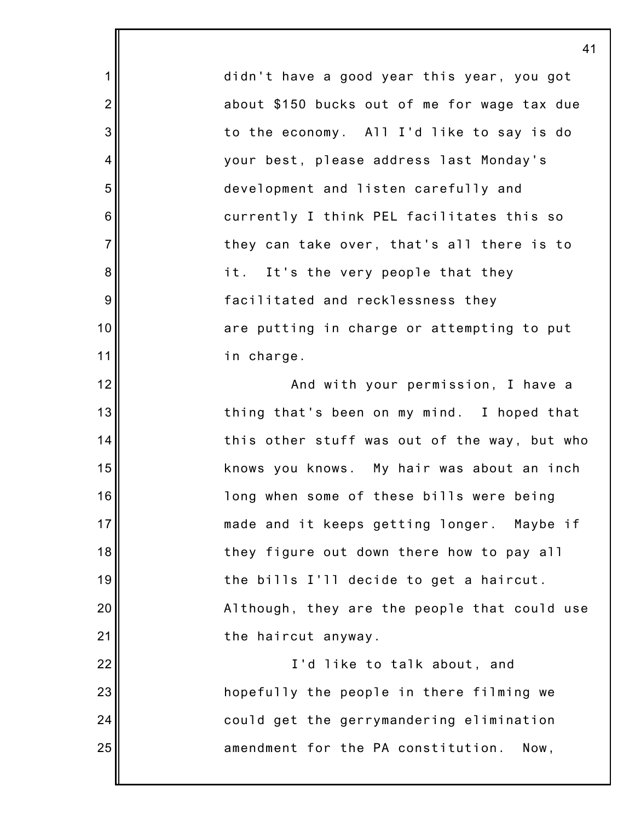didn't have a good year this year, you got about \$150 bucks out of me for wage tax due to the economy. All I'd like to say is do your best, please address last Monday's development and listen carefully and currently I think PEL facilitates this so they can take over, that's all there is to it. It's the very people that they facilitated and recklessness they are putting in charge or attempting to put in charge. And with your permission, I have a thing that's been on my mind. I hoped that knows you knows. My hair was about an inch long when some of these bills were being

1

2

3

4

5

6

7

8

9

10

11

12

13

14

15

16

17

18

19

20

21

22

23

24

25

this other stuff was out of the way, but who made and it keeps getting longer. Maybe if they figure out down there how to pay all the bills I'll decide to get a haircut. Although, they are the people that could use the haircut anyway. I'd like to talk about, and hopefully the people in there filming we could get the gerrymandering elimination

amendment for the PA constitution. Now,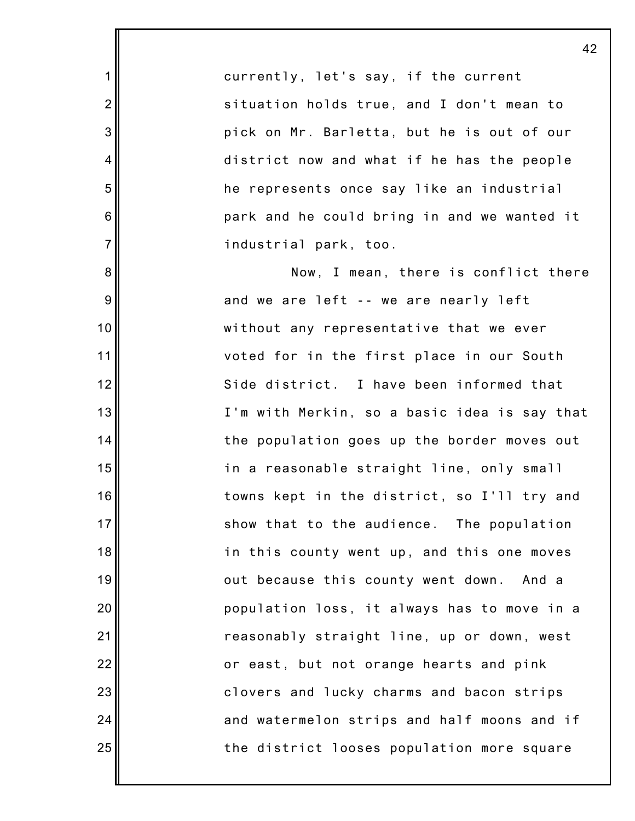currently, let's say, if the current situation holds true, and I don't mean to pick on Mr. Barletta, but he is out of our district now and what if he has the people he represents once say like an industrial park and he could bring in and we wanted it industrial park, too.

1

2

3

4

5

6

7

8

9

10

11

12

13

14

15

16

17

18

19

20

21

22

23

24

25

Now, I mean, there is conflict there and we are left -- we are nearly left without any representative that we ever voted for in the first place in our South Side district. I have been informed that I'm with Merkin, so a basic idea is say that the population goes up the border moves out in a reasonable straight line, only small towns kept in the district, so I'll try and show that to the audience. The population in this county went up, and this one moves out because this county went down. And a population loss, it always has to move in a reasonably straight line, up or down, west or east, but not orange hearts and pink clovers and lucky charms and bacon strips and watermelon strips and half moons and if the district looses population more square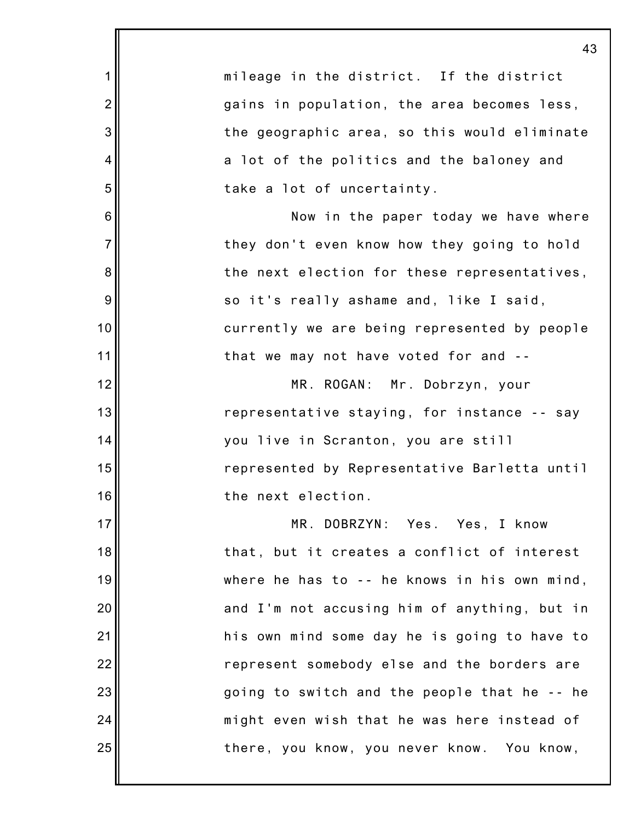|                | 43                                           |
|----------------|----------------------------------------------|
| 1              | mileage in the district. If the district     |
| $\overline{2}$ | gains in population, the area becomes less,  |
| 3              | the geographic area, so this would eliminate |
| 4              | a lot of the politics and the baloney and    |
| 5              | take a lot of uncertainty.                   |
| 6              | Now in the paper today we have where         |
| $\overline{7}$ | they don't even know how they going to hold  |
| 8              | the next election for these representatives, |
| 9              | so it's really ashame and, like I said,      |
| 10             | currently we are being represented by people |
| 11             | that we may not have voted for and --        |
| 12             | MR. ROGAN: Mr. Dobrzyn, your                 |
| 13             | representative staying, for instance -- say  |
| 14             | you live in Scranton, you are still          |
| 15             | represented by Representative Barletta until |
| 16             | the next election.                           |
| 17             | MR. DOBRZYN: Yes. Yes, I know                |
| 18             | that, but it creates a conflict of interest  |
| 19             | where he has to -- he knows in his own mind, |
| 20             | and I'm not accusing him of anything, but in |
| 21             | his own mind some day he is going to have to |
| 22             | represent somebody else and the borders are  |
| 23             | going to switch and the people that he -- he |
| 24             | might even wish that he was here instead of  |
| 25             | there, you know, you never know. You know,   |
|                |                                              |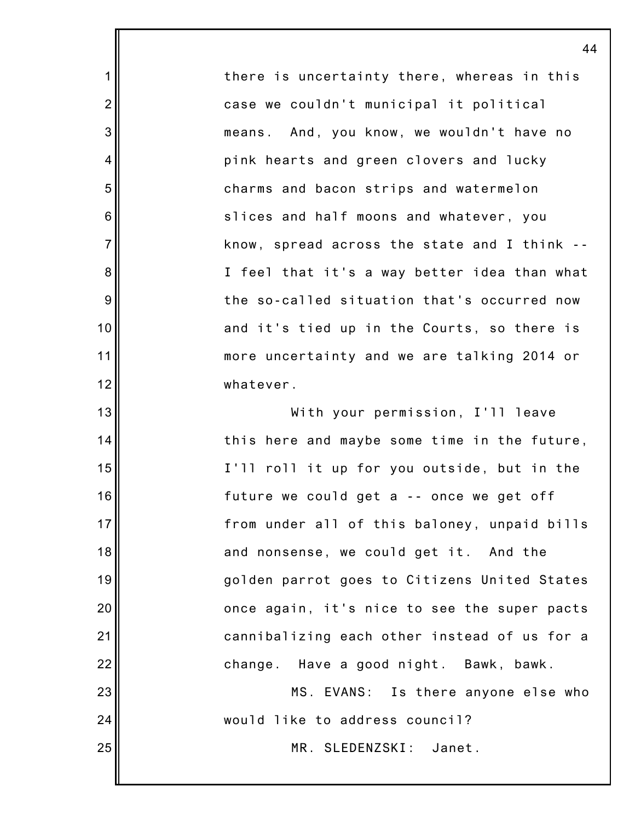there is uncertainty there, whereas in this case we couldn't municipal it political means. And, you know, we wouldn't have no pink hearts and green clovers and lucky charms and bacon strips and watermelon slices and half moons and whatever, you know, spread across the state and I think -- I feel that it's a way better idea than what the so-called situation that's occurred now and it's tied up in the Courts, so there is more uncertainty and we are talking 2014 or whatever.

1

2

3

4

5

6

7

8

9

10

11

12

13

14

15

16

17

18

19

20

21

22

23

24

25

With your permission, I'll leave this here and maybe some time in the future, I'll roll it up for you outside, but in the future we could get a -- once we get off from under all of this baloney, unpaid bills and nonsense, we could get it. And the golden parrot goes to Citizens United States once again, it's nice to see the super pacts cannibalizing each other instead of us for a change. Have a good night. Bawk, bawk. MS. EVANS: Is there anyone else who would like to address council?

MR. SLEDENZSKI: Janet.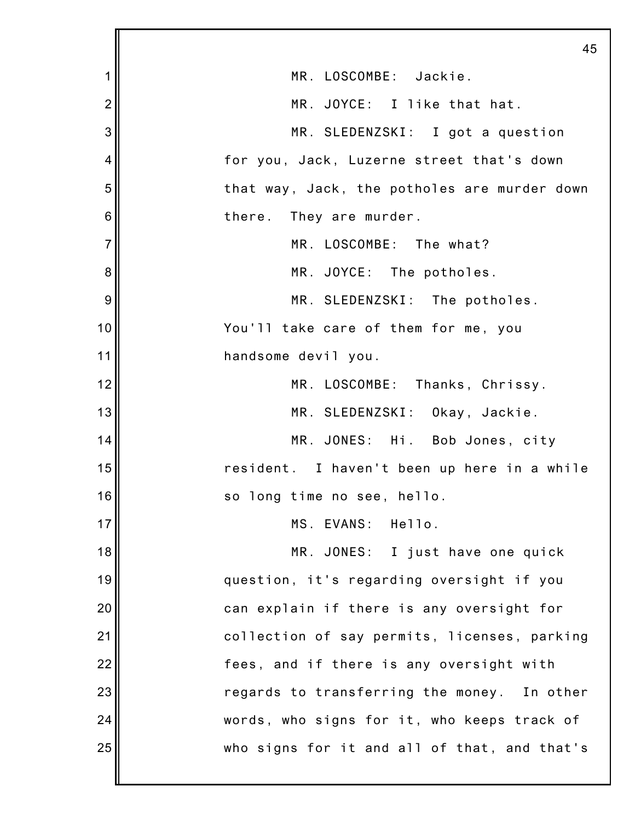|                | 45                                           |
|----------------|----------------------------------------------|
| 1              | MR. LOSCOMBE: Jackie.                        |
| $\overline{2}$ | MR. JOYCE: I like that hat.                  |
| 3              | MR. SLEDENZSKI: I got a question             |
| 4              | for you, Jack, Luzerne street that's down    |
| 5              | that way, Jack, the potholes are murder down |
| 6              | there. They are murder.                      |
| $\overline{7}$ | MR. LOSCOMBE: The what?                      |
| 8              | MR. JOYCE: The potholes.                     |
| 9              | MR. SLEDENZSKI: The potholes.                |
| 10             | You'll take care of them for me, you         |
| 11             | handsome devil you.                          |
| 12             | MR. LOSCOMBE: Thanks, Chrissy.               |
| 13             | MR. SLEDENZSKI: Okay, Jackie.                |
| 14             | MR. JONES: Hi. Bob Jones, city               |
| 15             | resident. I haven't been up here in a while  |
| 16             | so long time no see, hello.                  |
| 17             | MS. EVANS: Hello.                            |
| 18             | MR. JONES: I just have one quick             |
| 19             | question, it's regarding oversight if you    |
| 20             | can explain if there is any oversight for    |
| 21             | collection of say permits, licenses, parking |
| 22             | fees, and if there is any oversight with     |
| 23             | regards to transferring the money. In other  |
| 24             | words, who signs for it, who keeps track of  |
| 25             | who signs for it and all of that, and that's |
|                |                                              |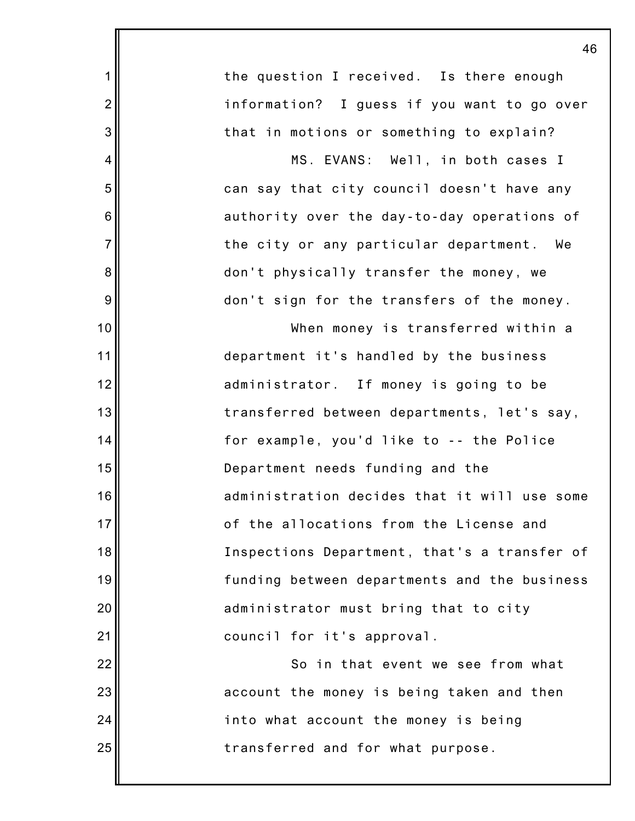|                | 4                                            |
|----------------|----------------------------------------------|
| 1              | the question I received. Is there enough     |
| $\overline{2}$ | information? I guess if you want to go over  |
| 3              | that in motions or something to explain?     |
| $\overline{4}$ | MS. EVANS: Well, in both cases I             |
| 5              | can say that city council doesn't have any   |
| 6              | authority over the day-to-day operations of  |
| $\overline{7}$ | the city or any particular department. We    |
| 8              | don't physically transfer the money, we      |
| 9              | don't sign for the transfers of the money.   |
| 10             | When money is transferred within a           |
| 11             | department it's handled by the business      |
| 12             | administrator. If money is going to be       |
| 13             | transferred between departments, let's say,  |
| 14             | for example, you'd like to -- the Police     |
| 15             | Department needs funding and the             |
| 16             | administration decides that it will use some |
| 17             | of the allocations from the License and      |
| 18             | Inspections Department, that's a transfer of |
| 19             | funding between departments and the business |
| 20             | administrator must bring that to city        |
| 21             | council for it's approval.                   |
| 22             | So in that event we see from what            |
| 23             | account the money is being taken and then    |
| 24             | into what account the money is being         |
| 25             | transferred and for what purpose.            |
|                |                                              |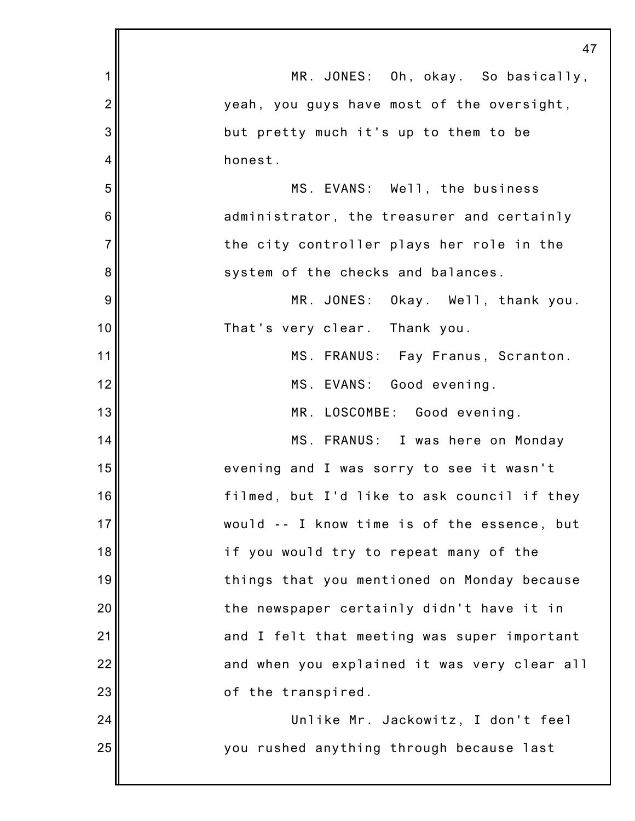|                | 47                                           |
|----------------|----------------------------------------------|
| 1              | MR. JONES: Oh, okay. So basically,           |
| $\overline{2}$ | yeah, you guys have most of the oversight,   |
| 3              | but pretty much it's up to them to be        |
| 4              | honest.                                      |
| 5              | MS. EVANS: Well, the business                |
| 6              | administrator, the treasurer and certainly   |
| $\overline{7}$ | the city controller plays her role in the    |
| 8              | system of the checks and balances.           |
| 9              | MR. JONES: Okay. Well, thank you.            |
| 10             | That's very clear. Thank you.                |
| 11             | MS. FRANUS: Fay Franus, Scranton.            |
| 12             | MS. EVANS: Good evening.                     |
| 13             | MR. LOSCOMBE: Good evening.                  |
| 14             | MS. FRANUS: I was here on Monday             |
| 15             | evening and I was sorry to see it wasn't     |
| 16             | filmed, but I'd like to ask council if they  |
| 17             | would -- I know time is of the essence, but  |
| 18             | if you would try to repeat many of the       |
| 19             | things that you mentioned on Monday because  |
| 20             | the newspaper certainly didn't have it in    |
| 21             | and I felt that meeting was super important  |
| 22             | and when you explained it was very clear all |
| 23             | of the transpired.                           |
| 24             | Unlike Mr. Jackowitz, I don't feel           |
| 25             | you rushed anything through because last     |
|                |                                              |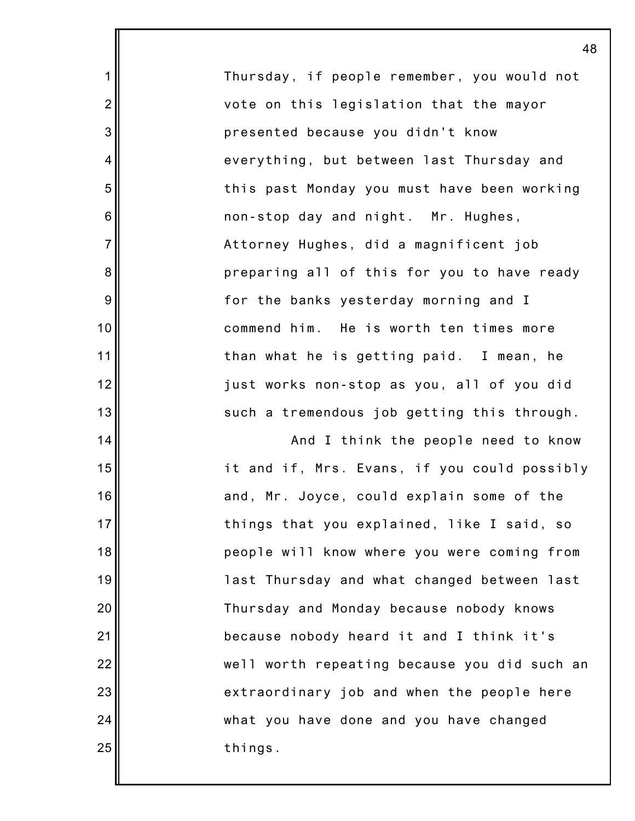Thursday, if people remember, you would not vote on this legislation that the mayor presented because you didn't know everything, but between last Thursday and this past Monday you must have been working non-stop day and night. Mr. Hughes, Attorney Hughes, did a magnificent job preparing all of this for you to have ready for the banks yesterday morning and I commend him. He is worth ten times more than what he is getting paid. I mean, he just works non-stop as you, all of you did such a tremendous job getting this through.

1

2

3

4

5

6

7

8

9

10

11

12

13

14

15

16

17

18

19

20

21

22

23

24

25

And I think the people need to know it and if, Mrs. Evans, if you could possibly and, Mr. Joyce, could explain some of the things that you explained, like I said, so people will know where you were coming from last Thursday and what changed between last Thursday and Monday because nobody knows because nobody heard it and I think it's well worth repeating because you did such an extraordinary job and when the people here what you have done and you have changed things.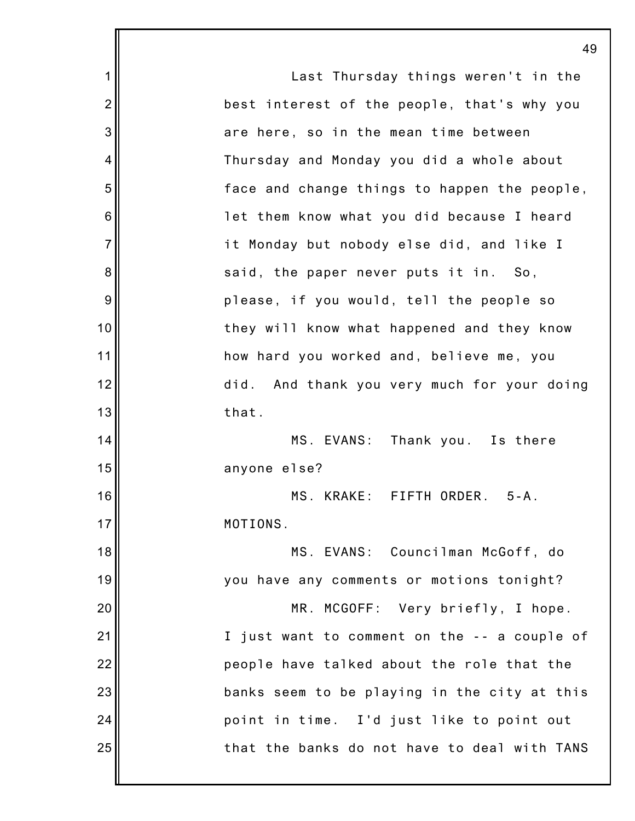|                | 49                                           |
|----------------|----------------------------------------------|
| 1              | Last Thursday things weren't in the          |
| $\overline{2}$ | best interest of the people, that's why you  |
| 3              | are here, so in the mean time between        |
| 4              | Thursday and Monday you did a whole about    |
| 5              | face and change things to happen the people, |
| 6              | let them know what you did because I heard   |
| $\overline{7}$ | it Monday but nobody else did, and like I    |
| 8              | said, the paper never puts it in. So,        |
| 9              | please, if you would, tell the people so     |
| 10             | they will know what happened and they know   |
| 11             | how hard you worked and, believe me, you     |
| 12             | did. And thank you very much for your doing  |
| 13             | that.                                        |
| 14             | MS. EVANS: Thank you. Is there               |
| 15             | anyone else?                                 |
| 16             | MS. KRAKE: FIFTH ORDER. 5-A.                 |
| 17             | MOTIONS.                                     |
| 18             | MS. EVANS: Councilman McGoff, do             |
| 19             | you have any comments or motions tonight?    |
| 20             | MR. MCGOFF: Very briefly, I hope.            |
| 21             | I just want to comment on the -- a couple of |
| 22             | people have talked about the role that the   |
| 23             | banks seem to be playing in the city at this |
| 24             | point in time. I'd just like to point out    |
| 25             | that the banks do not have to deal with TANS |
|                |                                              |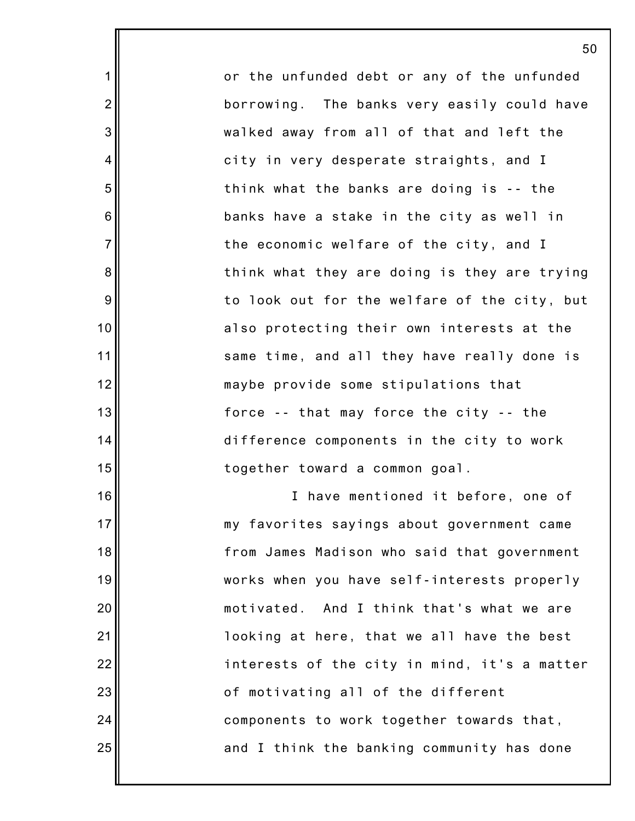or the unfunded debt or any of the unfunded borrowing. The banks very easily could have walked away from all of that and left the city in very desperate straights, and I think what the banks are doing is -- the banks have a stake in the city as well in the economic welfare of the city, and I think what they are doing is they are trying to look out for the welfare of the city, but also protecting their own interests at the same time, and all they have really done is maybe provide some stipulations that force -- that may force the city -- the difference components in the city to work together toward a common goal.

1

2

3

4

5

6

7

8

9

10

11

12

13

14

15

16

17

18

19

20

21

22

23

24

25

I have mentioned it before, one of my favorites sayings about government came from James Madison who said that government works when you have self-interests properly motivated. And I think that's what we are looking at here, that we all have the best interests of the city in mind, it's a matter of motivating all of the different components to work together towards that, and I think the banking community has done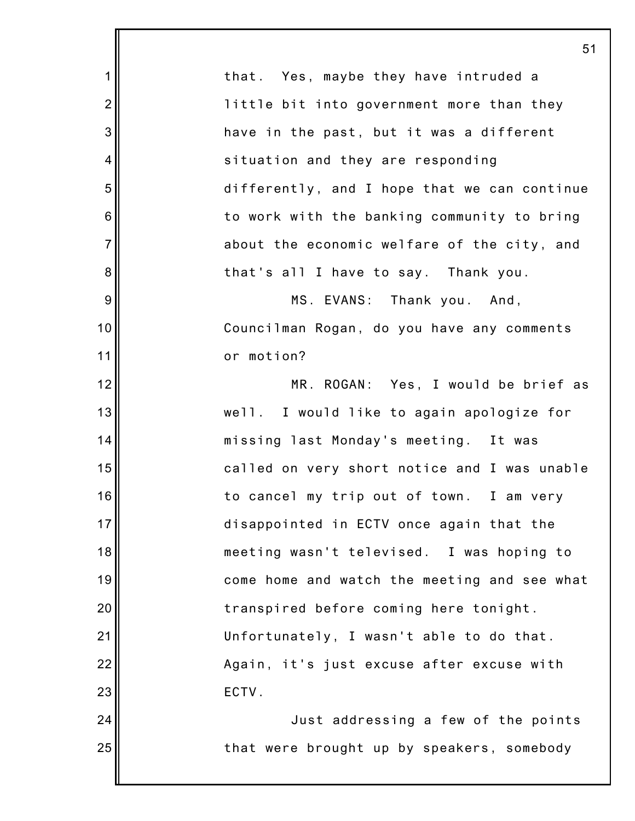|                  | 51                                           |
|------------------|----------------------------------------------|
| 1                | that. Yes, maybe they have intruded a        |
| $\overline{2}$   | little bit into government more than they    |
| 3                | have in the past, but it was a different     |
| 4                | situation and they are responding            |
| 5                | differently, and I hope that we can continue |
| 6                | to work with the banking community to bring  |
| $\overline{7}$   | about the economic welfare of the city, and  |
| 8                | that's all I have to say. Thank you.         |
| $\boldsymbol{9}$ | MS. EVANS: Thank you. And,                   |
| 10               | Councilman Rogan, do you have any comments   |
| 11               | or motion?                                   |
| 12               | MR. ROGAN: Yes, I would be brief as          |
| 13               | well. I would like to again apologize for    |
| 14               | missing last Monday's meeting. It was        |
| 15               | called on very short notice and I was unable |
| 16               | to cancel my trip out of town. I am very     |
| 17               | disappointed in ECTV once again that the     |
| 18               | meeting wasn't televised. I was hoping to    |
| 19               | come home and watch the meeting and see what |
| 20               | transpired before coming here tonight.       |
| 21               | Unfortunately, I wasn't able to do that.     |
| 22               | Again, it's just excuse after excuse with    |
| 23               | ECTV.                                        |
| 24               | Just addressing a few of the points          |
| 25               | that were brought up by speakers, somebody   |
|                  |                                              |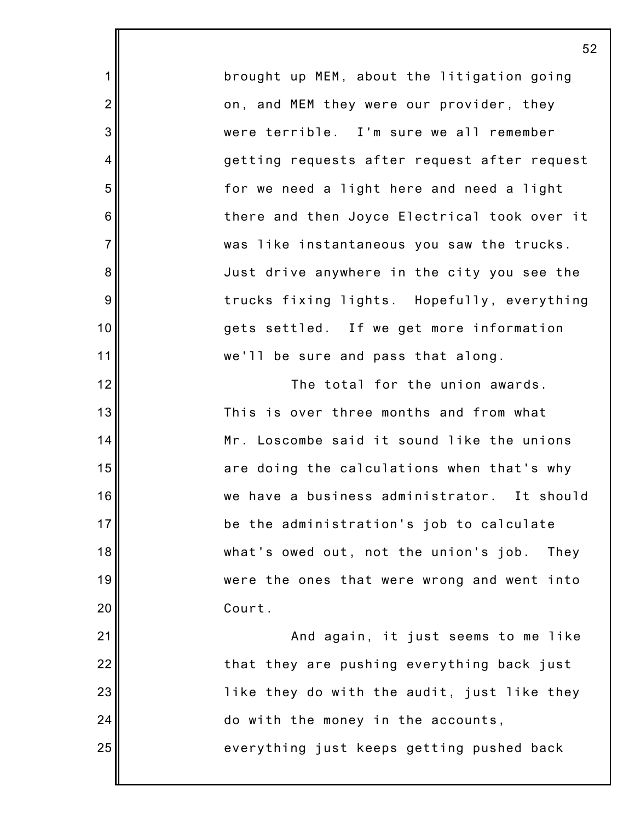brought up MEM, about the litigation going on, and MEM they were our provider, they were terrible. I'm sure we all remember getting requests after request after request for we need a light here and need a light there and then Joyce Electrical took over it was like instantaneous you saw the trucks. Just drive anywhere in the city you see the trucks fixing lights. Hopefully, everything gets settled. If we get more information we'll be sure and pass that along.

1

2

3

4

5

6

7

8

9

10

11

12

13

14

15

16

17

18

19

20

21

22

23

24

25

The total for the union awards. This is over three months and from what Mr. Loscombe said it sound like the unions are doing the calculations when that's why we have a business administrator. It should be the administration's job to calculate what's owed out, not the union's job. They were the ones that were wrong and went into Court. And again, it just seems to me like

that they are pushing everything back just like they do with the audit, just like they do with the money in the accounts, everything just keeps getting pushed back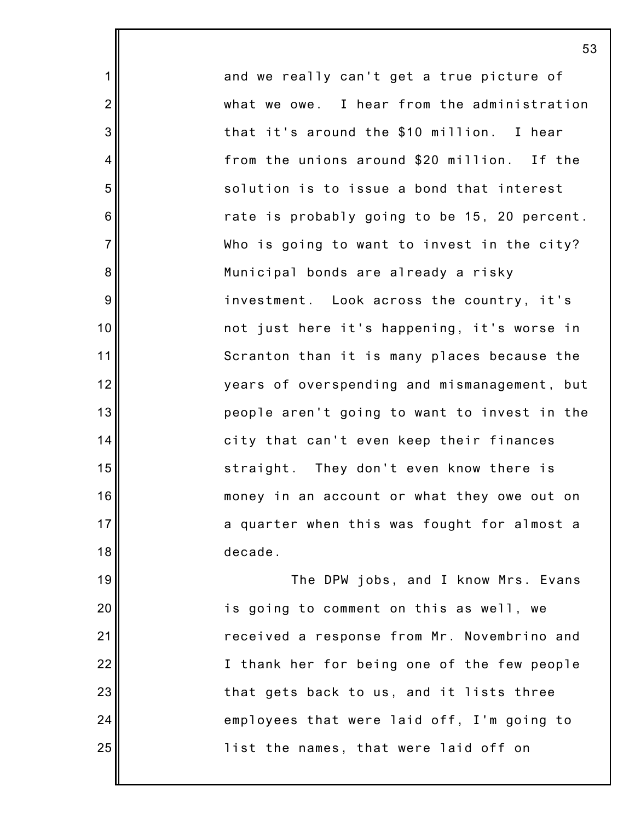and we really can't get a true picture of what we owe. I hear from the administration that it's around the \$10 million. I hear from the unions around \$20 million. If the solution is to issue a bond that interest rate is probably going to be 15, 20 percent. Who is going to want to invest in the city? Municipal bonds are already a risky investment. Look across the country, it's not just here it's happening, it's worse in Scranton than it is many places because the years of overspending and mismanagement, but people aren't going to want to invest in the city that can't even keep their finances straight. They don't even know there is money in an account or what they owe out on a quarter when this was fought for almost a decade. The DPW jobs, and I know Mrs. Evans

1

2

3

4

5

6

7

8

9

10

11

12

13

14

15

16

17

18

19

20

21

22

23

24

25

is going to comment on this as well, we received a response from Mr. Novembrino and I thank her for being one of the few people that gets back to us, and it lists three employees that were laid off, I'm going to list the names, that were laid off on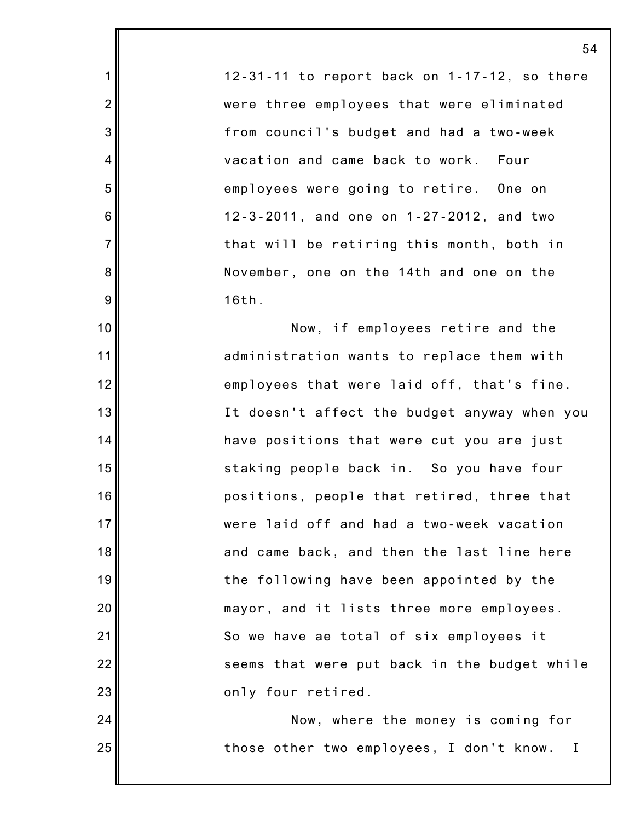12-31-11 to report back on 1-17-12, so there were three employees that were eliminated from council's budget and had a two-week vacation and came back to work. Four employees were going to retire. One on 12-3-2011, and one on 1-27-2012, and two that will be retiring this month, both in November, one on the 14th and one on the 16th.

1

2

3

4

5

6

7

8

9

10

11

12

13

14

15

16

17

18

19

20

21

22

23

24

25

Now, if employees retire and the administration wants to replace them with employees that were laid off, that's fine. It doesn't affect the budget anyway when you have positions that were cut you are just staking people back in. So you have four positions, people that retired, three that were laid off and had a two-week vacation and came back, and then the last line here the following have been appointed by the mayor, and it lists three more employees. So we have ae total of six employees it seems that were put back in the budget while only four retired.

Now, where the money is coming for those other two employees, I don't know. I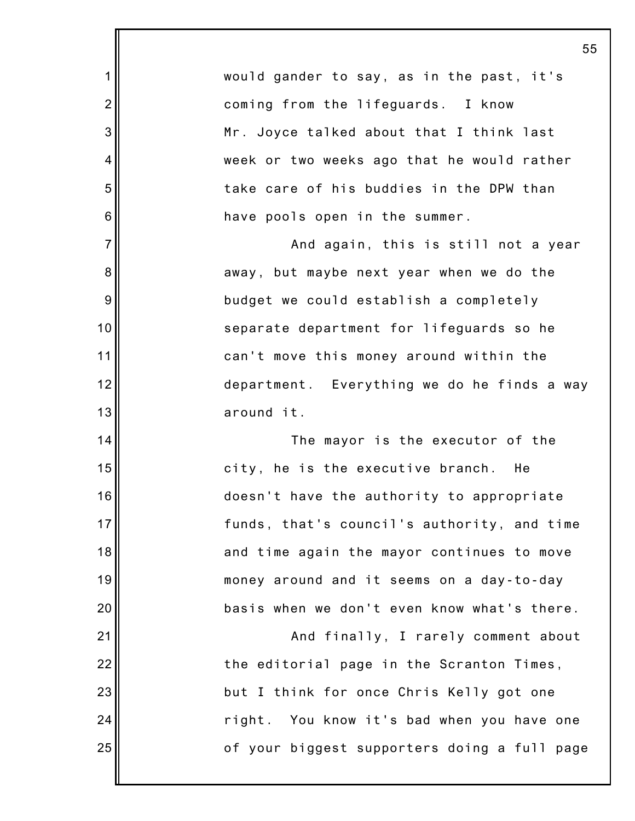|                 | 55                                           |
|-----------------|----------------------------------------------|
| 1               | would gander to say, as in the past, it's    |
| $\overline{2}$  | coming from the lifeguards. I know           |
| 3               | Mr. Joyce talked about that I think last     |
| 4               | week or two weeks ago that he would rather   |
| 5               | take care of his buddies in the DPW than     |
| $6\phantom{1}6$ | have pools open in the summer.               |
| $\overline{7}$  | And again, this is still not a year          |
| $\bf 8$         | away, but maybe next year when we do the     |
| $9\,$           | budget we could establish a completely       |
| 10              | separate department for lifeguards so he     |
| 11              | can't move this money around within the      |
| 12              | department. Everything we do he finds a way  |
| 13              | around it.                                   |
| 14              | The mayor is the executor of the             |
| 15              | city, he is the executive branch.<br>He      |
| 16              | doesn't have the authority to appropriate    |
| 17              | funds, that's council's authority, and time  |
| 18              | and time again the mayor continues to move   |
| 19              | money around and it seems on a day-to-day    |
| 20              | basis when we don't even know what's there.  |
| 21              | And finally, I rarely comment about          |
| 22              | the editorial page in the Scranton Times,    |
| 23              | but I think for once Chris Kelly got one     |
| 24              | right. You know it's bad when you have one   |
| 25              | of your biggest supporters doing a full page |
|                 |                                              |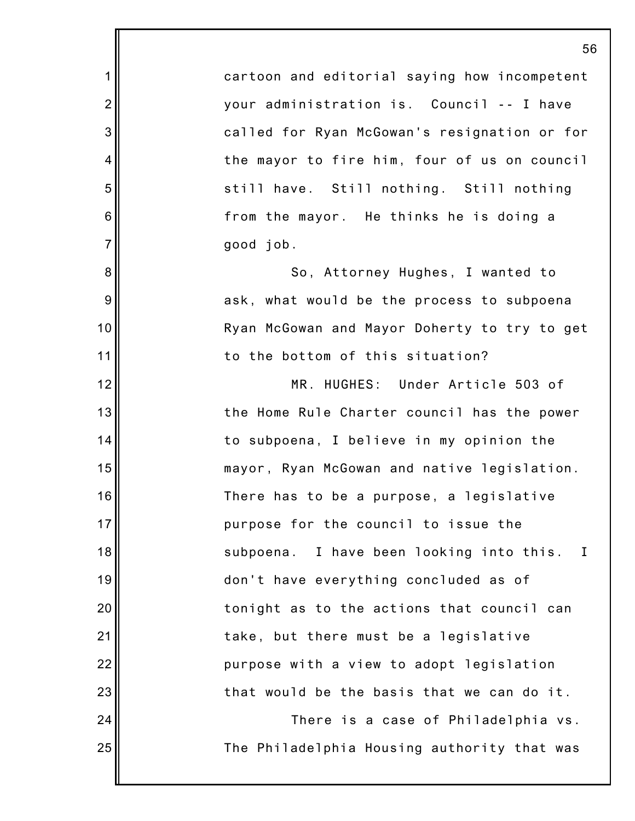cartoon and editorial saying how incompetent your administration is. Council -- I have called for Ryan McGowan's resignation or for the mayor to fire him, four of us on council still have. Still nothing. Still nothing from the mayor. He thinks he is doing a good job.

1

2

3

4

5

6

7

8

9

10

11

12

13

14

15

16

17

18

19

20

21

22

23

24

25

So, Attorney Hughes, I wanted to ask, what would be the process to subpoena Ryan McGowan and Mayor Doherty to try to get to the bottom of this situation?

MR. HUGHES: Under Article 503 of the Home Rule Charter council has the power to subpoena, I believe in my opinion the mayor, Ryan McGowan and native legislation. There has to be a purpose, a legislative purpose for the council to issue the subpoena. I have been looking into this. I don't have everything concluded as of tonight as to the actions that council can take, but there must be a legislative purpose with a view to adopt legislation that would be the basis that we can do it. There is a case of Philadelphia vs.

The Philadelphia Housing authority that was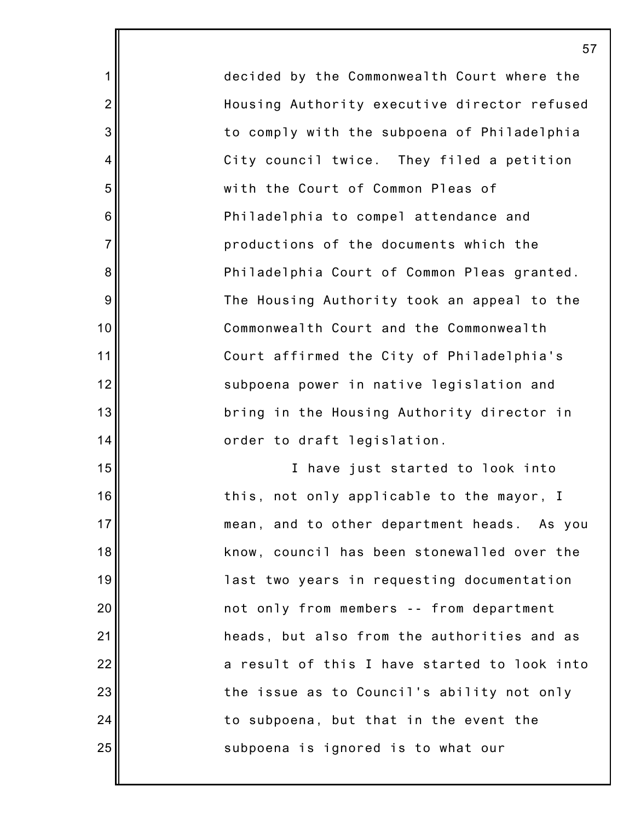decided by the Commonwealth Court where the Housing Authority executive director refused to comply with the subpoena of Philadelphia City council twice. They filed a petition with the Court of Common Pleas of Philadelphia to compel attendance and productions of the documents which the Philadelphia Court of Common Pleas granted. The Housing Authority took an appeal to the Commonwealth Court and the Commonwealth Court affirmed the City of Philadelphia's subpoena power in native legislation and bring in the Housing Authority director in order to draft legislation.

1

2

3

4

5

6

7

8

9

10

11

12

13

14

15

16

17

18

19

20

21

22

23

24

25

I have just started to look into this, not only applicable to the mayor, I mean, and to other department heads. As you know, council has been stonewalled over the last two years in requesting documentation not only from members -- from department heads, but also from the authorities and as a result of this I have started to look into the issue as to Council's ability not only to subpoena, but that in the event the subpoena is ignored is to what our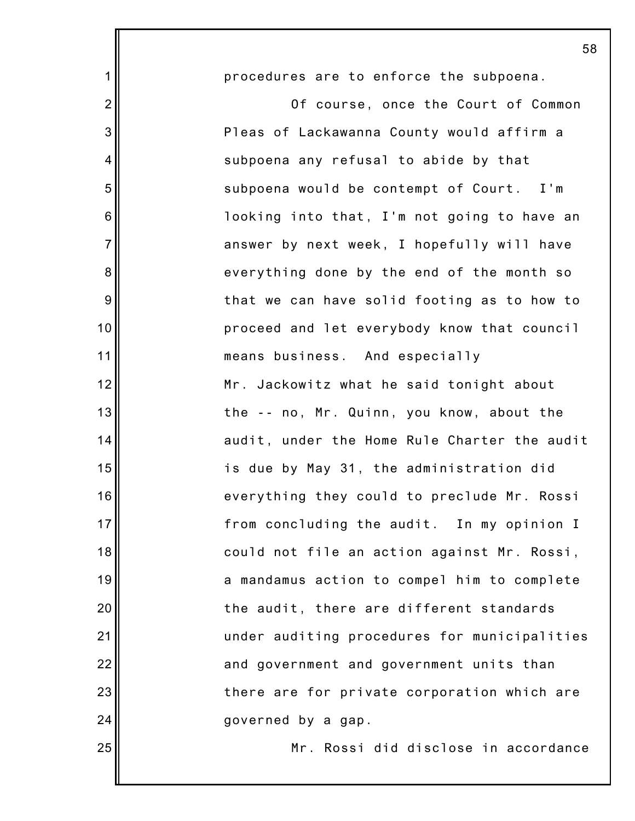|                 | 58                                           |
|-----------------|----------------------------------------------|
| 1               | procedures are to enforce the subpoena.      |
| $\overline{2}$  | Of course, once the Court of Common          |
| 3               | Pleas of Lackawanna County would affirm a    |
| 4               | subpoena any refusal to abide by that        |
| 5               | subpoena would be contempt of Court. I'm     |
| $6\phantom{1}6$ | looking into that, I'm not going to have an  |
| $\overline{7}$  | answer by next week, I hopefully will have   |
| 8               | everything done by the end of the month so   |
| 9               | that we can have solid footing as to how to  |
| 10              | proceed and let everybody know that council  |
| 11              | means business. And especially               |
| 12              | Mr. Jackowitz what he said tonight about     |
| 13              | the -- no, Mr. Quinn, you know, about the    |
| 14              | audit, under the Home Rule Charter the audit |
| 15              | is due by May 31, the administration did     |
| 16              | everything they could to preclude Mr. Rossi  |
| 17              | from concluding the audit. In my opinion I   |
| 18              | could not file an action against Mr. Rossi,  |
| 19              | a mandamus action to compel him to complete  |
| 20              | the audit, there are different standards     |
| 21              | under auditing procedures for municipalities |
| 22              | and government and government units than     |
| 23              | there are for private corporation which are  |
| 24              | governed by a gap.                           |
| 25              | Mr. Rossi did disclose in accordance         |
|                 |                                              |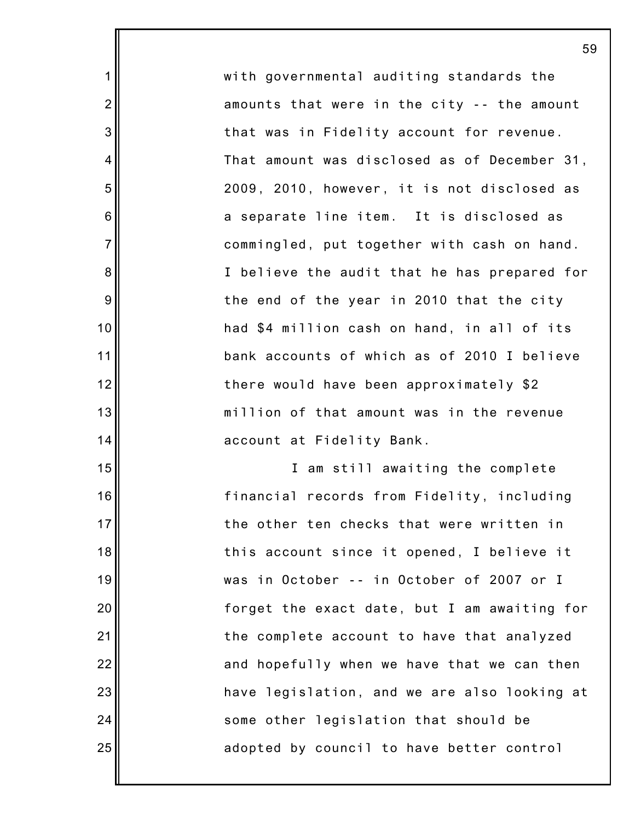with governmental auditing standards the amounts that were in the city -- the amount that was in Fidelity account for revenue. That amount was disclosed as of December 31, 2009, 2010, however, it is not disclosed as a separate line item. It is disclosed as commingled, put together with cash on hand. I believe the audit that he has prepared for the end of the year in 2010 that the city had \$4 million cash on hand, in all of its bank accounts of which as of 2010 I believe there would have been approximately \$2 million of that amount was in the revenue account at Fidelity Bank.

1

2

3

4

5

6

7

8

9

10

11

12

13

14

15

16

17

18

19

20

21

22

23

24

25

I am still awaiting the complete financial records from Fidelity, including the other ten checks that were written in this account since it opened, I believe it was in October -- in October of 2007 or I forget the exact date, but I am awaiting for the complete account to have that analyzed and hopefully when we have that we can then have legislation, and we are also looking at some other legislation that should be adopted by council to have better control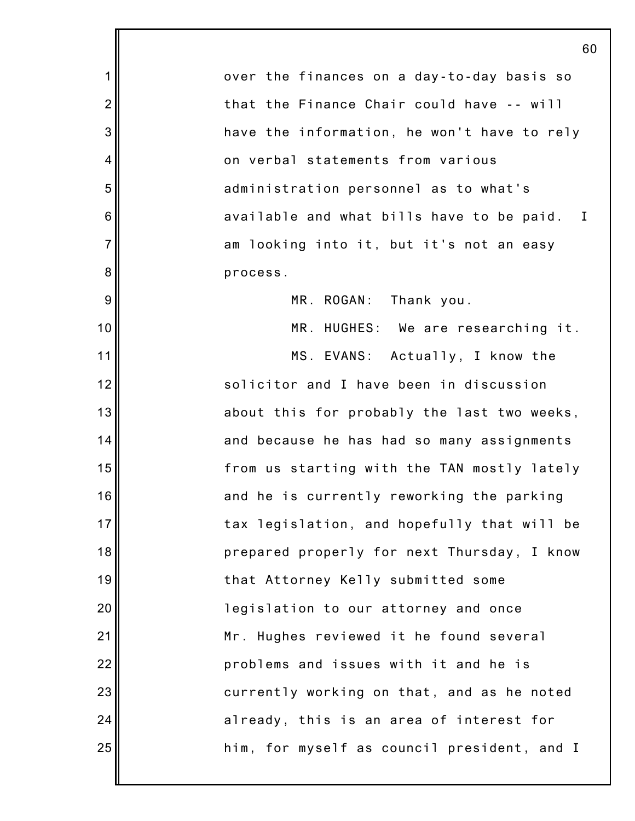1 2 3 4 5 6 7 8 9 10 11 12 13 14 15 16 17 18 19 20 21 22 23 24 25 60 over the finances on a day-to-day basis so that the Finance Chair could have -- will have the information, he won't have to rely on verbal statements from various administration personnel as to what's available and what bills have to be paid. I am looking into it, but it's not an easy process. MR. ROGAN: Thank you. MR. HUGHES: We are researching it. MS. EVANS: Actually, I know the solicitor and I have been in discussion about this for probably the last two weeks, and because he has had so many assignments from us starting with the TAN mostly lately and he is currently reworking the parking tax legislation, and hopefully that will be prepared properly for next Thursday, I know that Attorney Kelly submitted some legislation to our attorney and once Mr. Hughes reviewed it he found several problems and issues with it and he is currently working on that, and as he noted already, this is an area of interest for him, for myself as council president, and I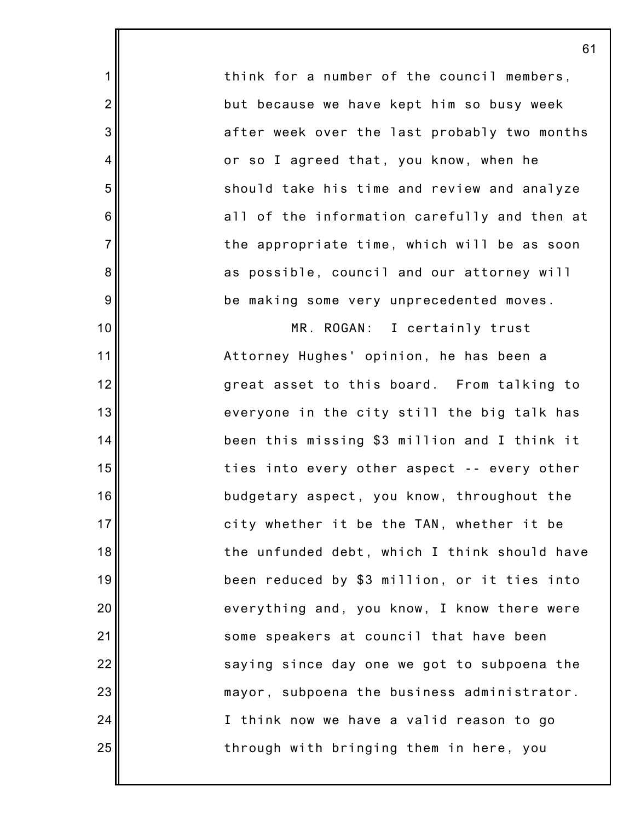think for a number of the council members, but because we have kept him so busy week after week over the last probably two months or so I agreed that, you know, when he should take his time and review and analyze all of the information carefully and then at the appropriate time, which will be as soon as possible, council and our attorney will be making some very unprecedented moves.

1

2

3

4

5

6

7

8

9

10

11

12

13

14

15

16

17

18

19

20

21

22

23

24

25

MR. ROGAN: I certainly trust Attorney Hughes' opinion, he has been a great asset to this board. From talking to everyone in the city still the big talk has been this missing \$3 million and I think it ties into every other aspect -- every other budgetary aspect, you know, throughout the city whether it be the TAN, whether it be the unfunded debt, which I think should have been reduced by \$3 million, or it ties into everything and, you know, I know there were some speakers at council that have been saying since day one we got to subpoena the mayor, subpoena the business administrator. I think now we have a valid reason to go through with bringing them in here, you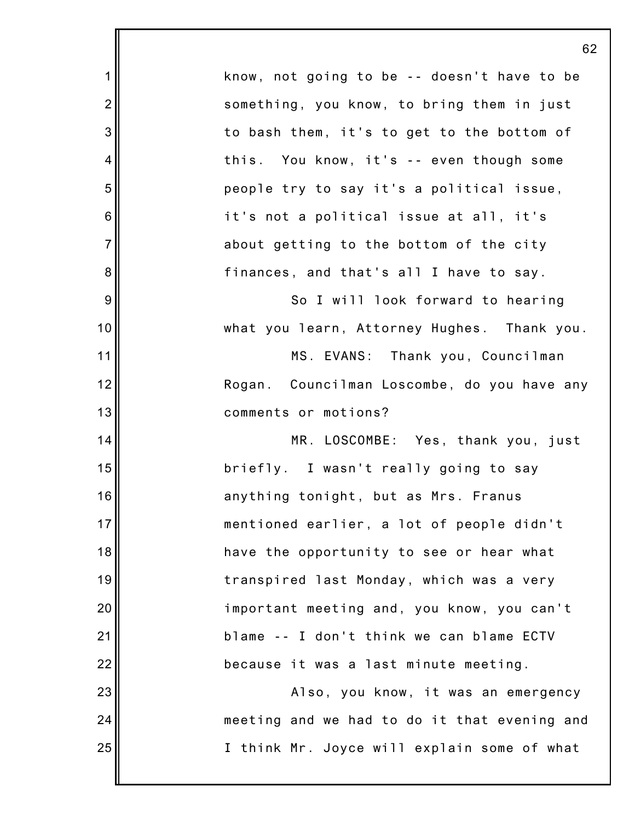|                | 62                                           |
|----------------|----------------------------------------------|
| $\mathbf 1$    | know, not going to be -- doesn't have to be  |
| $\overline{2}$ | something, you know, to bring them in just   |
| 3              | to bash them, it's to get to the bottom of   |
| 4              | this. You know, it's -- even though some     |
| 5              | people try to say it's a political issue,    |
| 6              | it's not a political issue at all, it's      |
| $\overline{7}$ | about getting to the bottom of the city      |
| 8              | finances, and that's all I have to say.      |
| 9              | So I will look forward to hearing            |
| 10             | what you learn, Attorney Hughes. Thank you.  |
| 11             | MS. EVANS: Thank you, Councilman             |
| 12             | Rogan. Councilman Loscombe, do you have any  |
| 13             | comments or motions?                         |
| 14             | MR. LOSCOMBE: Yes, thank you, just           |
| 15             | briefly. I wasn't really going to say        |
| 16             | anything tonight, but as Mrs. Franus         |
| 17             | mentioned earlier, a lot of people didn't    |
| 18             | have the opportunity to see or hear what     |
| 19             | transpired last Monday, which was a very     |
| 20             | important meeting and, you know, you can't   |
| 21             | blame -- I don't think we can blame ECTV     |
| 22             | because it was a last minute meeting.        |
| 23             | Also, you know, it was an emergency          |
| 24             | meeting and we had to do it that evening and |
| 25             | I think Mr. Joyce will explain some of what  |

ll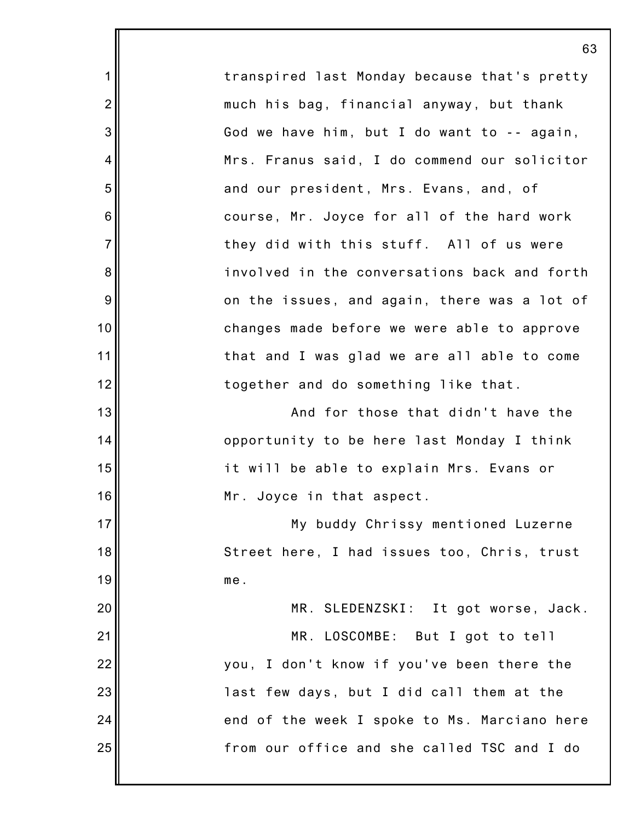transpired last Monday because that's pretty much his bag, financial anyway, but thank God we have him, but I do want to -- again, Mrs. Franus said, I do commend our solicitor and our president, Mrs. Evans, and, of course, Mr. Joyce for all of the hard work they did with this stuff. All of us were involved in the conversations back and forth on the issues, and again, there was a lot of changes made before we were able to approve that and I was glad we are all able to come together and do something like that.

1

2

3

4

5

6

7

8

9

10

11

12

13

14

15

16

17

18

19

And for those that didn't have the opportunity to be here last Monday I think it will be able to explain Mrs. Evans or Mr. Joyce in that aspect.

My buddy Chrissy mentioned Luzerne Street here, I had issues too, Chris, trust me.

20 21 22 23 24 25 MR. SLEDENZSKI: It got worse, Jack. MR. LOSCOMBE: But I got to tell you, I don't know if you've been there the last few days, but I did call them at the end of the week I spoke to Ms. Marciano here from our office and she called TSC and I do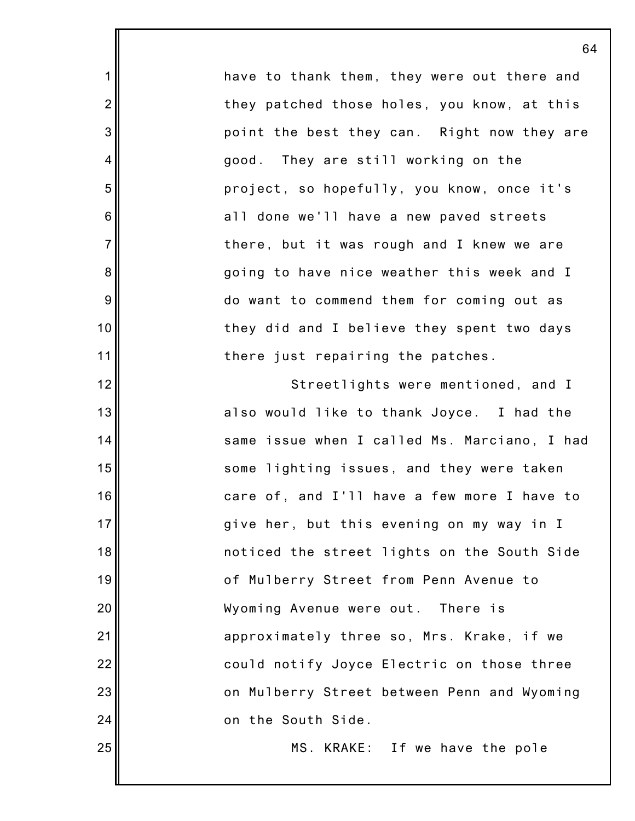have to thank them, they were out there and they patched those holes, you know, at this point the best they can. Right now they are good. They are still working on the project, so hopefully, you know, once it's all done we'll have a new paved streets there, but it was rough and I knew we are going to have nice weather this week and I do want to commend them for coming out as they did and I believe they spent two days there just repairing the patches.

1

2

3

4

5

6

7

8

9

10

11

12

13

14

15

16

17

18

19

20

21

22

23

24

25

Streetlights were mentioned, and I also would like to thank Joyce. I had the same issue when I called Ms. Marciano, I had some lighting issues, and they were taken care of, and I'll have a few more I have to give her, but this evening on my way in I noticed the street lights on the South Side of Mulberry Street from Penn Avenue to Wyoming Avenue were out. There is approximately three so, Mrs. Krake, if we could notify Joyce Electric on those three on Mulberry Street between Penn and Wyoming on the South Side.

MS. KRAKE: If we have the pole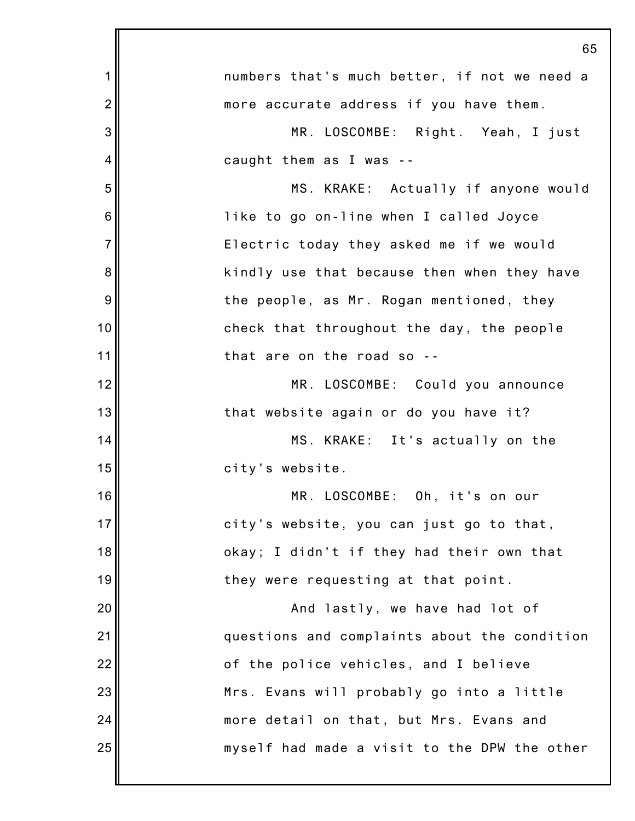|                | 65                                           |
|----------------|----------------------------------------------|
| 1              | numbers that's much better, if not we need a |
| $\overline{2}$ | more accurate address if you have them.      |
| 3              | MR. LOSCOMBE: Right. Yeah, I just            |
| 4              | caught them as I was --                      |
| 5              | MS. KRAKE: Actually if anyone would          |
| 6              | like to go on-line when I called Joyce       |
| $\overline{7}$ | Electric today they asked me if we would     |
| 8              | kindly use that because then when they have  |
| 9              | the people, as Mr. Rogan mentioned, they     |
| 10             | check that throughout the day, the people    |
| 11             | that are on the road so --                   |
| 12             | MR. LOSCOMBE: Could you announce             |
| 13             | that website again or do you have it?        |
| 14             | MS. KRAKE: It's actually on the              |
| 15             | city's website.                              |
| 16             | MR. LOSCOMBE: Oh, it's on our                |
| 17             | city's website, you can just go to that,     |
| 18             | okay; I didn't if they had their own that    |
| 19             | they were requesting at that point.          |
| 20             | And lastly, we have had lot of               |
| 21             | questions and complaints about the condition |
| 22             | of the police vehicles, and I believe        |
| 23             | Mrs. Evans will probably go into a little    |
| 24             | more detail on that, but Mrs. Evans and      |
| 25             | myself had made a visit to the DPW the other |
|                |                                              |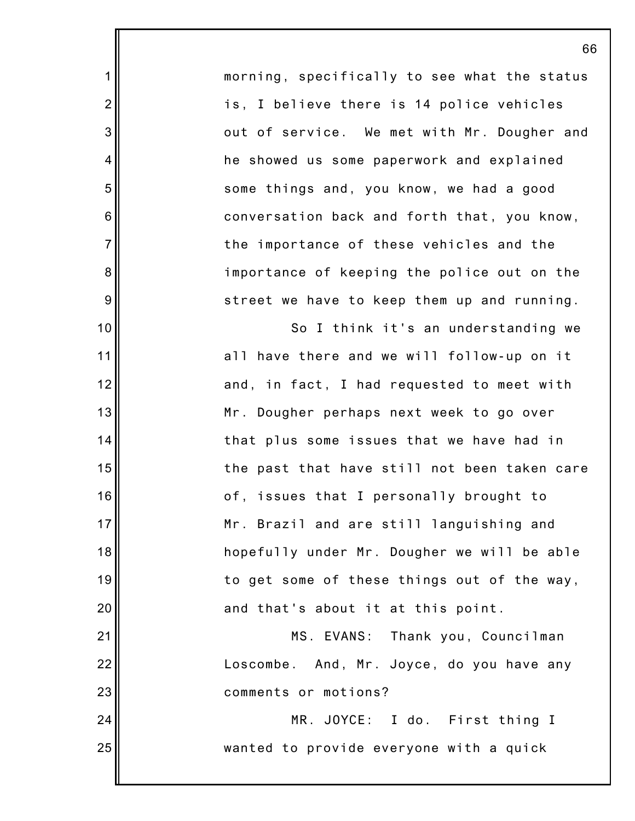morning, specifically to see what the status is, I believe there is 14 police vehicles out of service. We met with Mr. Dougher and he showed us some paperwork and explained some things and, you know, we had a good conversation back and forth that, you know, the importance of these vehicles and the importance of keeping the police out on the street we have to keep them up and running.

1

2

3

4

5

6

7

8

9

10

11

12

13

14

15

16

17

18

19

20

21

22

23

24

25

So I think it's an understanding we all have there and we will follow-up on it and, in fact, I had requested to meet with Mr. Dougher perhaps next week to go over that plus some issues that we have had in the past that have still not been taken care of, issues that I personally brought to Mr. Brazil and are still languishing and hopefully under Mr. Dougher we will be able to get some of these things out of the way, and that's about it at this point.

MS. EVANS: Thank you, Councilman Loscombe. And, Mr. Joyce, do you have any comments or motions?

MR. JOYCE: I do. First thing I wanted to provide everyone with a quick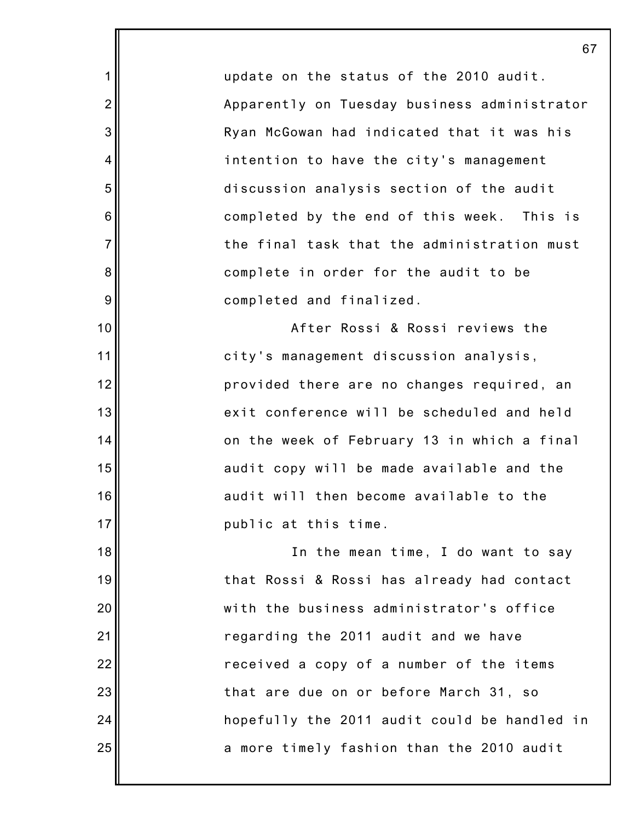update on the status of the 2010 audit. Apparently on Tuesday business administrator Ryan McGowan had indicated that it was his intention to have the city's management discussion analysis section of the audit completed by the end of this week. This is the final task that the administration must complete in order for the audit to be completed and finalized.

1

2

3

4

5

6

7

8

9

10

11

12

13

14

15

16

17

After Rossi & Rossi reviews the city's management discussion analysis, provided there are no changes required, an exit conference will be scheduled and held on the week of February 13 in which a final audit copy will be made available and the audit will then become available to the public at this time.

18 19 20 21 22 23 24 25 In the mean time, I do want to say that Rossi & Rossi has already had contact with the business administrator's office regarding the 2011 audit and we have received a copy of a number of the items that are due on or before March 31, so hopefully the 2011 audit could be handled in a more timely fashion than the 2010 audit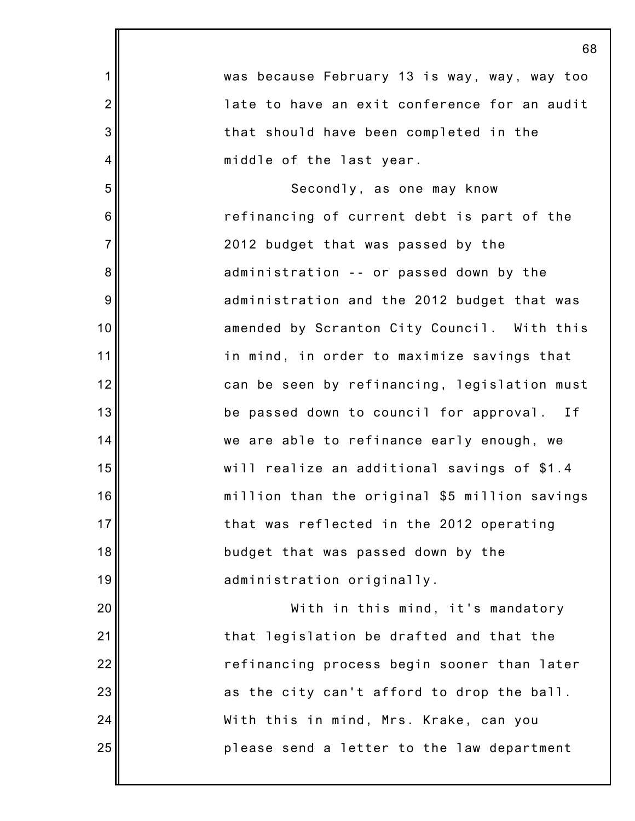|                | 68                                            |
|----------------|-----------------------------------------------|
| $\mathbf 1$    | was because February 13 is way, way, way too  |
| $\overline{2}$ | late to have an exit conference for an audit  |
| 3              | that should have been completed in the        |
| $\overline{4}$ | middle of the last year.                      |
| 5              | Secondly, as one may know                     |
| 6              | refinancing of current debt is part of the    |
| $\overline{7}$ | 2012 budget that was passed by the            |
| 8              | administration -- or passed down by the       |
| 9              | administration and the 2012 budget that was   |
| 10             | amended by Scranton City Council. With this   |
| 11             | in mind, in order to maximize savings that    |
| 12             | can be seen by refinancing, legislation must  |
| 13             | be passed down to council for approval. If    |
| 14             | we are able to refinance early enough, we     |
| 15             | will realize an additional savings of \$1.4   |
| 16             | million than the original \$5 million savings |
| 17             | that was reflected in the 2012 operating      |
| 18             | budget that was passed down by the            |
| 19             | administration originally.                    |
| 20             | With in this mind, it's mandatory             |
| 21             | that legislation be drafted and that the      |
| 22             | refinancing process begin sooner than later   |
| 23             | as the city can't afford to drop the ball.    |
| 24             | With this in mind, Mrs. Krake, can you        |
| 25             | please send a letter to the law department    |
|                |                                               |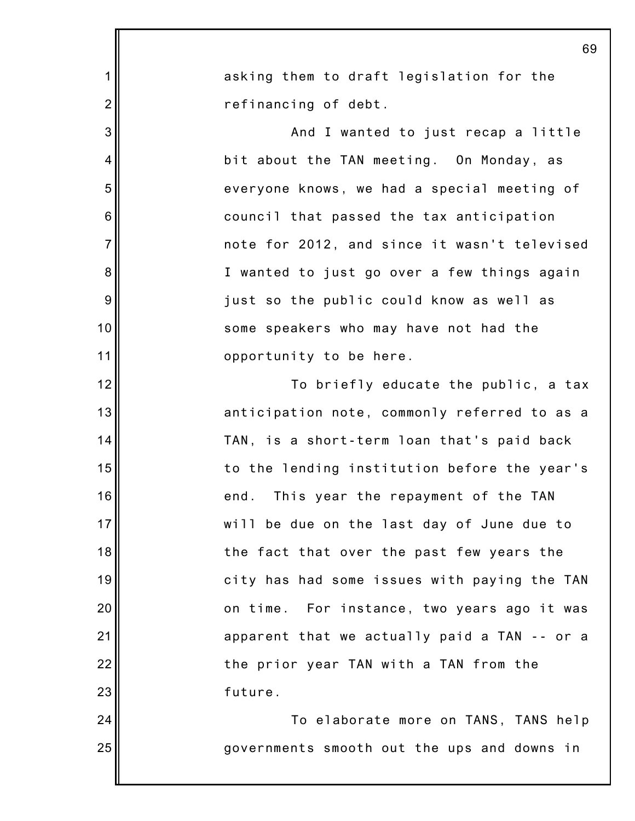|                | 69                                           |
|----------------|----------------------------------------------|
| 1              | asking them to draft legislation for the     |
| $\overline{2}$ | refinancing of debt.                         |
| 3              | And I wanted to just recap a little          |
| 4              | bit about the TAN meeting. On Monday, as     |
| 5              | everyone knows, we had a special meeting of  |
| 6              | council that passed the tax anticipation     |
| $\overline{7}$ | note for 2012, and since it wasn't televised |
| 8              | I wanted to just go over a few things again  |
| 9              | just so the public could know as well as     |
| 10             | some speakers who may have not had the       |
| 11             | opportunity to be here.                      |
| 12             | To briefly educate the public, a tax         |
| 13             | anticipation note, commonly referred to as a |
| 14             | TAN, is a short-term loan that's paid back   |
| 15             | to the lending institution before the year's |
| 16             | end. This year the repayment of the TAN      |
| 17             | will be due on the last day of June due to   |
| 18             | the fact that over the past few years the    |
| 19             | city has had some issues with paying the TAN |
| 20             | on time. For instance, two years ago it was  |
| 21             | apparent that we actually paid a TAN -- or a |
| 22             | the prior year TAN with a TAN from the       |
| 23             | future.                                      |
| 24             | To elaborate more on TANS, TANS help         |
| 25             | governments smooth out the ups and downs in  |
|                |                                              |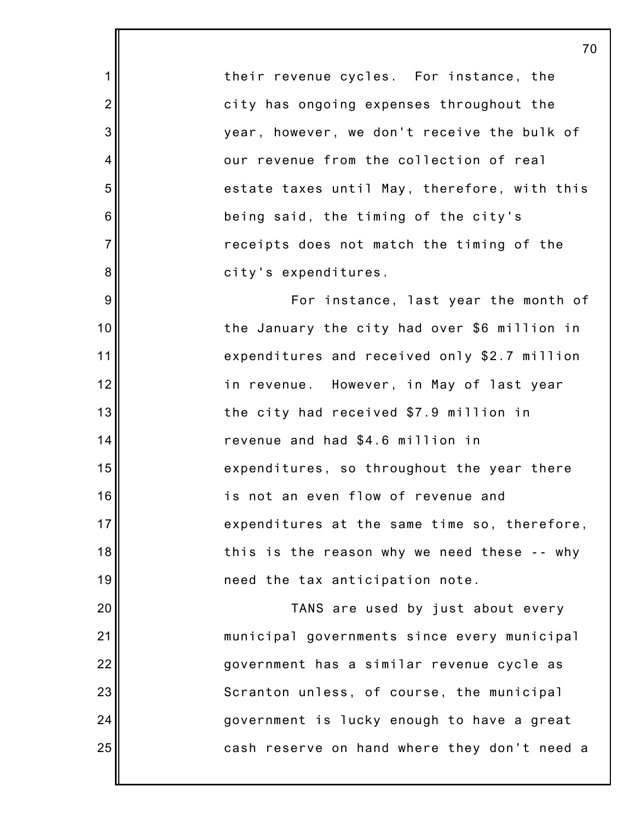their revenue cycles. For instance, the city has ongoing expenses throughout the year, however, we don't receive the bulk of our revenue from the collection of real estate taxes until May, therefore, with this being said, the timing of the city's receipts does not match the timing of the city's expenditures. For instance, last year the month of the January the city had over \$6 million in

1

2

3

4

5

6

7

8

9

10

11

12

13

14

15

16

17

18

19

20

21

22

23

24

25

expenditures and received only \$2.7 million in revenue. However, in May of last year the city had received \$7.9 million in revenue and had \$4.6 million in expenditures, so throughout the year there is not an even flow of revenue and expenditures at the same time so, therefore, this is the reason why we need these -- why need the tax anticipation note.

TANS are used by just about every municipal governments since every municipal government has a similar revenue cycle as Scranton unless, of course, the municipal government is lucky enough to have a great cash reserve on hand where they don't need a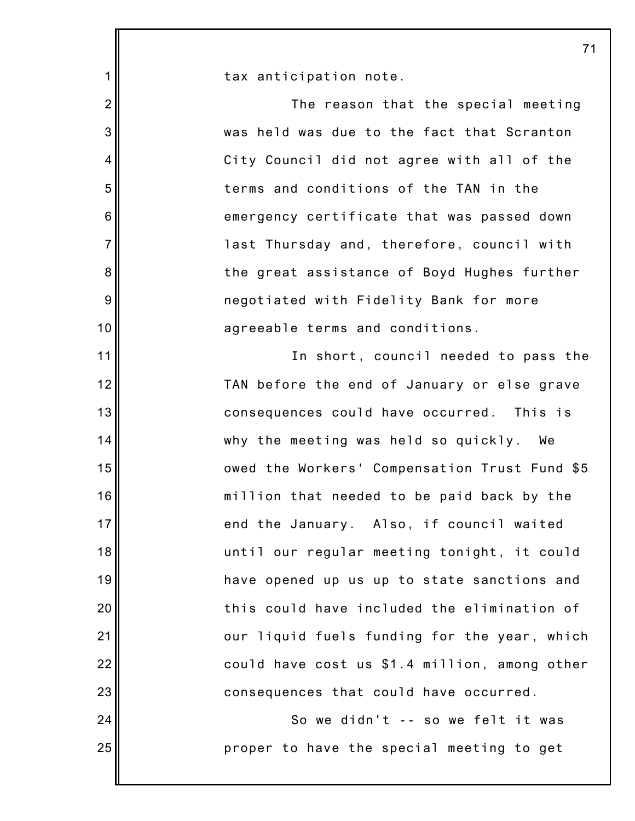|                | $\overline{7}$                                |
|----------------|-----------------------------------------------|
| 1              | tax anticipation note.                        |
| $\overline{2}$ | The reason that the special meeting           |
| $\mathsf 3$    | was held was due to the fact that Scranton    |
| 4              | City Council did not agree with all of the    |
| 5              | terms and conditions of the TAN in the        |
| $\,6$          | emergency certificate that was passed down    |
| $\overline{7}$ | last Thursday and, therefore, council with    |
| 8              | the great assistance of Boyd Hughes further   |
| 9              | negotiated with Fidelity Bank for more        |
| 10             | agreeable terms and conditions.               |
| 11             | In short, council needed to pass the          |
| 12             | TAN before the end of January or else grave   |
| 13             | consequences could have occurred. This is     |
| 14             | why the meeting was held so quickly. We       |
| 15             | owed the Workers' Compensation Trust Fund \$5 |
| 16             | million that needed to be paid back by the    |
| $17$           | end the January. Also, if council waited      |
| 18             | until our regular meeting tonight, it could   |
| 19             | have opened up us up to state sanctions and   |
| 20             | this could have included the elimination of   |
| 21             | our liquid fuels funding for the year, which  |
| 22             | could have cost us \$1.4 million, among other |
| 23             | consequences that could have occurred.        |
| 24             | So we didn't -- so we felt it was             |
| 25             | proper to have the special meeting to get     |
|                |                                               |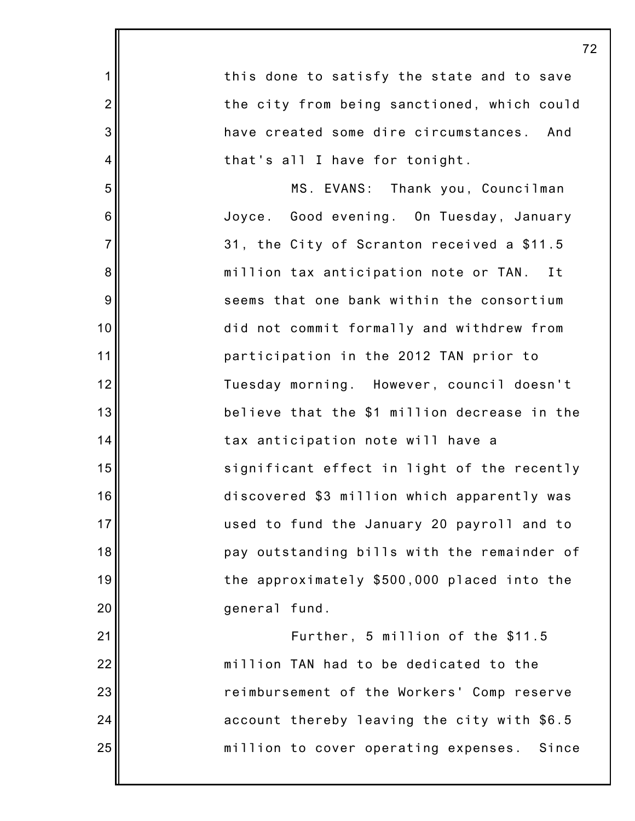| $\mathbf 1$    | this done to satisfy the state and to save    |
|----------------|-----------------------------------------------|
| $\overline{2}$ | the city from being sanctioned, which could   |
| 3              | have created some dire circumstances. And     |
| $\overline{4}$ | that's all I have for tonight.                |
| 5              | MS. EVANS: Thank you, Councilman              |
| 6              | Joyce. Good evening. On Tuesday, January      |
| $\overline{7}$ | 31, the City of Scranton received a \$11.5    |
| 8              | million tax anticipation note or TAN. It      |
| 9              | seems that one bank within the consortium     |
| 10             | did not commit formally and withdrew from     |
| 11             | participation in the 2012 TAN prior to        |
| 12             | Tuesday morning. However, council doesn't     |
| 13             | believe that the \$1 million decrease in the  |
| 14             | tax anticipation note will have a             |
| 15             | significant effect in light of the recently   |
| 16             | discovered \$3 million which apparently was   |
| 17             | used to fund the January 20 payroll and to    |
| 18             | pay outstanding bills with the remainder of   |
| 19             | the approximately \$500,000 placed into the   |
| 20             | general fund.                                 |
| 21             | Further, 5 million of the \$11.5              |
| 22             | million TAN had to be dedicated to the        |
| 23             | reimbursement of the Workers' Comp reserve    |
| 24             | account thereby leaving the city with \$6.5   |
| 25             | million to cover operating expenses.<br>Since |
|                |                                               |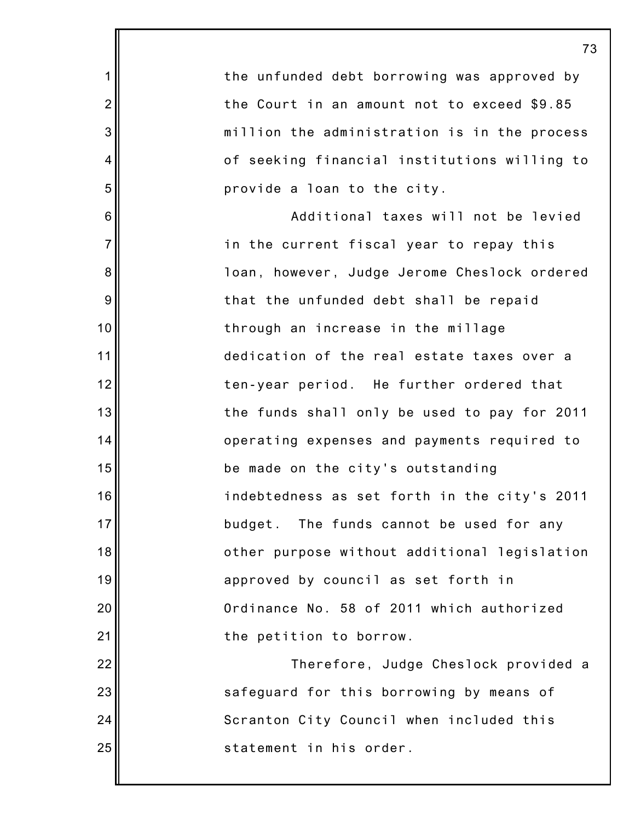|                | 73                                           |
|----------------|----------------------------------------------|
| 1              | the unfunded debt borrowing was approved by  |
| $\overline{2}$ | the Court in an amount not to exceed \$9.85  |
| $\mathbf{3}$   | million the administration is in the process |
| 4              | of seeking financial institutions willing to |
| 5              | provide a loan to the city.                  |
| $\,6$          | Additional taxes will not be levied          |
| $\overline{7}$ | in the current fiscal year to repay this     |
| 8              | loan, however, Judge Jerome Cheslock ordered |
| $9\,$          | that the unfunded debt shall be repaid       |
| 10             | through an increase in the millage           |
| 11             | dedication of the real estate taxes over a   |
| 12             | ten-year period. He further ordered that     |
| 13             | the funds shall only be used to pay for 2011 |
| 14             | operating expenses and payments required to  |
| 15             | be made on the city's outstanding            |
| 16             | indebtedness as set forth in the city's 2011 |
| 17             | budget. The funds cannot be used for any     |
| 18             | other purpose without additional legislation |
| 19             | approved by council as set forth in          |
| 20             | Ordinance No. 58 of 2011 which authorized    |
| 21             | the petition to borrow.                      |
| 22             | Therefore, Judge Cheslock provided a         |
| 23             | safeguard for this borrowing by means of     |
| 24             | Scranton City Council when included this     |
| 25             | statement in his order.                      |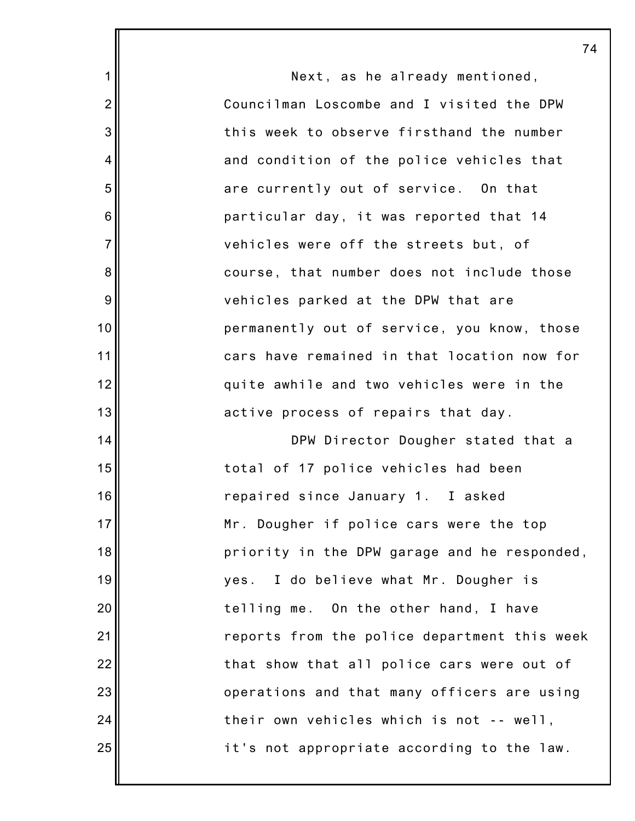|                 | $\prime$                                     |
|-----------------|----------------------------------------------|
| 1               | Next, as he already mentioned,               |
| $\overline{2}$  | Councilman Loscombe and I visited the DPW    |
| 3               | this week to observe firsthand the number    |
| 4               | and condition of the police vehicles that    |
| 5               | are currently out of service. On that        |
| $6\phantom{1}6$ | particular day, it was reported that 14      |
| $\overline{7}$  | vehicles were off the streets but, of        |
| $\bf 8$         | course, that number does not include those   |
| 9               | vehicles parked at the DPW that are          |
| 10              | permanently out of service, you know, those  |
| 11              | cars have remained in that location now for  |
| 12              | quite awhile and two vehicles were in the    |
| 13              | active process of repairs that day.          |
| 14              | DPW Director Dougher stated that a           |
| 15              | total of 17 police vehicles had been         |
| 16              | repaired since January 1. I asked            |
| 17              | Mr. Dougher if police cars were the top      |
| 18              | priority in the DPW garage and he responded, |
| 19              | I do believe what Mr. Dougher is<br>yes.     |
| 20              | telling me. On the other hand, I have        |
| 21              | reports from the police department this week |
| 22              | that show that all police cars were out of   |
| 23              | operations and that many officers are using  |
| 24              | their own vehicles which is not -- well,     |
| 25              | it's not appropriate according to the law.   |
|                 |                                              |

74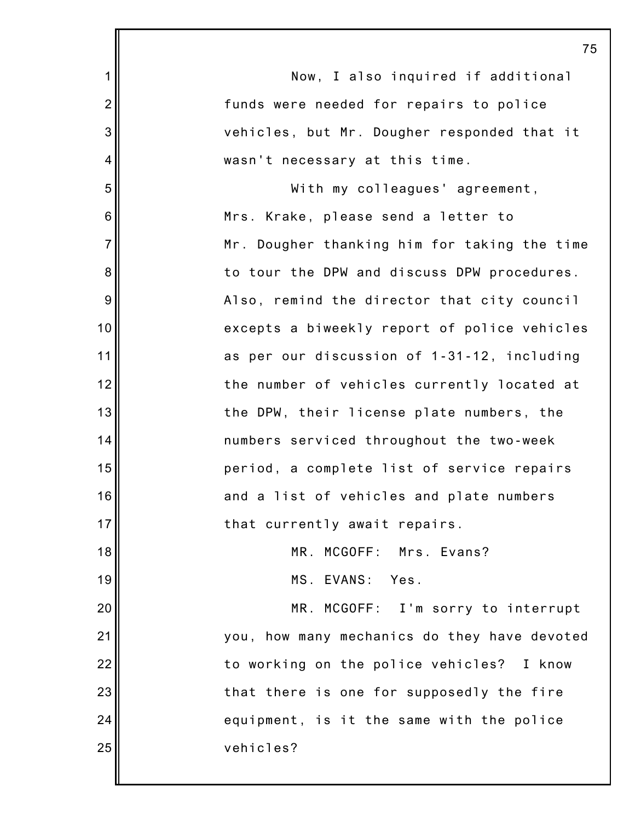|                | 75                                           |
|----------------|----------------------------------------------|
| 1              | Now, I also inquired if additional           |
| $\overline{2}$ | funds were needed for repairs to police      |
| 3              | vehicles, but Mr. Dougher responded that it  |
| 4              | wasn't necessary at this time.               |
| 5              | With my colleagues' agreement,               |
| 6              | Mrs. Krake, please send a letter to          |
| $\overline{7}$ | Mr. Dougher thanking him for taking the time |
| 8              | to tour the DPW and discuss DPW procedures.  |
| 9              | Also, remind the director that city council  |
| 10             | excepts a biweekly report of police vehicles |
| 11             | as per our discussion of 1-31-12, including  |
| 12             | the number of vehicles currently located at  |
| 13             | the DPW, their license plate numbers, the    |
| 14             | numbers serviced throughout the two-week     |
| 15             | period, a complete list of service repairs   |
| 16             | and a list of vehicles and plate numbers     |
| 17             | that currently await repairs.                |
| 18             | MR. MCGOFF: Mrs. Evans?                      |
| 19             | MS. EVANS: Yes.                              |
| 20             | MR. MCGOFF: I'm sorry to interrupt           |
| 21             | you, how many mechanics do they have devoted |
| 22             | to working on the police vehicles? I know    |
| 23             | that there is one for supposedly the fire    |
| 24             | equipment, is it the same with the police    |
| 25             | vehicles?                                    |
|                |                                              |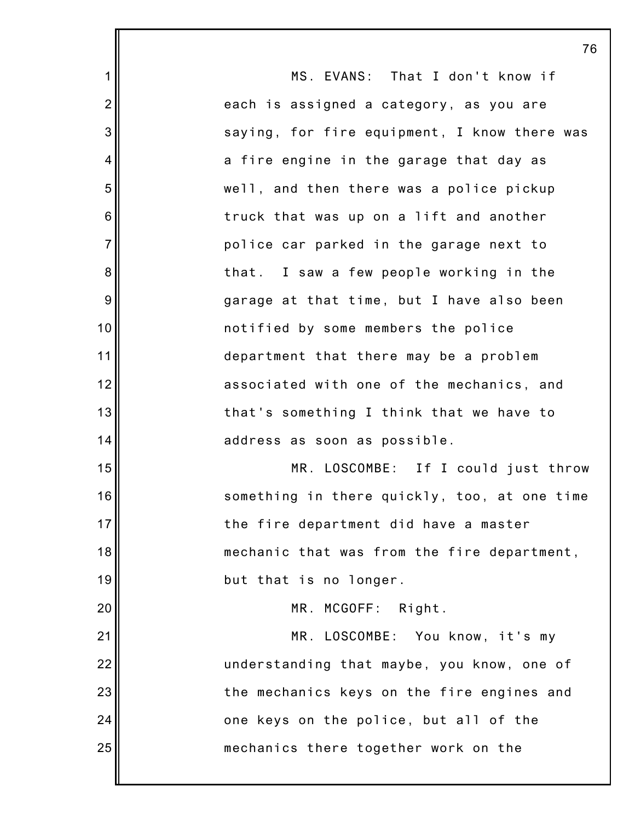|                | 76                                           |
|----------------|----------------------------------------------|
| $\mathbf{1}$   | MS. EVANS: That I don't know if              |
| $\overline{2}$ | each is assigned a category, as you are      |
| 3              | saying, for fire equipment, I know there was |
| 4              | a fire engine in the garage that day as      |
| 5              | well, and then there was a police pickup     |
| 6              | truck that was up on a lift and another      |
| $\overline{7}$ | police car parked in the garage next to      |
| 8              | that. I saw a few people working in the      |
| $9\,$          | garage at that time, but I have also been    |
| 10             | notified by some members the police          |
| 11             | department that there may be a problem       |
| 12             | associated with one of the mechanics, and    |
| 13             | that's something I think that we have to     |
| 14             | address as soon as possible.                 |
| 15             | MR. LOSCOMBE: If I could just throw          |
| 16             | something in there quickly, too, at one time |
| 17             | the fire department did have a master        |
| 18             | mechanic that was from the fire department,  |
| 19             | but that is no longer.                       |
| 20             | MR. MCGOFF: Right.                           |
| 21             | MR. LOSCOMBE: You know, it's my              |
| 22             | understanding that maybe, you know, one of   |
| 23             | the mechanics keys on the fire engines and   |
| 24             | one keys on the police, but all of the       |
| 25             | mechanics there together work on the         |
|                |                                              |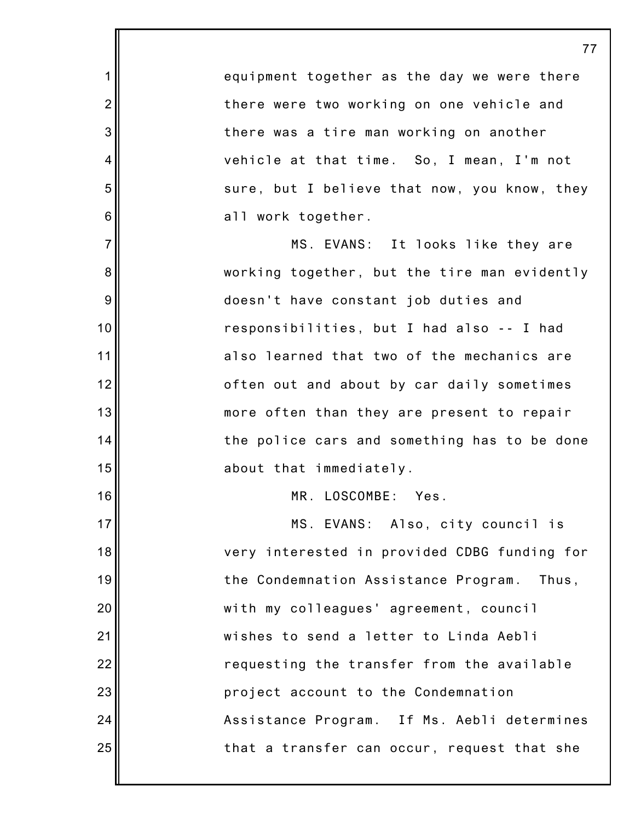1 2 3 4 5 6 7 8 9 10 11 12 13 14 15 16 17 18 19 20 21 22 23 24 25 77 equipment together as the day we were there there were two working on one vehicle and there was a tire man working on another vehicle at that time. So, I mean, I'm not sure, but I believe that now, you know, they all work together. MS. EVANS: It looks like they are working together, but the tire man evidently doesn't have constant job duties and responsibilities, but I had also -- I had also learned that two of the mechanics are often out and about by car daily sometimes more often than they are present to repair the police cars and something has to be done about that immediately. MR. LOSCOMBE: Yes. MS. EVANS: Also, city council is very interested in provided CDBG funding for the Condemnation Assistance Program. Thus, with my colleagues' agreement, council wishes to send a letter to Linda Aebli requesting the transfer from the available project account to the Condemnation Assistance Program. If Ms. Aebli determines that a transfer can occur, request that she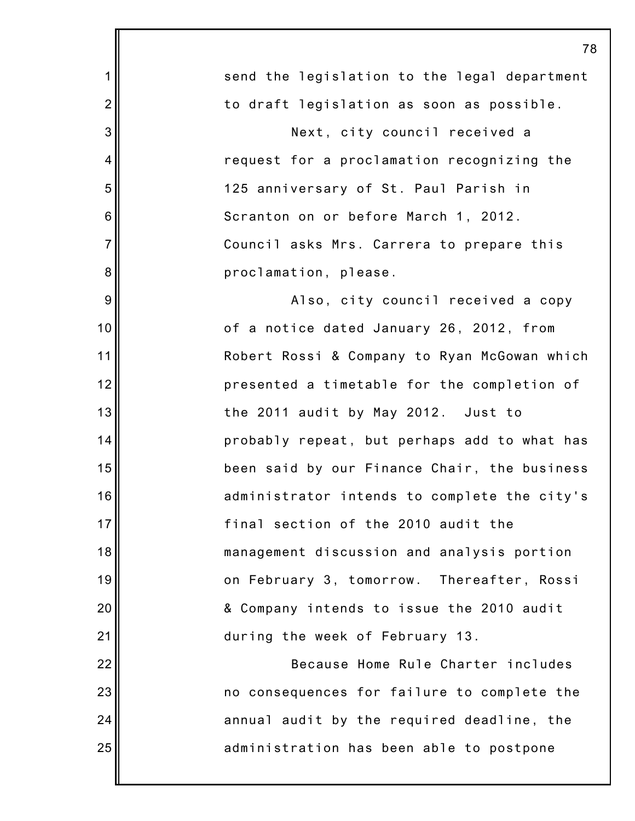|                | 78                                           |
|----------------|----------------------------------------------|
| $\mathbf 1$    | send the legislation to the legal department |
| $\overline{2}$ | to draft legislation as soon as possible.    |
| 3              | Next, city council received a                |
| $\overline{4}$ | request for a proclamation recognizing the   |
| 5              | 125 anniversary of St. Paul Parish in        |
| 6              | Scranton on or before March 1, 2012.         |
| $\overline{7}$ | Council asks Mrs. Carrera to prepare this    |
| 8              | proclamation, please.                        |
| 9              | Also, city council received a copy           |
| 10             | of a notice dated January 26, 2012, from     |
| 11             | Robert Rossi & Company to Ryan McGowan which |
| 12             | presented a timetable for the completion of  |
| 13             | the 2011 audit by May 2012. Just to          |
| 14             | probably repeat, but perhaps add to what has |
| 15             | been said by our Finance Chair, the business |
| 16             | administrator intends to complete the city's |
| 17             | final section of the 2010 audit the          |
| 18             | management discussion and analysis portion   |
| 19             | on February 3, tomorrow. Thereafter, Rossi   |
| 20             | & Company intends to issue the 2010 audit    |
| 21             | during the week of February 13.              |
| 22             | Because Home Rule Charter includes           |
| 23             | no consequences for failure to complete the  |
| 24             | annual audit by the required deadline, the   |
| 25             | administration has been able to postpone     |
|                |                                              |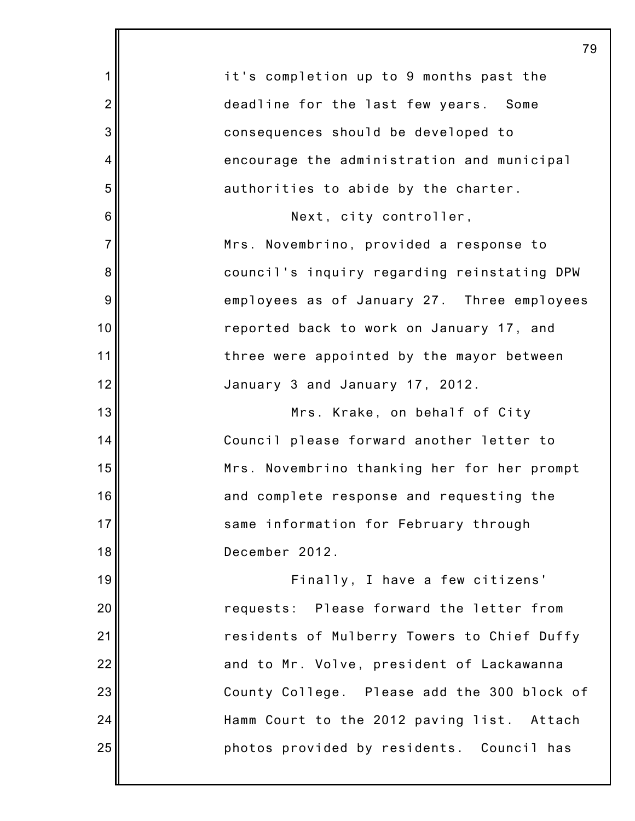|                | 79                                          |
|----------------|---------------------------------------------|
| 1              | it's completion up to 9 months past the     |
| $\overline{2}$ | deadline for the last few years. Some       |
| 3              | consequences should be developed to         |
| 4              | encourage the administration and municipal  |
| 5              | authorities to abide by the charter.        |
| 6              | Next, city controller,                      |
| $\overline{7}$ | Mrs. Novembrino, provided a response to     |
| 8              | council's inquiry regarding reinstating DPW |
| 9              | employees as of January 27. Three employees |
| 10             | reported back to work on January 17, and    |
| 11             | three were appointed by the mayor between   |
| 12             | January 3 and January 17, 2012.             |
| 13             | Mrs. Krake, on behalf of City               |
| 14             | Council please forward another letter to    |
| 15             | Mrs. Novembrino thanking her for her prompt |
| 16             | and complete response and requesting the    |
| 17             | same information for February through       |
| 18             | December 2012.                              |
| 19             | Finally, I have a few citizens'             |
| 20             | requests: Please forward the letter from    |
| 21             | residents of Mulberry Towers to Chief Duffy |
| 22             | and to Mr. Volve, president of Lackawanna   |
| 23             | County College. Please add the 300 block of |
| 24             | Hamm Court to the 2012 paving list. Attach  |
| 25             | photos provided by residents. Council has   |
|                |                                             |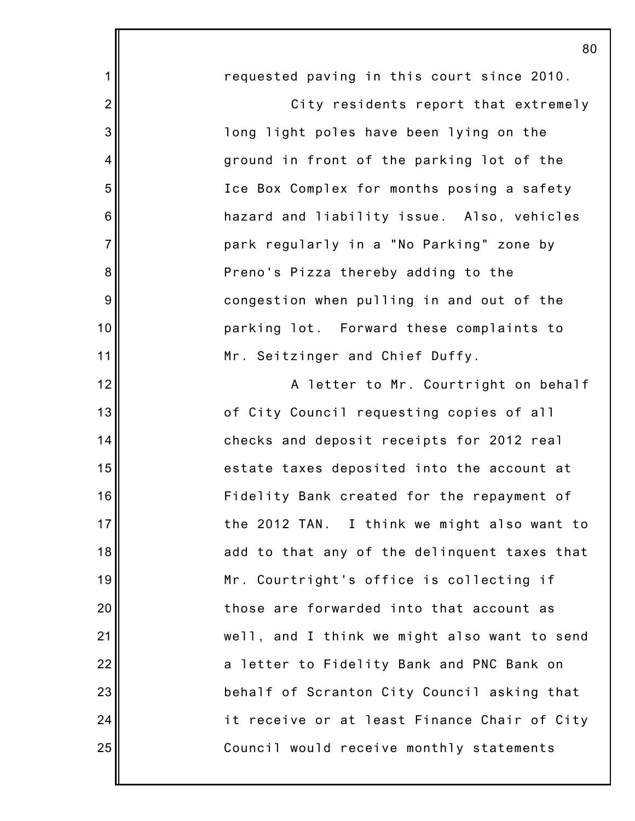|                | 80                                           |
|----------------|----------------------------------------------|
| 1              | requested paving in this court since 2010.   |
| $\overline{c}$ | City residents report that extremely         |
| 3              | long light poles have been lying on the      |
| 4              | ground in front of the parking lot of the    |
| 5              | Ice Box Complex for months posing a safety   |
| $\,$ 6 $\,$    | hazard and liability issue. Also, vehicles   |
| $\overline{7}$ | park regularly in a "No Parking" zone by     |
| 8              | Preno's Pizza thereby adding to the          |
| $9\,$          | congestion when pulling in and out of the    |
| 10             | parking lot. Forward these complaints to     |
| 11             | Mr. Seitzinger and Chief Duffy.              |
| 12             | A letter to Mr. Courtright on behalf         |
| 13             | of City Council requesting copies of all     |
| 14             | checks and deposit receipts for 2012 real    |
| 15             | estate taxes deposited into the account at   |
| 16             | Fidelity Bank created for the repayment of   |
| 17             | the 2012 TAN. I think we might also want to  |
| 18             | add to that any of the delinquent taxes that |
| 19             | Mr. Courtright's office is collecting if     |
| 20             | those are forwarded into that account as     |
| 21             | well, and I think we might also want to send |
| 22             | a letter to Fidelity Bank and PNC Bank on    |
| 23             | behalf of Scranton City Council asking that  |
| 24             | it receive or at least Finance Chair of City |
| 25             | Council would receive monthly statements     |
|                |                                              |

80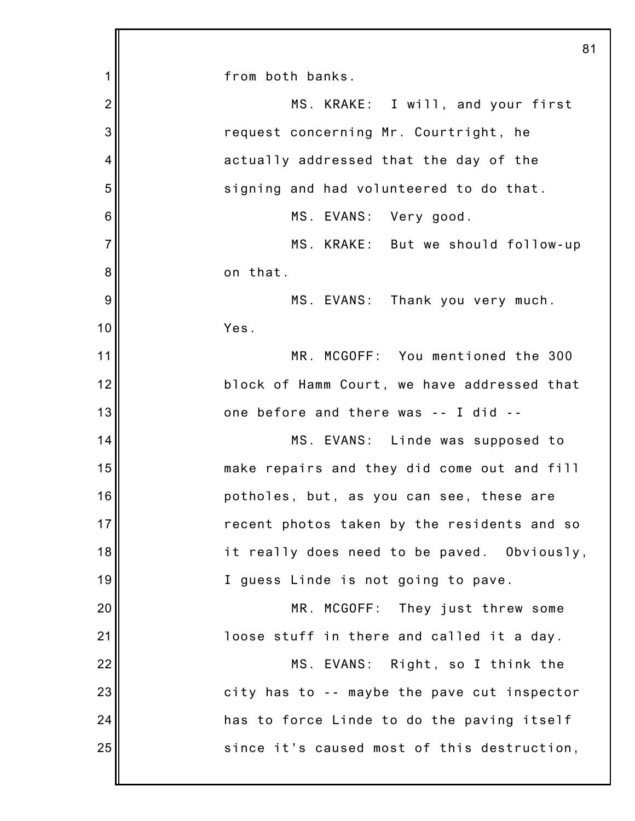|                | 81                                          |
|----------------|---------------------------------------------|
| 1              | from both banks.                            |
| $\overline{2}$ | MS. KRAKE: I will, and your first           |
| 3              | request concerning Mr. Courtright, he       |
| 4              | actually addressed that the day of the      |
| 5              | signing and had volunteered to do that.     |
| 6              | MS. EVANS: Very good.                       |
| $\overline{7}$ | MS. KRAKE: But we should follow-up          |
| 8              | on that.                                    |
| 9              | MS. EVANS: Thank you very much.             |
| 10             | Yes.                                        |
| 11             | MR. MCGOFF: You mentioned the 300           |
| 12             | block of Hamm Court, we have addressed that |
| 13             | one before and there was -- I did --        |
| 14             | MS. EVANS: Linde was supposed to            |
| 15             | make repairs and they did come out and fill |
| 16             | potholes, but, as you can see, these are    |
| 17             | recent photos taken by the residents and so |
| 18             | it really does need to be paved. Obviously, |
| 19             | I guess Linde is not going to pave.         |
| 20             | MR. MCGOFF: They just threw some            |
| 21             | loose stuff in there and called it a day.   |
| 22             | MS. EVANS: Right, so I think the            |
| 23             | city has to -- maybe the pave cut inspector |
| 24             | has to force Linde to do the paving itself  |
| 25             | since it's caused most of this destruction, |
|                |                                             |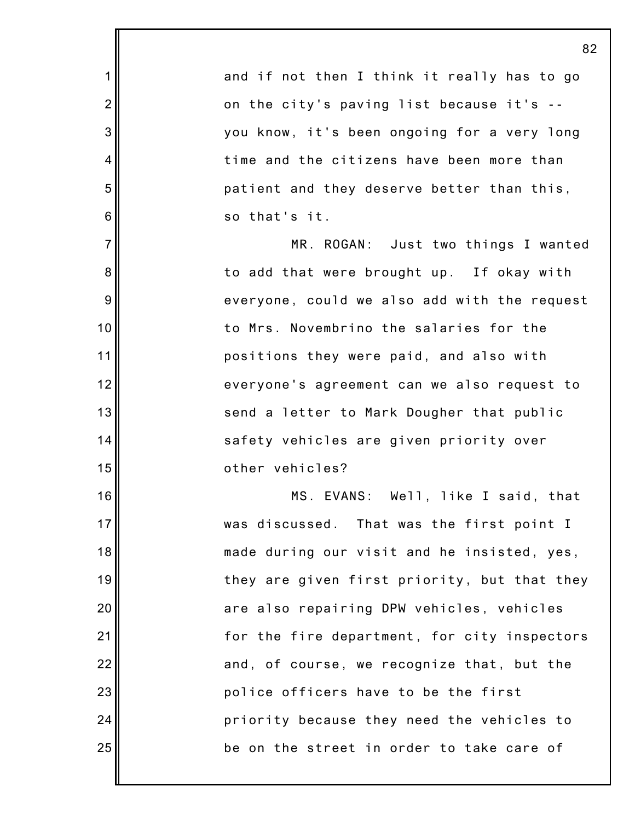1 2 3 4 5 6 7 8 9 10 11 12 13 14 15 16 17 18 19 20 21 22 23 24 25 and if not then I think it really has to go on the city's paving list because it's - you know, it's been ongoing for a very long time and the citizens have been more than patient and they deserve better than this, so that's it. MR. ROGAN: Just two things I wanted to add that were brought up. If okay with everyone, could we also add with the request to Mrs. Novembrino the salaries for the positions they were paid, and also with everyone's agreement can we also request to send a letter to Mark Dougher that public safety vehicles are given priority over other vehicles? MS. EVANS: Well, like I said, that was discussed. That was the first point I made during our visit and he insisted, yes, they are given first priority, but that they are also repairing DPW vehicles, vehicles for the fire department, for city inspectors and, of course, we recognize that, but the police officers have to be the first priority because they need the vehicles to be on the street in order to take care of

82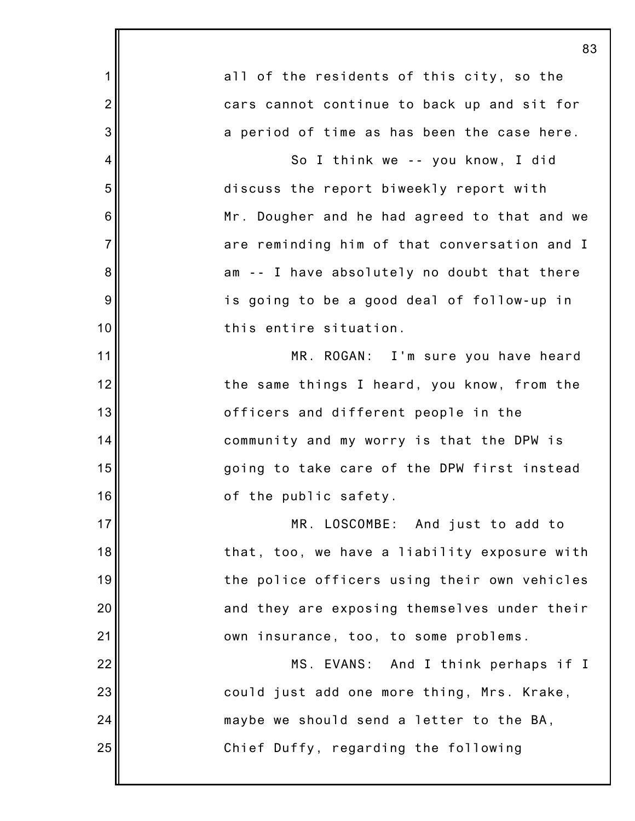|                | 83                                           |
|----------------|----------------------------------------------|
| 1              | all of the residents of this city, so the    |
| $\overline{2}$ | cars cannot continue to back up and sit for  |
| 3              | a period of time as has been the case here.  |
| 4              | So I think we -- you know, I did             |
| 5              | discuss the report biweekly report with      |
| 6              | Mr. Dougher and he had agreed to that and we |
| $\overline{7}$ | are reminding him of that conversation and I |
| 8              | am -- I have absolutely no doubt that there  |
| 9              | is going to be a good deal of follow-up in   |
| 10             | this entire situation.                       |
| 11             | MR. ROGAN: I'm sure you have heard           |
| 12             | the same things I heard, you know, from the  |
| 13             | officers and different people in the         |
| 14             | community and my worry is that the DPW is    |
| 15             | going to take care of the DPW first instead  |
| 16             | of the public safety.                        |
| 17             | MR. LOSCOMBE: And just to add to             |
| 18             | that, too, we have a liability exposure with |
| 19             | the police officers using their own vehicles |
| 20             | and they are exposing themselves under their |
| 21             | own insurance, too, to some problems.        |
| 22             | MS. EVANS: And I think perhaps if I          |
| 23             | could just add one more thing, Mrs. Krake,   |
| 24             | maybe we should send a letter to the BA,     |
| 25             | Chief Duffy, regarding the following         |
|                |                                              |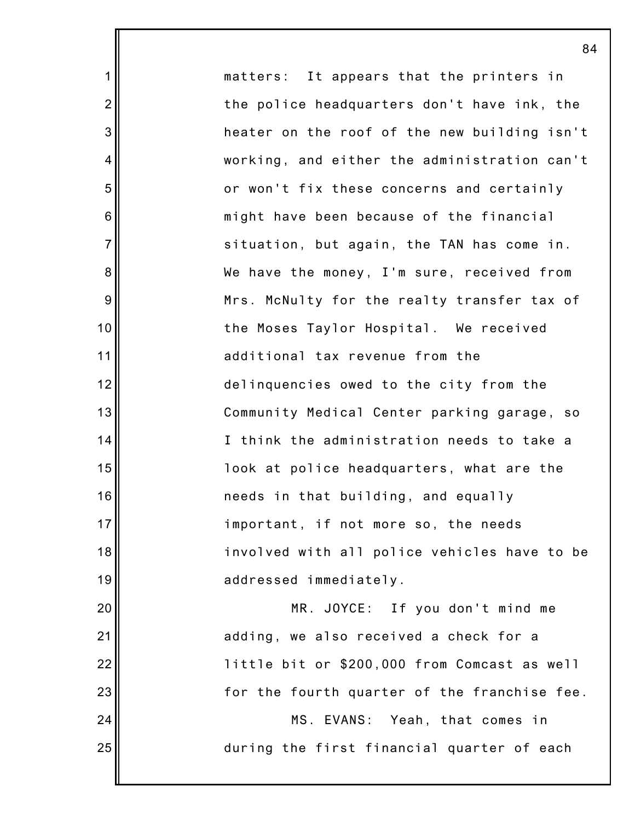matters: It appears that the printers in the police headquarters don't have ink, the heater on the roof of the new building isn't working, and either the administration can't or won't fix these concerns and certainly might have been because of the financial situation, but again, the TAN has come in. We have the money, I'm sure, received from Mrs. McNulty for the realty transfer tax of the Moses Taylor Hospital. We received additional tax revenue from the delinquencies owed to the city from the Community Medical Center parking garage, so I think the administration needs to take a look at police headquarters, what are the needs in that building, and equally important, if not more so, the needs involved with all police vehicles have to be addressed immediately. MR. JOYCE: If you don't mind me adding, we also received a check for a little bit or \$200,000 from Comcast as well

84

1

2

3

4

5

6

7

8

9

10

11

12

13

14

15

16

17

18

19

20

21

22

23

24

25

for the fourth quarter of the franchise fee.

MS. EVANS: Yeah, that comes in during the first financial quarter of each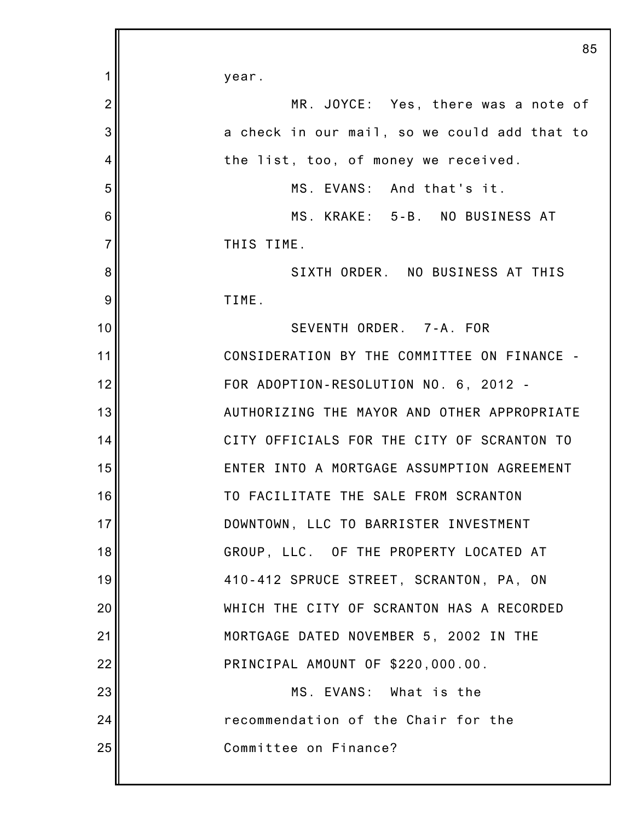|                | 85                                           |
|----------------|----------------------------------------------|
| 1              | year.                                        |
| $\overline{2}$ | MR. JOYCE: Yes, there was a note of          |
| 3              | a check in our mail, so we could add that to |
| 4              | the list, too, of money we received.         |
| 5              | MS. EVANS: And that's it.                    |
| 6              | MS. KRAKE: 5-B. NO BUSINESS AT               |
| $\overline{7}$ | THIS TIME.                                   |
| 8              | SIXTH ORDER. NO BUSINESS AT THIS             |
| 9              | TIME.                                        |
| 10             | SEVENTH ORDER. 7-A. FOR                      |
| 11             | CONSIDERATION BY THE COMMITTEE ON FINANCE -  |
| 12             | FOR ADOPTION-RESOLUTION NO. 6, 2012 -        |
| 13             | AUTHORIZING THE MAYOR AND OTHER APPROPRIATE  |
| 14             | CITY OFFICIALS FOR THE CITY OF SCRANTON TO   |
| 15             | ENTER INTO A MORTGAGE ASSUMPTION AGREEMENT   |
| 16             | TO FACILITATE THE SALE FROM SCRANTON         |
| 17             | DOWNTOWN, LLC TO BARRISTER INVESTMENT        |
| 18             | GROUP, LLC. OF THE PROPERTY LOCATED AT       |
| 19             | 410-412 SPRUCE STREET, SCRANTON, PA, ON      |
| 20             | WHICH THE CITY OF SCRANTON HAS A RECORDED    |
| 21             | MORTGAGE DATED NOVEMBER 5, 2002 IN THE       |
| 22             | PRINCIPAL AMOUNT OF \$220,000.00.            |
| 23             | MS. EVANS: What is the                       |
| 24             | recommendation of the Chair for the          |
| 25             | Committee on Finance?                        |
|                |                                              |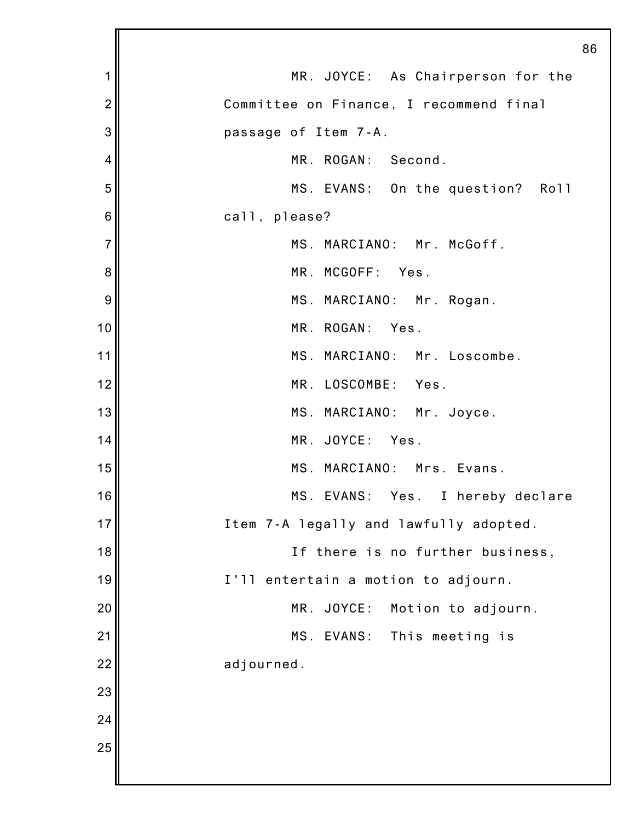|                | 86                                      |
|----------------|-----------------------------------------|
| 1              | MR. JOYCE: As Chairperson for the       |
| $\overline{2}$ | Committee on Finance, I recommend final |
| 3              | passage of Item 7-A.                    |
| 4              | MR. ROGAN: Second.                      |
| 5              | MS. EVANS: On the question? Roll        |
| 6              | call, please?                           |
| $\overline{7}$ | MS. MARCIANO: Mr. McGoff.               |
| 8              | MR. MCGOFF: Yes.                        |
| 9              | MS. MARCIANO: Mr. Rogan.                |
| 10             | MR. ROGAN: Yes.                         |
| 11             | MS. MARCIANO: Mr. Loscombe.             |
| 12             | MR. LOSCOMBE: Yes.                      |
| 13             | MS. MARCIANO: Mr. Joyce.                |
| 14             | MR. JOYCE: Yes.                         |
| 15             | MS. MARCIANO: Mrs. Evans.               |
| 16             | MS. EVANS: Yes. I hereby declare        |
| 17             | Item 7-A legally and lawfully adopted.  |
| 18             | If there is no further business,        |
| 19             | I'll entertain a motion to adjourn.     |
| 20             | JOYCE:<br>MR.<br>Motion to adjourn.     |
| 21             | MS. EVANS:<br>This meeting is           |
| 22             | adjourned.                              |
| 23             |                                         |
| 24             |                                         |
| 25             |                                         |
|                |                                         |